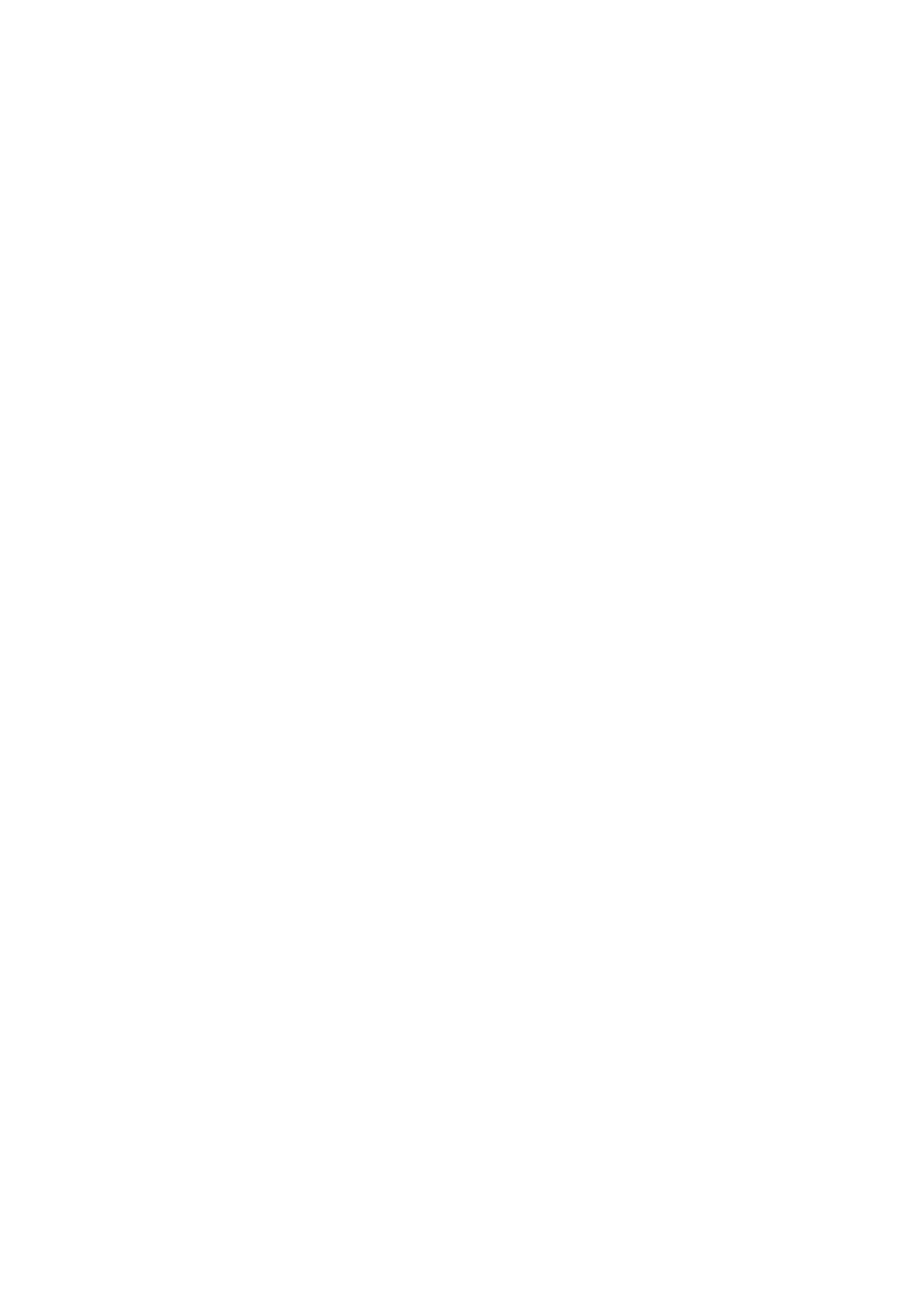# **UNIT-1 INTRODUCTION TO PHONETICS & PHONOLOGY, IPA CHART**

#### **Structure**

- 1.0 Objectives
- 1.1 Introduction
- 1.2 What is Phonetics?
- 1.3 Importance of Phonetics
- 1.4 Branches of Phonetics
	- 1.4.1 Articulatory phonetics
	- 1.4.2. The manner of articulation
	- 1.4.3 Acoustic phonetics
	- 1.4.4 Auditory phonetics
- 1.5 Necessary Phonetics to be acquired
- 1.6 Let's Sum-up
- 1.7 Key Terms
- 1.8 Check your Progress
- 1.9 References & Further Readings
- 1.10 Key to evaluate your progress

#### **1.0 OBJECTIVES**

An understanding of phonetics

- To develop speaking skills
- To guide students in identifying each sound
- To create a desire to look up dictionary with pronunciation
- To educate students about sound system

#### **1.1 INTRODUCTION**

Phonetics deals with the study of human speech sounds and their propertiesarticulatory, auditory and acoustic-in a spoken language. Phonology, on the other hand, is concerned with the selection and organization of sounds in a particular language. The study of both phonetics and phonology helps one to understand the sound system and the way sounds are organized. Each of the sounds can be assigned a symbol and all the symbols (for sounds) are contained in the International Phonetic Alphabet (IPA).

Phonetics (derived from the Greek word phone meaning sound/voice) is a key part of linguistics and it has three distinct types: Articulatory Phonetics, Acoustic Phonetics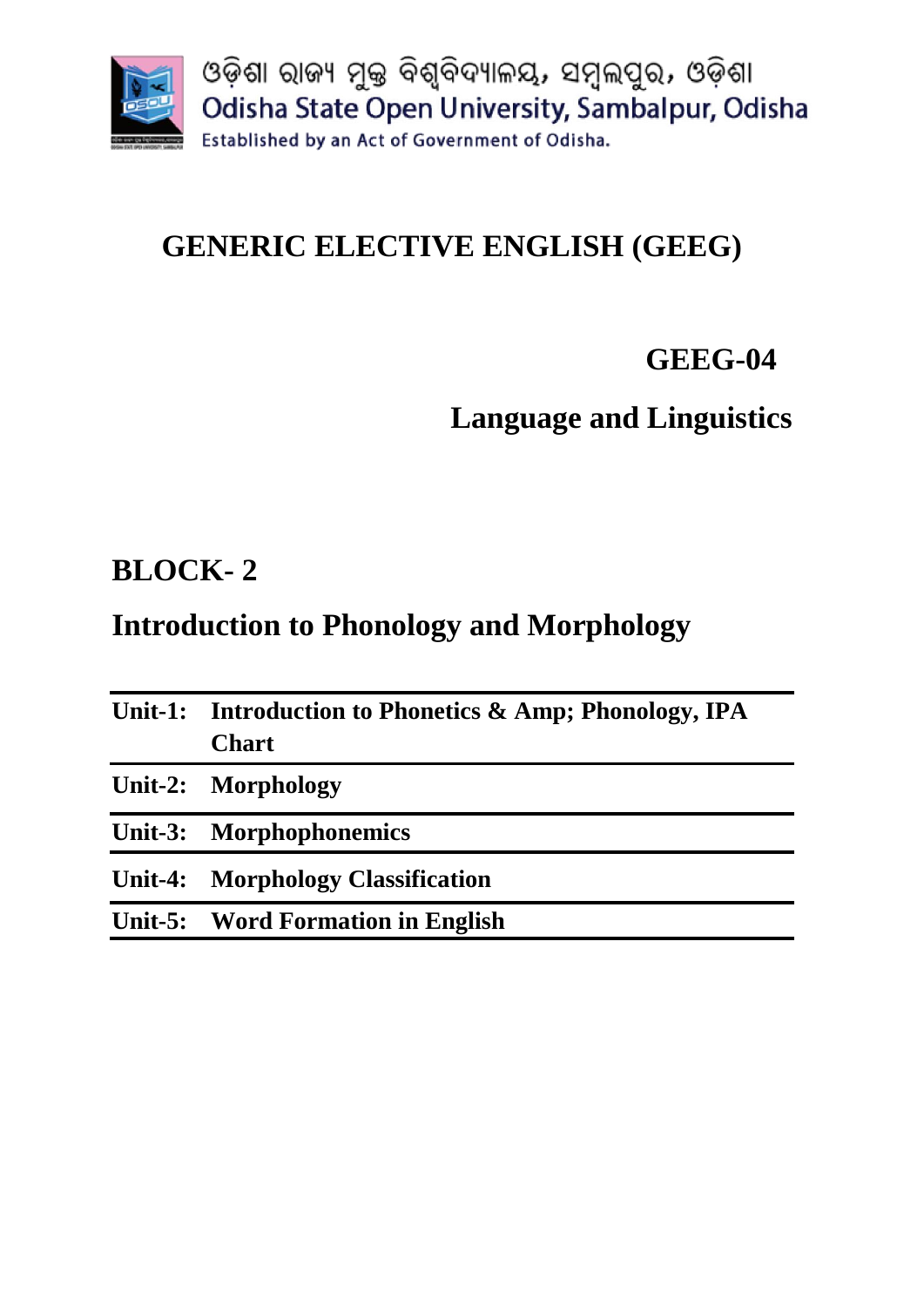and Auditory Phonetics. The real sound delivered, for example, a basic vowel or consonant sound is called the phone. Closely linked with Phonetics is another part of Linguistics known as Phonology which manages the manner in which speech sounds act specifically dialects or in dialects for the most part. This focuses on the manner languages use contrasts between sounds so as to pass on contrasts of importance between words.

All hypotheses of phonology hold that spoken language can be separated into a string of sound units (phonemes). A phoneme is the smallest unit of the sound of a language. It recognizes a single word from another in a given language. This implies that changing a phoneme in a word creates another word that has an alternate meaning. In the pair of words 'cat' and 'bat', the distinctive sounds /k/ and /b/ are the two phonemes. The phoneme is a theoretical term (a speech sound as it exists in the mind of the speaker) and it is explicit to a specific language.

A phoneme may have a few allophones related sounds that are unmistakable however don't change the importance of a word when they are exchanged. The sounds compared to the letter "t" in the English words 'tea' and 'trip' are not the same. The situation of the tongue is somewhat unique, which causes a distinction in sound perceptible by an instrument, for example, a speech spectrograph. In this way the [t] in 'tea' and the [t] in 'trip' are allophones of the phoneme /t/.

Phonology is the connection between Phonetics and the rest of Linguistics. Just by contemplating both the phonetics and the phonology of English is it conceivable to obtain a full comprehension of the utilization of sounds in English speech. It is known as the Pronunciation which may have distinctive 'highlights'. Articulation can differ with societies, locales and speakers, yet there are two significant standard assortments in English elocution: British English and American English. Inside British English and American English, there is likewise an assortment of accents. Some of them have gotten more consideration than others from phoneticians and phonologists. These are Received Pronunciation (RP) and General American (GA). RP is a type of pronunciation to express the English language, sometimes characterized as the "educated spoken English of south eastern England". RP is near BBC English and is used in the pronunciation scheme of most of the dictionaries.

#### **1.2. WHAT IS PHONETICS?**

Phonetics deals with human speech sounds. It is derived from the Greek word phone which means voice or sound and is concerned with the production, transmission, and reception of speech sounds produced by humans. In other words, phonetics deals with only the sounds used as a means of communication. It does not, in fact, study all the human sounds primarily because human organs are capable of producing an infinite number of sounds.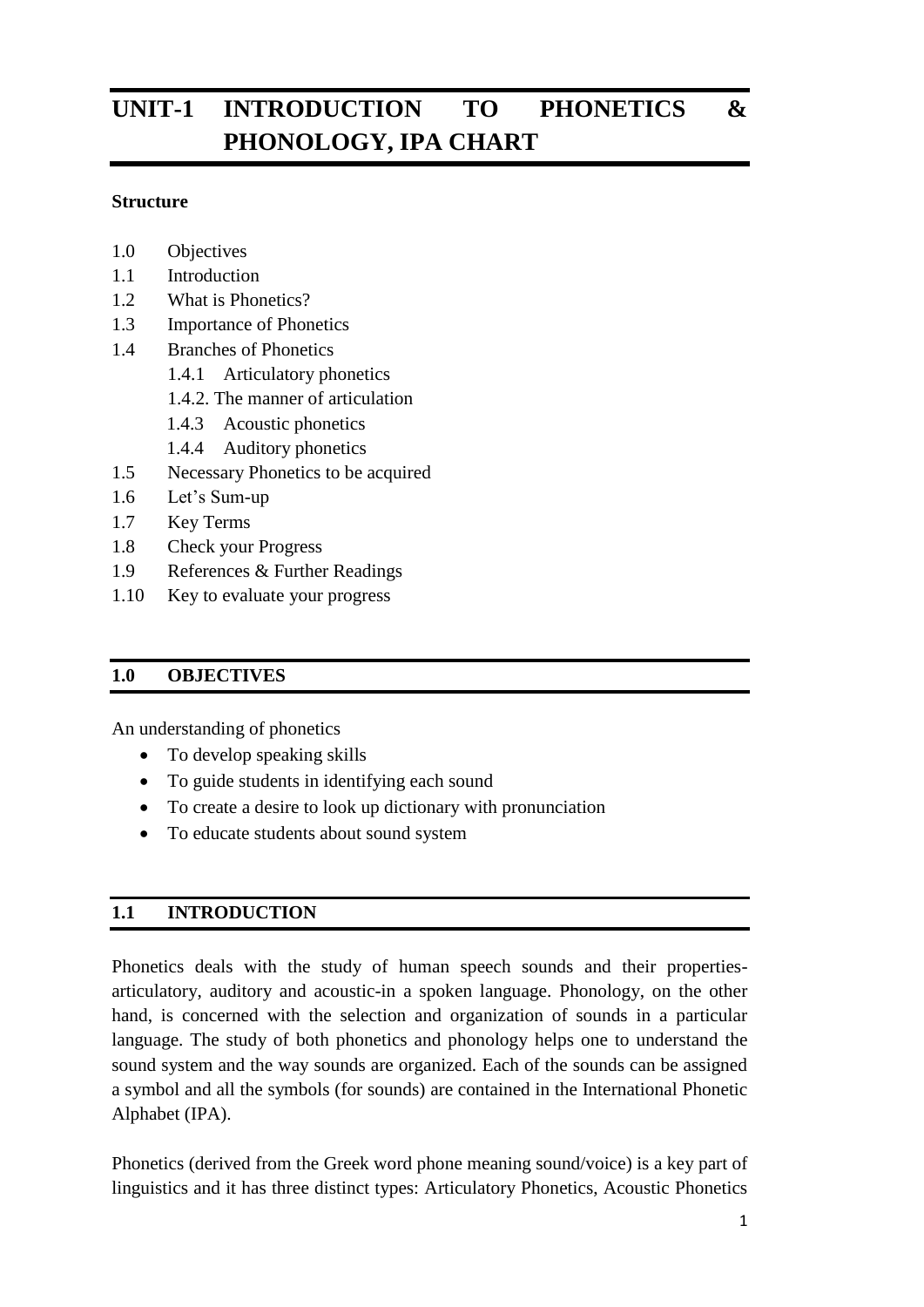While phonetics deals with the study of speech sound in general, phonology is concerned with the selection and organization of sounds or phonemes in a particular language. Phonemes are, in effect, any of the perceptually distinct units of sound in a specified language that distinguishes one word from another, for example, /p/, /b/, /d/, /t/ in the English words 'pen', 'ban', 'den', and 'ten' respectively.

In other words, a phoneme is a sound or a group of different sounds perceived to have the same function by speakers of the language or dialect in question. It is the smallest unit of speech distinguishing one word or a word element from another, e.g., the element /p/ in 'tap' separates the word from 'tab', 'tag', and 'tan'. The English phoneme /k/, for example, occurs in words such as 'can', 'khaki', 'quality', 'pickle', 'soccer', 'trekking', 'stomach', etc. While speaking, we combine phonemes to form words. For example, the words 'hen' and 'while' have three phonemes each: /h/, /e/ &  $/n/$  and  $/w/$ ,  $/au \& N/$  respectively in spite of the fact that they contain three and five letters each. But the word 'went' or 'bulk' has four phonemes (and four letters too) each: /w/, /e/, /n/ & /t/, and /b/, / $\Lambda$ /, /l/ & /k/ respectively.

#### **1.3. IMPORTANCE OF PHONETICS**

Phonetics creates great interests in inquisitive learners, especially those who have studied or are interested in linguistics. It has also considerable practical advantages for students. Moreover, phonetics has immeasurable applications some of which are as follows:

One of the best uses of phonetics is that it helps you to pronounce a particular word correctly. Without phonetics, you will not be able to appreciate and use pronunciation. It also helps you develop your fluency and accuracy thereby giving you an edge over others who don't know the nuances of phonetics. In the present context where English has become a global language, phonetics becomes all the more important.

#### **1.4. BRANCHES OF PHONETICS**

Phonetics is the systematic study of human sounds. It is usually divided into three branches: articulatory, acoustic, and auditory phonetics. Let us understand each of these three branches of phonetics:

#### **1.4.1 Articulatory phonetics**

It refers to the aspects of phonetics and how the sounds are produced involving the speech organs including the vocal tract. The production of speech involves three processes: initiation, which is setting the air in motion through the vocal tract; phonation, i.e., the modification of airflow as it passes through the larynx; and articulation or the shaping of airflow to generate particular sound types. Articulatory phonetics may further be divided into three areas to describe consonants: voicing, the place of articulation, and the manner of articulation.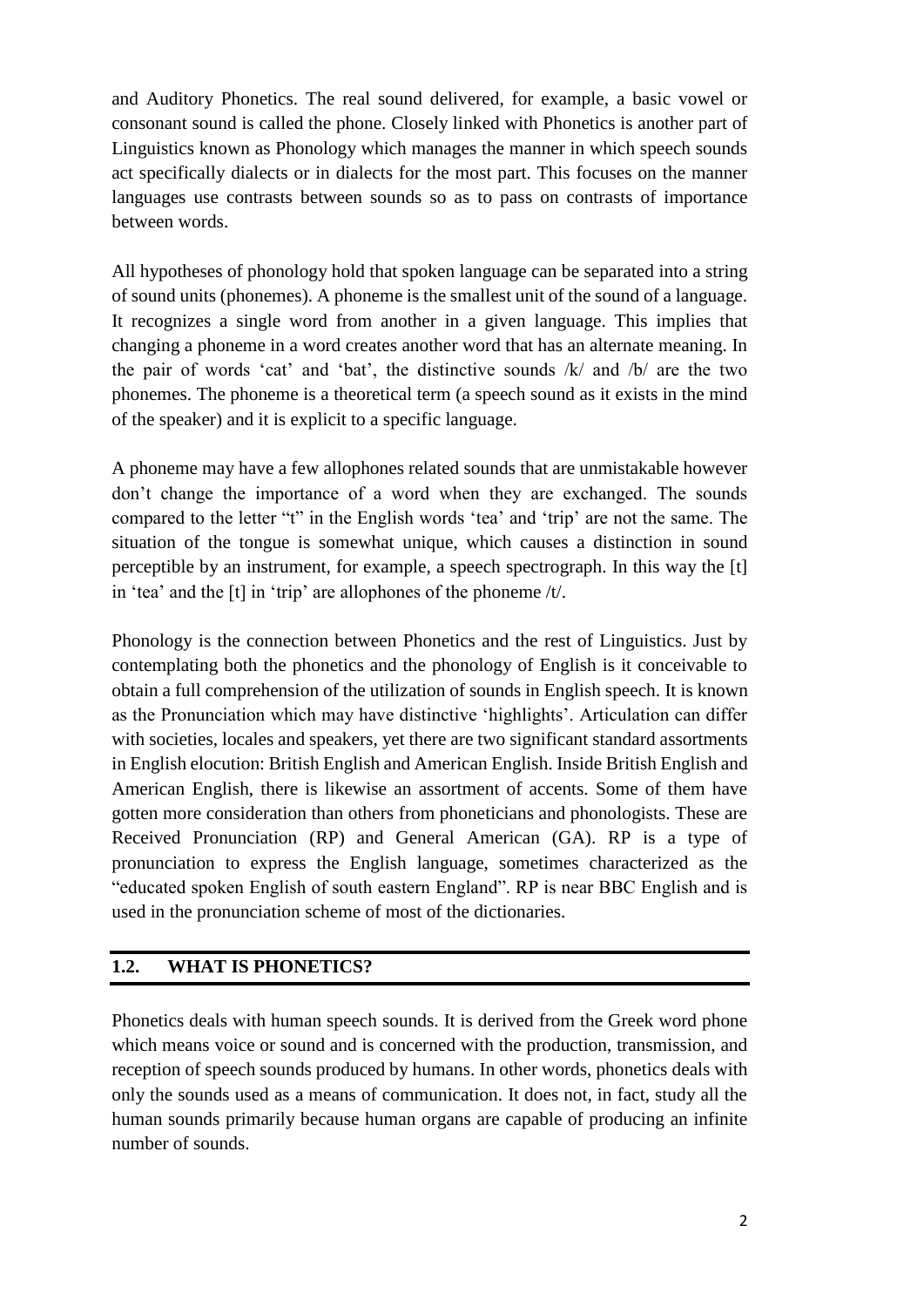We have discussed elsewhere that consonants in English can be either voiced or voiceless depending on how the vocal folds behave when a speech sound is produced.

- **a.) The voiced sounds** are produced when the glottis is closed blocking the pulmonic air (the air from the lungs). Since there is constriction or narrowing of the oral passage, the vocal folds vibrate and produce voiced sounds, e.g.  $/b/$ ,  $/d/$ ,  $/v/$ ,  $/m/$  as in 'ban', 'den', 'van', and 'man' respectively. In addition to some consonants, Vowels which are generally voiced are made with a constriction of the vocal tract, e.g. /iː/ ('peel'), /ɪ/ ('pill'), /uː/ ('pool'), /ʊ/ ('pull'), /e/ ('egg'), /ə/ ('ago'), /ɜː/ ('curl'), /ɔː/ ('court'),  $\alpha$  ('cat'),  $\alpha$  ('cut'),  $\alpha$  ('cart'),  $\beta$  ('cat'),  $\alpha$  ('dear'),  $\alpha$ ('dare'), /ʊə/ ('doer'), /eɪ/ ('fail'), /ɔɪ/ ('foil'), /aɪ/ ('file'), /əʊ/ ('four'), and /aʊ/ ('foul').
- **b.) The voiceless sounds**, on the other hand, are produced with no vocal fold vibration, e.g. /s/ ('sin'), /t/ ('tin'), /p/ ('pin'), and /f/ ('fin'). In the production of such sounds, the glottis remains wide open, as in normal breathing, making the pulmonic air flow freely without causing any vibration of the vocal folds.

Secondly, **the place of articulation** decides the sounds produced which can be bilabial, labiodentals, dental, alveolar, post-alveolar, palatal, palatealveolar, and velar.

- **c.) The bilabial sounds** are produced when both the lips come into contact with each other to form an effective constriction or blockage, e.g.  $/p/$ ,  $/b/$ , /m/ and /w/ as in the English words 'park', 'bark', 'mark', and 'work' respectively.
- **d.) The labio-dental sounds**, e.g. /f/ (as in 'fan') and /v/ (as in 'van') involve the lower lip and the upper teeth. Both these organs come into contact with each other to form an effective narrowing in the vocal tract.
- **e.) The dental sounds** such as /θ/, e.g., 'thought', /ð/, e.g. 'that' are produced when the tip of the tongue makes contact with the teeth or close to the upper teeth to form a constriction.
- **f.)** The alveolar sounds, e.g.,  $/t/$ ,  $/d/$ ,  $/s/$ ,  $/z/$ , and  $/l/$  as in 'tip', 'dip', 'sip', 'zip', and 'lip' respectively are produced when the blade of the tongue makes a contact with the alveolar ridge to form an effective constriction in the vocal tract.
- **g.) The post-alveolar sounds** (e.g. /r/ as in 'rate', 'parrot', 'carriage' etc) are made when the blade of the tongue comes into contact with the postalveolar region of your mouth (the ridge itself but not as far back as the hard palate).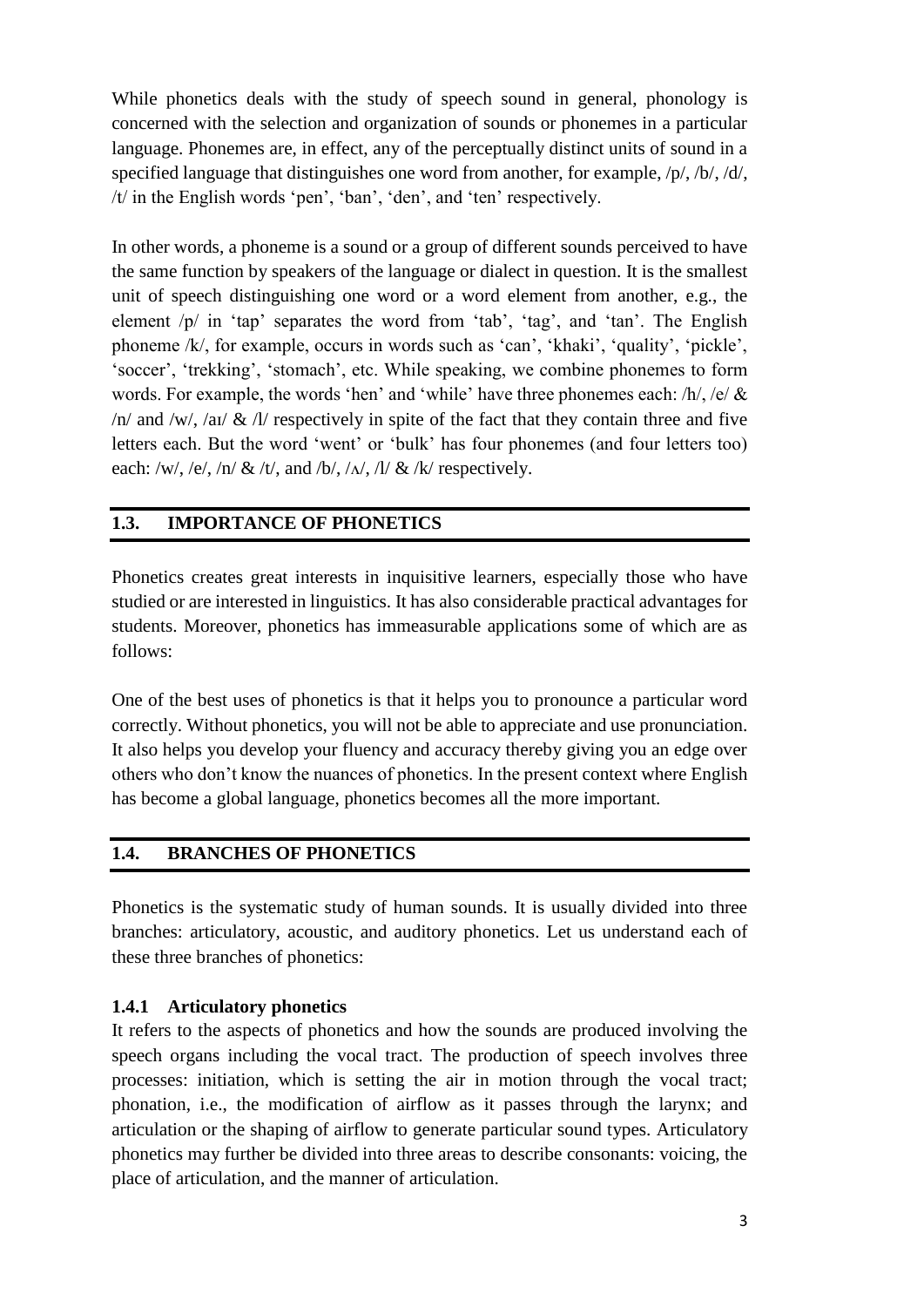- **h.) Palatal sounds** are made with the tongue rising up towards the hard palate in the mouth to form a constriction, e.g.  $\frac{1}{4}$  as in 'yell', 'pure', 'cute' etc.
- **i.)** The palato-alveolar sounds such as  $\sqrt{f}$ ,  $\frac{f}{f}$ ,  $\frac{d\sqrt{g}}{dx}$  as in "sheep', 'cheap' and 'jeep' are formed with the blade or the tip of the tongue touching the region of the alveolar ridge.
- **j.) Velar sounds**, e.g. /k/, /g/, /ŋ/ as in 'kill', 'gill', and 'king' respectively are made when the back of the tongue is raised towards the soft palate and makes an effective constriction.
- **k.) Glottal sounds** are produced in the gap between the vocal cords to make an audible friction, e.g. /h/ as in 'house'.

**1.4.2. The manner of articulation** refers to the way a sound is made, as opposed to the place (where) it's made. Sounds differ in the manner in which they are produced. There are eight manners of articulation of the consonants: plosives, nasals, trill, tap or flap, fricatives, lateral fricatives, approximants, and lateral approximants but for the present purpose, let's discuss only those that are common to English phonetics.

- **a.) Plosives** are sounds made with a stricture of complete closure somewhere in the vocal tract, and the soft palate is also raised. Air pressure increases behind the closure, and is then released with an explosion, e.g. /p/, /b/, /t/, /d/, /k/, and /g/ as in 'pen', 'ban', 'ten', 'den', 'can', and 'gain' respectively.
- **b.) Affricates** are made with a complete closure somewhere in the mouth, and the soft palate is raised. Air pressure increases behind the closure, and is then released more slowly than in plosives, e.g. /tʃ/ as in 'teacher', and /dʒ/ as in 'jury'.
- **c.) Fricatives** are produced by narrowing the distance between the active and passive articulators causing them to be in close proximity, e.g. /f/, /v/, / $\theta$ /,  $\frac{\partial}{\partial y}$ ,  $\frac{\partial}{\partial z}$ ,  $\frac{\partial}{\partial z}$ ,  $\frac{\partial}{\partial \zeta}$ ,  $\frac{\partial}{\partial z}$  (as in words 'fan', 'van', 'thank', 'than', 'sane', 'Zen', 'hen', 'cash', and 'leisure' respectively).
- **d.) Nasals** are made with a stricture of complete oral closure, by the lips or by the tongue against the palate, the soft plate is lowered, and the air escapes through the nose, e.g. /m/ ('ream'), /n/ ('neem') and /ŋ/ ('ring').
- **e.) Laterals** are produced with a partial closure made by the blade of the tongue against the alveolar ridge. Air is able to escape through the sides of the tongue, e.g. /l/ as in 'lime'.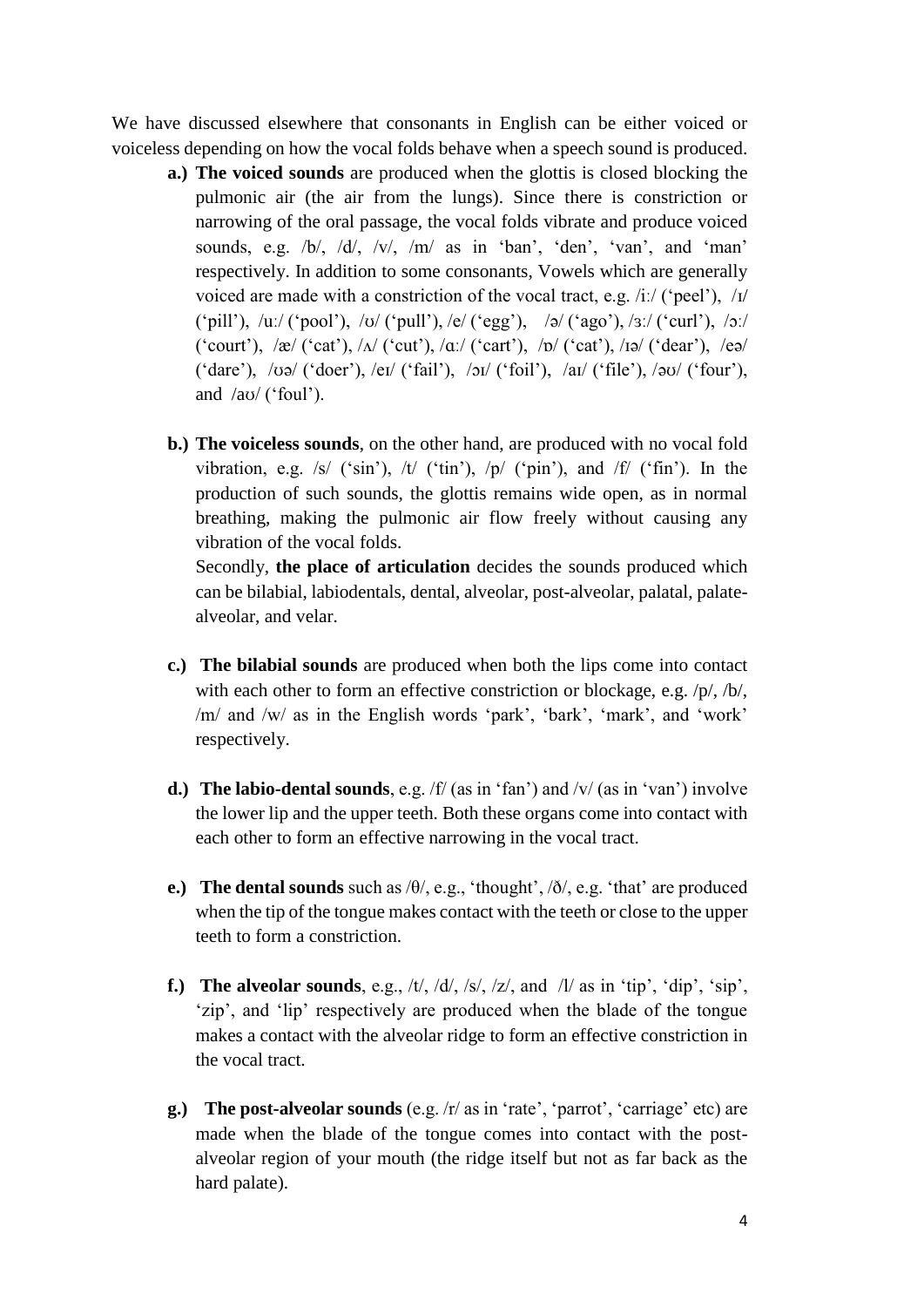**f.) Approximants** are created by narrowing the distance between the two articulators. The vocal organs come near to one another, but not so close as to cause audible friction, i.e. /w/ and /j/ as in 'wet' and 'yet' respectively.

|                        | <b>Table of English Consonant Phonemes</b> |       |     |  |        |   |                            |   |                       |    |          |   |       |                                                                             |  |  |  |
|------------------------|--------------------------------------------|-------|-----|--|--------|---|----------------------------|---|-----------------------|----|----------|---|-------|-----------------------------------------------------------------------------|--|--|--|
|                        |                                            |       |     |  |        |   |                            |   | Place of articulation |    |          |   |       |                                                                             |  |  |  |
|                        |                                            | Front |     |  |        |   | $\blacktriangleright$ Back |   |                       |    |          |   |       |                                                                             |  |  |  |
|                        |                                            |       |     |  | dental |   |                            |   |                       |    | alveolar |   |       | bilabial   labio-   dental   alveolar   palato-   palatal   velar   glottal |  |  |  |
|                        | plosive                                    | p     | b   |  |        |   |                            |   | d                     |    |          |   | $k$ g |                                                                             |  |  |  |
|                        | affricate                                  |       |     |  |        |   |                            |   |                       | tl | dz       |   |       |                                                                             |  |  |  |
|                        | fricative                                  |       |     |  | V      | θ | ð                          | S | z                     |    | 3        |   |       | h                                                                           |  |  |  |
|                        | nasal                                      |       | m   |  |        |   |                            |   | n                     |    |          |   | ŋ     |                                                                             |  |  |  |
|                        | lateral                                    |       |     |  |        |   |                            |   |                       |    |          |   |       |                                                                             |  |  |  |
| Manner of articulation | approxi-<br>mant                           |       | (w) |  |        |   |                            |   |                       |    | r        | j | W     |                                                                             |  |  |  |

(Unvoiced phonemes are on a shaded background. Voiced phonemes are on a white background.)

#### **1.4.3 Acoustic phonetics**

It refers to the study of the physical properties of human speech which aims to analyse sound wave signals that occur within speech through varying frequencies, amplitudes, and durations. In other words, acoustic phonetics studies the physical parameters of speech sounds and is therefore the most "technical" of all disciplines concerned with the study of verbal communication. Sound which is one of the most important aspects of acoustic phonetics can travel across relatively long distances and different waves can move more easily and faster through certain substances than others. There are four main properties of a sound wave, i.e. wavelength, period, amplitude, and frequency.

#### **1.4.4 Auditory phonetics**

This is a branch of phonetics which is concerned with the hearing of the speech sounds. It also deals with speech perception. If articulatory phonetics studies the way in which speech sounds are produced, auditory phonetics focuses on the perception of sounds or the way in which sounds are heard and interpreted. Thus, we may say that while articulatory phonetics is mainly concerned with the speaker, auditory phonetics deals with the other important participant in verbal communication, the listener.

#### **1.5 NECESSARY PHONETICS TO BE ACQUIRED**

In order to be able to speak well and understand what others including the native speakers say, it is necessary for a user to acquire some basic knowledge of phonetics. This includes the airstream mechanisms, the organs of speech, the consonants, the vowels, consonant clusters, syllables, weak forms, the IPA, phonology, phonetics, the difference between phonetics and phonology, the different branches of phonetics,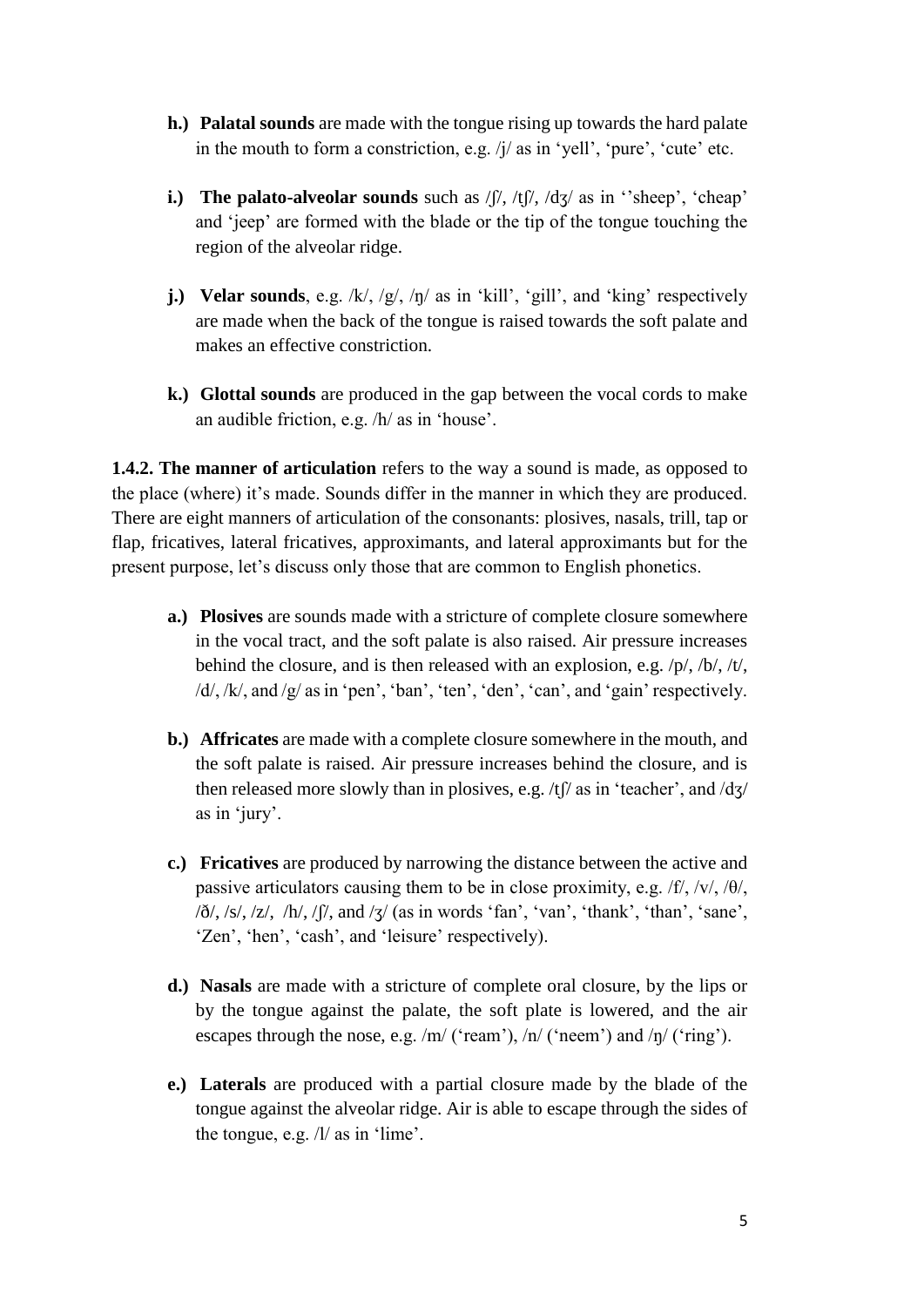phonemes, and allophones, the word accent, accent and rhythm in connected speech, intonation, etc. It is also necessary for a user to know how to transcribe words.

#### **1.6. LET'S SUM-UP**

Phonetics is the study of human speech sounds in general. Phonology, on the other hand, deals with the selection and organization of sounds or phonemes in a particular language. Phonetics is divided into three branches: articulatory, acoustic, and auditory. Articulatory phonetics describes consonants based on three ways: whether they are voiced or voiceless, the place of articulation, and the manner of articulation.

All vowels and some consonants, e.g. /b/, /d/, /v/, /m/ as in 'ban', 'den', 'van', and 'man' respectively are voiced sounds; and consonants such as /s/ ('sin'), /t/ ('tin'), /p/ ('pin'), and /f/ ('fin') are voiceless. The place of articulation gives you sounds such as bilabial (e.g. /p/ 'pen'), labiodentals (e.g. /f/ 'fan'), dental (e.g. /θ/ 'thought'), alveolar (e.g. /d/ ('den'), post-alveolar (e.g. /r/ 'rat'), palatal (e.g. /j/ 'you'), palato-alveolar (e.g.  $/$ f' 'shop') and velar (e.g. /k/ 'cat'). The manner of articulation gives you plosives (e.g. /t/ 'talk'), nasals (e.g. /m/ /man'), fricatives (e.g. /v/ 'van'), approximants (e.g. /w/ 'well') and vowels.

Acoustic phonetics is the study of the physical properties of speech. Auditory phonetics is deals with hearing of speech sounds and with speech perception. It is helpful for you to have some basic knowledge of phonetics such as the airstream mechanisms, the organs of speech, the consonants, the vowels, consonant clusters, syllables, weak forms, the IPA, phonetics and its branches, phonemes, and allophones, the word accent, accent and rhythm in connected speech, intonation, etc.

#### **1.7 KEY TERMS**

- **Acoustic phonetics** refers to the study of the physical properties of speech and aims to analyse sound wave signals that occur within speech through varying frequencies, amplitudes and durations.
- **Articulators** are the different parts of the vocal tract that can change the shape of the airflow to produce speech.
- **Articulatory phonetics** is the branch of phonetics concerned with describing the speech sounds of the world's languages in terms of their articulations, that is, the movements and/or positions of the vocal organs.
- **Auditory phonetics** is a branch of phonetics concerned with the hearing of speech sounds and with speech perception.
- **IPA**-International Phonetic Alphabet: a system of symbols used for representing speech sounds.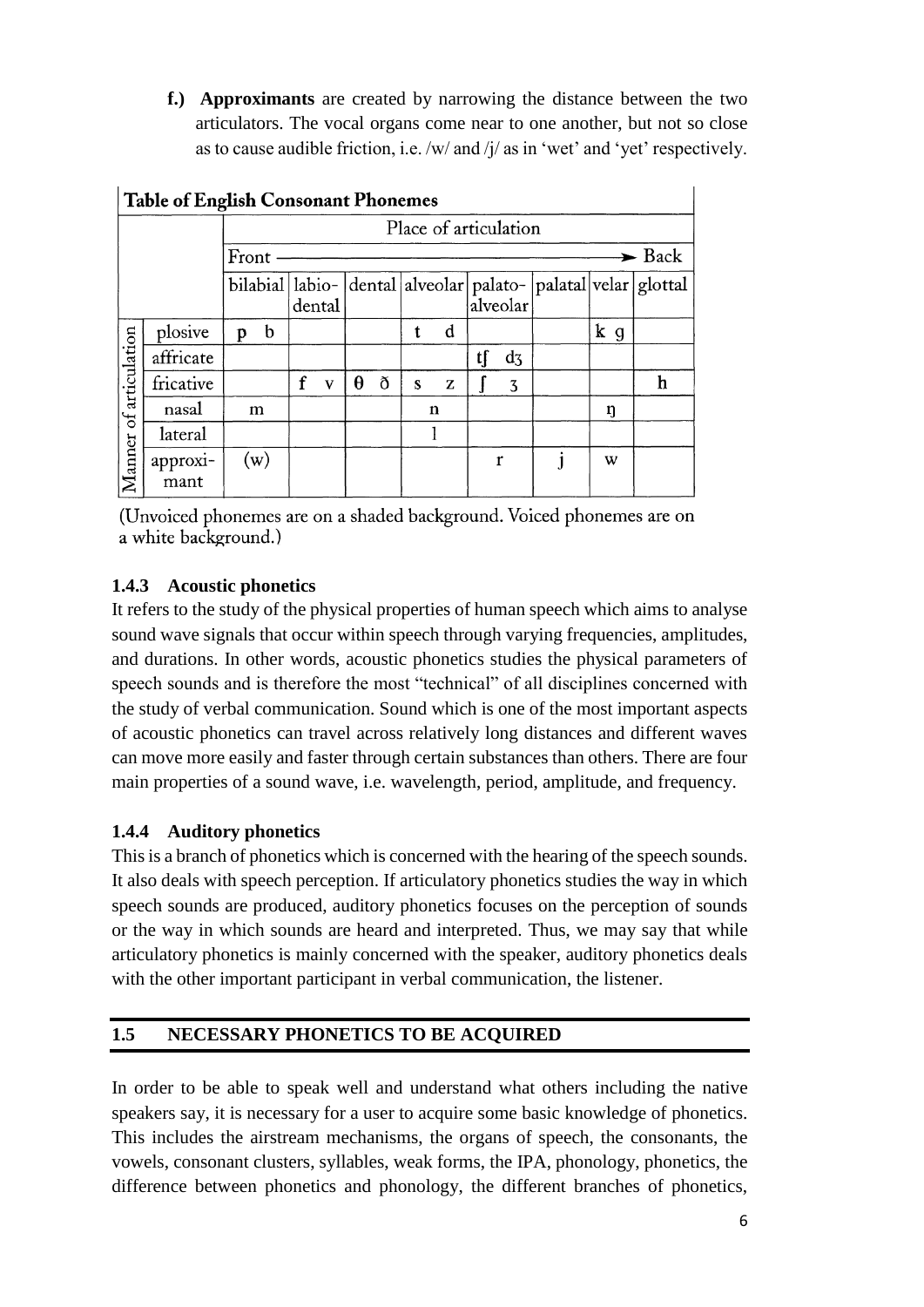- **Manner of Articulation** refers to the configuration and interaction of the articulators (speech organs such as the tongue, lips, and palate) when making a speech sound.
- A **phoneme** is an individual speech sound that makes one word different from another, e.g. /b/ and /f/ as in 'bill' and 'fill'.
- **Phonetics** refers to the study of speech sounds used by human beings.
- **Phonology** is the study of the pattern of speech sounds used in a particular language.
- **Place of Articulation** or the point of articulation of a consonant is the point of contact where an obstruction occurs in the vocal tract between an articulatory gesture, an active articulator and a passive location
- **Voiced sounds** are produced when air passes over the vocal cords, e.g. /b/, /v/, /d/, /z/
- **Voiceless sounds** are produced when vocal cord/fold does not vibrate, e.g. /f/,  $\frac{s}{s}$ .
- The **vowel** is a sound that you make when you speak without closing your mouth or throat.

#### **1.8 CHECK YOUR PROGRESS**

1. Define phonetics.

| 2. How is phonetics different from phonology? |
|-----------------------------------------------|
|                                               |
|                                               |
|                                               |
|                                               |
| 3. Discuss the branches of phonetics.         |
|                                               |
|                                               |
|                                               |
|                                               |
| 4. Why should you acquire phonetics?          |
|                                               |
|                                               |
|                                               |
|                                               |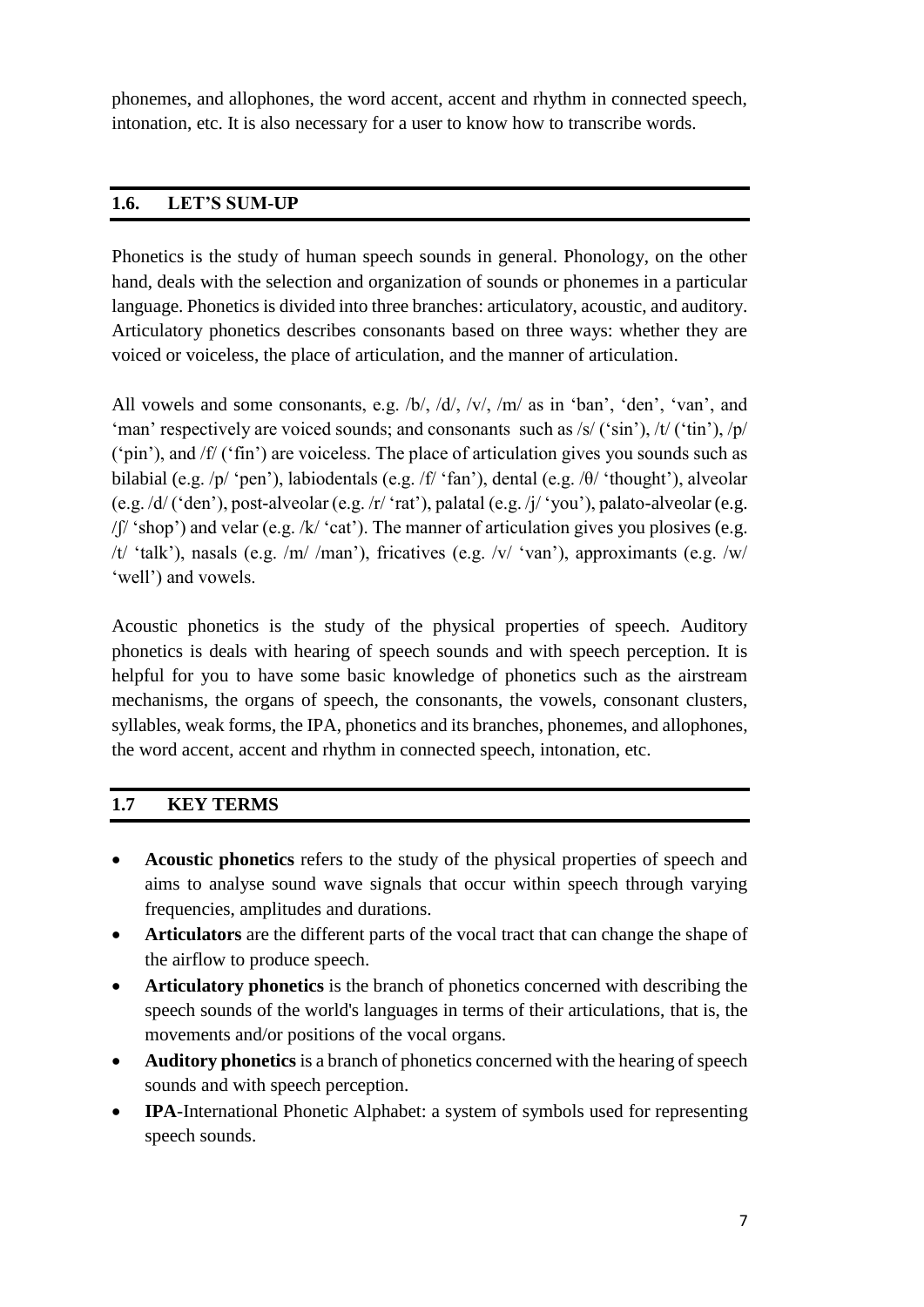#### **1.9 REFERENCES & FURTHER READINGS**

Balasubramanian. 1981. *A Textbook of English Phonetics for Indian Students*. Madras: Macmillan India Ltd.

Bansal, R.K.and J.B.Harrison. 1972. *Spoken English for India*. Madras: Orient Longman Ltd.

Behera, Arun. 2020. *You can Speak English with 'elan*. Coimbatore: The Dawn Publishers

Jones, Daniel. 16th ed. 2003. *Cambridge English Pronouncing*

*Dictionary*. Noida: Cambridge University Press.

Rajapurohit, B.B. 2015. *Phonetics and its Applications to Different Areas*. Thiruvananthapuram: ISDL

#### **1.10 KEY TO EXERCISE**

- 1. Phonetics is with the study of human speech sounds and their propertiesarticulatory, auditory and acoustic-in a spoken language.
- 2. While phonetics deals with the study of human speech sounds and their properties, phonology deals with the selection and organization of sounds in a particular language.
- 3. There are three branches of phonetics: Articulatory Phonetics, Acoustic Phonetics and Auditory Phonetics.
- 4. We should acquire phonetics in order to be able to speak English well. It will also help us in transcribing words.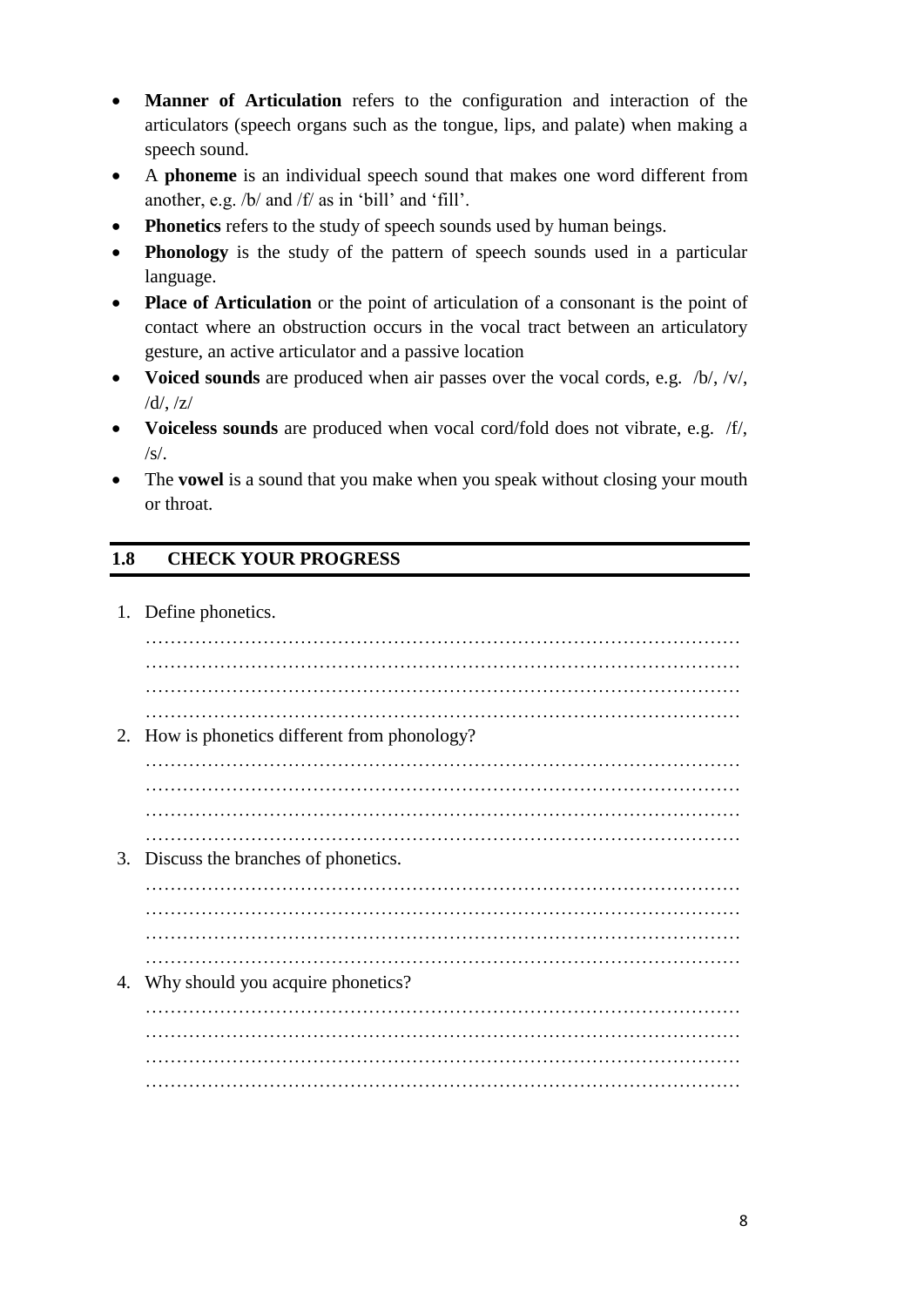## **UNIT-2 MORPHOLOGY**

#### **Structure**

- 2.0 Objective
- 2.1 Introduction
- 2.2 Morphology
- 2.3 Inflectional Morphology
- 2.4 Derivational Morphology
- 2.5 Exocentric compounds
- 2.6 Adjective-adjective compound
- 2.7 Constraints of productivity
- 2.8 Let Us Sum Up

#### **2.0 OBJECTIVE**

After reading this unit learners would be able to:

- $\triangleright$  Know what Morphology is.
- $\triangleright$  Analyse how it is often referred to as grammar of word, the set of rules which govern the words in a natural language.
- $\triangleright$  Evaluate Morphology as the layer of linguistics which is primarily concerned with the internal structure of words, whether these be simple or complex words, whether they contain grammatical information or have a purely lexical status.

#### **2.1 INTRODUCTION**

Language is analysed at various levels. As maintained by many linguists, language is analysed at various levels. These are the levels of:

- 1. Sounds (Phonetics and phonology)
- 2. Words (morphology)
- 3. Structure (Syntax)
- 4. Context (Pragmatics)
- 5. Meaning (Semantics)

Phonetics is the discipline which deals with the study of sounds. The set of possible human sounds are studied under this discipline and the set of sound system used in a particular natural language is studied under the discipline of phonology.

Morphology is the study of words and how given sounds combine together to form a word. The term morphology refers to the analysis of minimal forms in language which are constituted of sounds and are used to make words which have either a grammatical or a lexical function. Syntax is the study of how words combine together to form a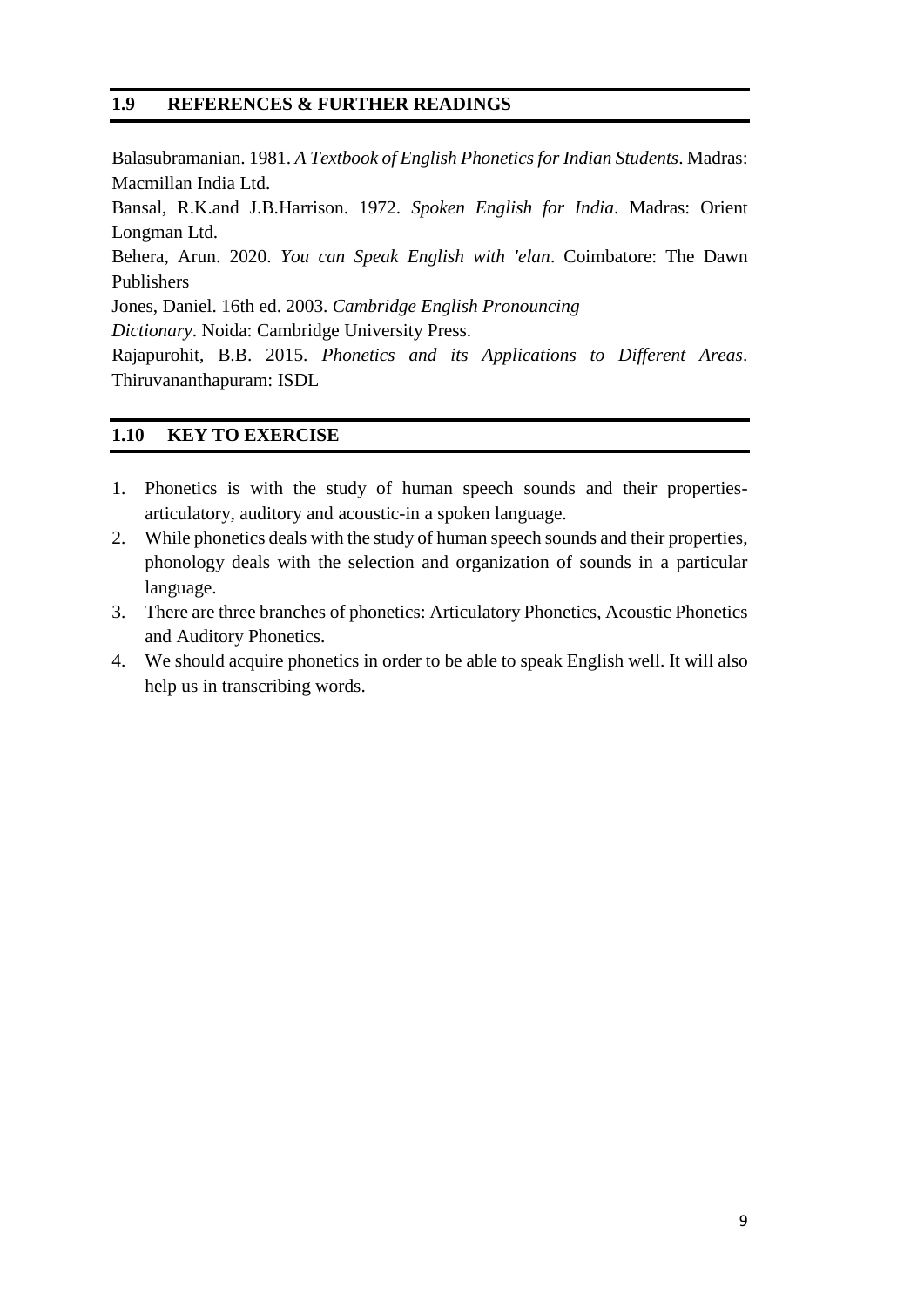sentence. It is concerned with the meanings of words in combination with each other to form phrases or sentences. Semantics is the study of meaning. Here one touches, however, on practically every other level of language as well as there exists lexical, grammatical, sentence and utterance meaning. Pragmatics The concern here is with the use of language in specific situations. The discipline of pragmatics depends for its analyses on the notion of speech act which is concerned with the actual performance of language in a contextually defined scenarios.

#### **2.2 MORPHOLOGY**

Morphology is the study of words. It studies the internal structure of the words and how they change their form to generate new words and the kinds of different roles they play in a sentence, strictly following the linguistic rules. Morphology is often referred to as grammar of word, the set of rules which govern the words in a natural language. During antiquity, grammars of languages were based on the models of classical Latin and Greek which themselves were rooted in Sanskrit, which consisted of a large number of endings. Morphology is the layer of linguistics which is primarily concerned with the internal structure of words, whether these be simple or complex words, whether they contain grammatical information or have a purely lexical status. There are various aspects which have to be kept in mind while dealing with words and their forms. The fundamental concept in morphology is that of lexeme. For example, boy and boys are both the same word, in the sense that they have the same lexeme boy. It is a unit in morphology which exists regardless of the fact that there can be multiple forms of that particular word. For example, walk/ walked/ walking/ walks are all forms of a single lexeme called walk. 3 These lexemes constitute the lexicon of a speaker. Lexicon is the mental vocabulary of a person which only keeps a list of all the lexemes. In morphology, a morpheme is the smallest meaningful grammatical unit of a language. A morpheme may or may not be an independent identity. This is so because, it may stand alone as an independent meaningful unit. On the other hand, it may or may not stand as an independent unit. If a morpheme can represents an independent meaning, it is called a root. For example, in the word like cats, cat is a root which can exist independently. -s on the other hand is the plural marker. Such words are also called as free morphemes. Some of the examples of free morphemes are: cat, run, happy, fast, good, friend etcetera. Bound morphemes appear as a part of a word. They have a meaning but they cannot exist independently on their own. They have to be a part of word to convey their meaning. For example, -ness in happiness, -ly in highly, -s in boys, -ful in spoonful, -ed in walked, ir- in irreparable etcetera. Bound morphemes are further classified into Inflectional morphemes and derivational morphemes. Words and their forms are created on the basis of the rules provided by Inflectional and derivational morphology.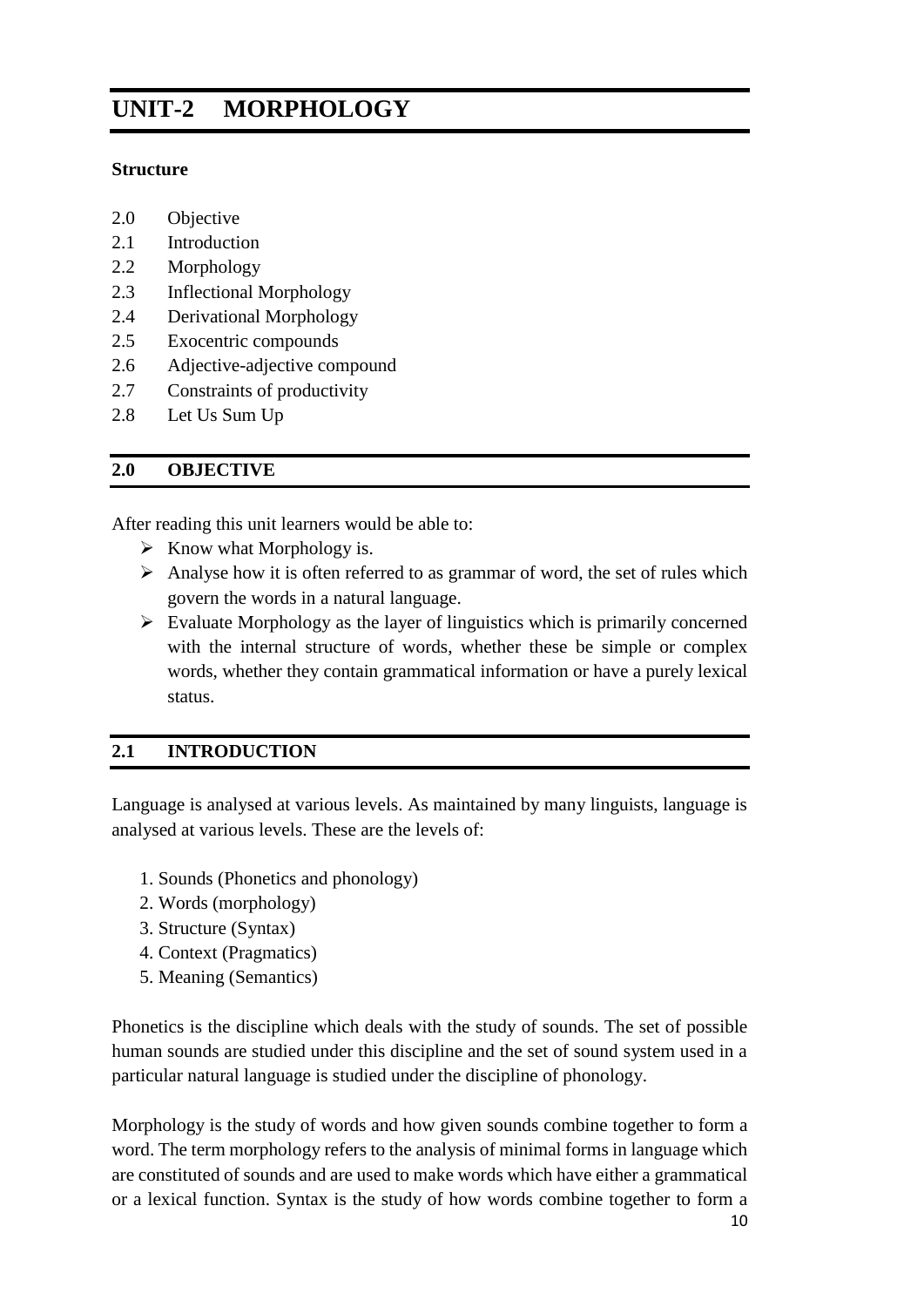#### **2.3 INFLECTIONAL MORPHOLOGY**

Let us look at some sentences first. 1. The violinist performed in the plaza yesterday. 2. The violinist performs in the plaza everyday. 3. The violinist will perform in the plaza next week. 4. The violinist is performing in the plaza right now. 5. The performance of the violinist was magnificent. In sentence 1,2,3 and 4 the verb to perform is changing its form in accordance with the tense, aspect and mood. In sentence 1, suffix -ed is added to the root perform to express past tense. 4 In sentence 2, suffix -s is added to the root perform because it is grammatically conditioned by the third person singular subject of the subject the violinist. In sentence 3, modal+ verb is introduced to express an act in future. In sentence 4, -ing form is attached to the root of the verb to express an action which is going on. On the other hand, in sentence 5, the word performance is not a verb; it is a noun. In first four sentences, the grammatical category i.e. verb remains constant whereas in the last sentence the grammatical category changes from verb to noun. Sentence 1 to 4 are an instance of inflection while sentence 5 is an instance of derivation. We will now discuss inflectional morphology in detail. We will come back to derivational morphology later. Inflectional morphology creates new forms of the same word, whereby the new forms agree with the tense, case, voice, aspect, person, number, gender and the mood of an utterance. The inflection of verbs is called as conjugation whereas the inflection of nouns, adjectives, prepositions, adverbs and articles is called as declension. The inflected form of a word often contains both one or more free morphemes (a unit of meaning which can stand by itself as a word), and one or more bound morphemes (a unit of meaning which cannot exist independently as a word). Words which never undergo the process of inflection are said to be invariant; for example, the English verb must is an invariant item: it never takes a suffix or changes form to signify a different grammatical category. Its categories can be determined only from its context. For example,

- 1. You must put down your thoughts in writing.
- 2. The must has been examined by the experts. In the first sentence, must has been used as a verb. But in the second sentence, must has been used as a noun. The set of related forms of a word is called as a paradigm. For example, jump: jump/jumped/jumps/ jumping dance: dance/danced/dances/dancing gobble: gobble/ gobbled/ gobbles/gobbling

An inflected form expresses its grammatical category/s through various prefixes and suffixes it gets attached to. A prefix is a bound morpheme, which is added in the beginning of the word to create a new form. For example, un- is added before happy and generates unhappy which is the antonym of the former. Some more instances are: in+ justice= injustice in+ appropriate= inappropriate un+ likely= unlikely ir+ responsible= irresponsible When a bound morpheme is attached to the end of the word, then such morphemes are called as suffixes. For example walk+  $ed=$  walked kitchen+ ette= kitchenette damage+ ed= damaged cow+ s= cows A circumfix is another kind of an affix which attaches itself to the base and surrounds it. For example en+ light+ en= enlighten em+ bold+ en= embolden dis+ continue+ ous= discontinuous 6 An infix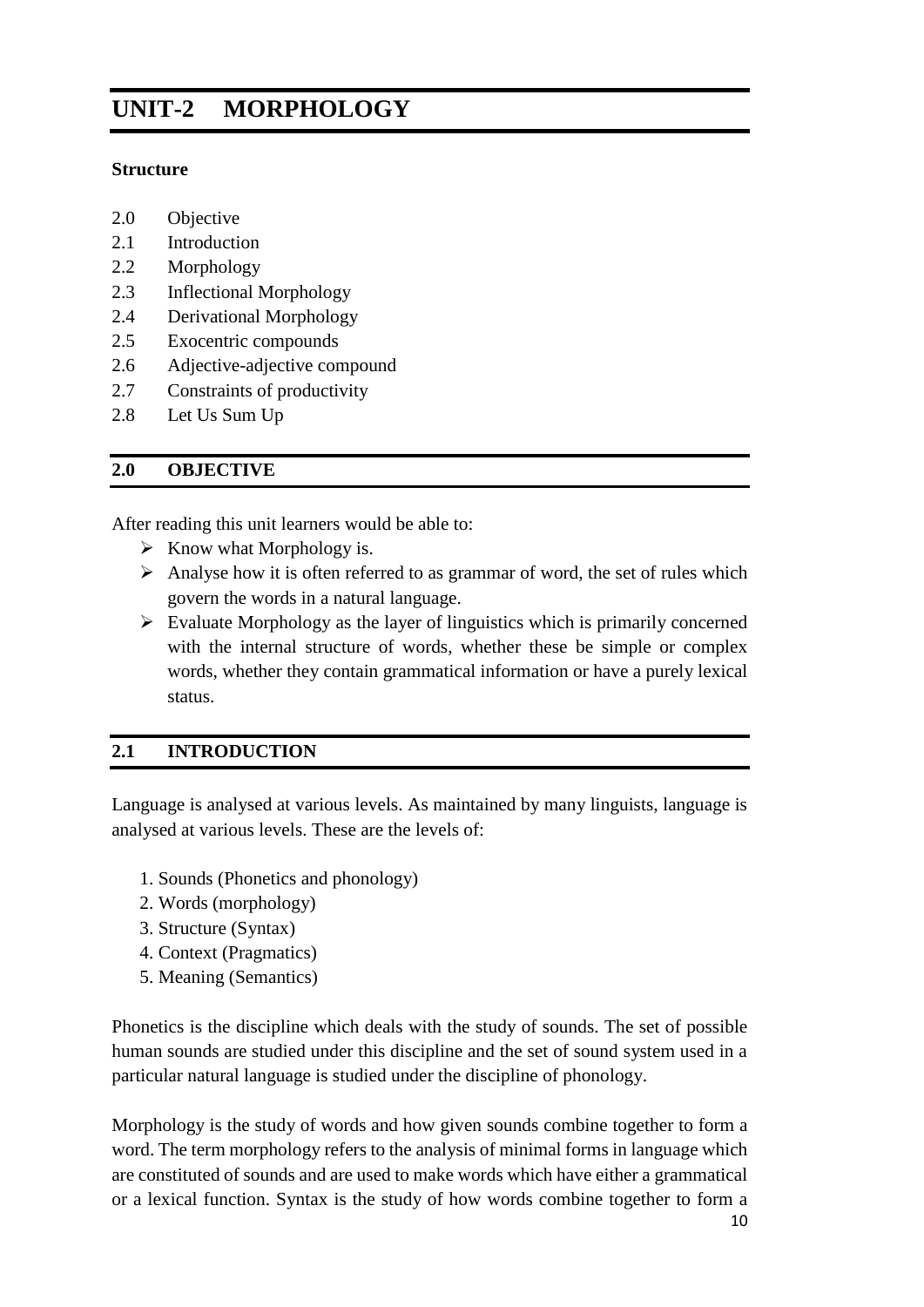is an uncommon affix which is inserted within the root. It is a characteristic feature of hip hop slang. For example, absolutely+ blooming= abso-bloomin-lutely Inflections can be broadly classified into : a. Regular inflection b. Irregular inflection Regular inflection refers to those inflections which follow a standard pattern. For example:  $d$ ance+ ed= danced merge+ ed= merged boy+ s= boys competition+ s= competitions The regular suffix for a verb is -ed. For example: surge+ ed= surged roam+ ed= roamed But this -ed is phonologically conditioned. In other words, the ending sound of the root decides the pronunciation of the past form of a particular verb. It is pronounced as /t/, /d/ and /id/. If the final sound of the root is an unvoiced sound then the suffix -ed is pronounced as /t/. For example, hope+ ed= hoped (-ed pronounced as  $/t$ ) talk+ ed= talked (-ed pronounced as  $/t$ ) If the final sound of the root is voiced sound then the suffix -ed will be pronounced as  $/d$ . For example, judge + ed= judged (-ed pronounced as  $\langle d \rangle$ ) open+ ed= opened (-ed pronounced as  $\langle d \rangle$ ) If the final sound of the root is  $/t/$  or  $/d/$  then the suffix -ed will be pronounced as  $/id/$ . For example, hand+ ed= handed (-ed pronounced as /id/) post+ ed= posted (-ed pronounced as /id/) Similarly, the regular plural morpheme is suffixed to the end of the English nouns. For example, rose+  $s=$  roses stop+  $s=$  stops Similar to the past suffix -ed, -s is also phonologically conditioned. In other words, the ending sound of the root decides the pronunciation of the plural form of a particular noun. It is pronounced as /s/, /z/ and  $/iz/$ . If the last consonant of the word is voiceless, then the -s is pronounced as  $/s/$ . cup+ s= cups (-s pronounced as  $\langle s \rangle$ ) cliff+ s= cliffs (-s pronounced as  $\langle s \rangle$ ) If the last letter of the words ends in a voiced sound, then the -s is pronounced like  $a / z$ , boy+s= boys (s pronounced as  $\langle z \rangle$  gem+s= gems (-s pronounced as  $\langle z \rangle$ ) If the last letter of the word is a sibilant, then the -s is pronounced like a  $\langle i \mathbf{z} \rangle$ . rose+s= roses (-s pronounced as  $\langle i \mathbf{z} \rangle$ ) bush+s= bushes (-s pronounced as /iz/) There are more many verbs and nouns which exhibit irregular inflection. Words with irregular inflections do not fall in the above mentioned categories. For example, mouse  $s =$  mice child  $s =$  children man  $s =$  men Even the comparative and superlative degrees of certain adjectives exhibit this property. For example, good, better, best bad, worse, worst Irregular inflection is also exhibited in many verbs. The form generated after adding the suffix -ed is entirely different from its base. 8 For example, throw+ ed= threw sing+ ed= sang Suppletion is another process which occurs in inflectional morphology. The occurrence of phonemically unrelated allomorphs of a morpheme is called as suppletion. For example, go+ ed= went good+ er= better bad+ er= worse

#### **2.4 DERIVATIONAL MORPHOLOGY**

Derivational morphemes are affixes which are added to a lexeme to change its meaning or function. It basically involves two significant processes. One major difference which distinguishes Inflectional morphology from derivational morphology is that, the latter does not only change the form of a word, it also changes the category and the meaning of the word. One of them is affixation and the other one is compounding and the other affixation. Compounding occurs when two or more words are joined together to form a meaningful longer word. For example:  $scare+crow =$ scarecrow post+office= postoffice maid+ servant= maidservant bitter+sweet=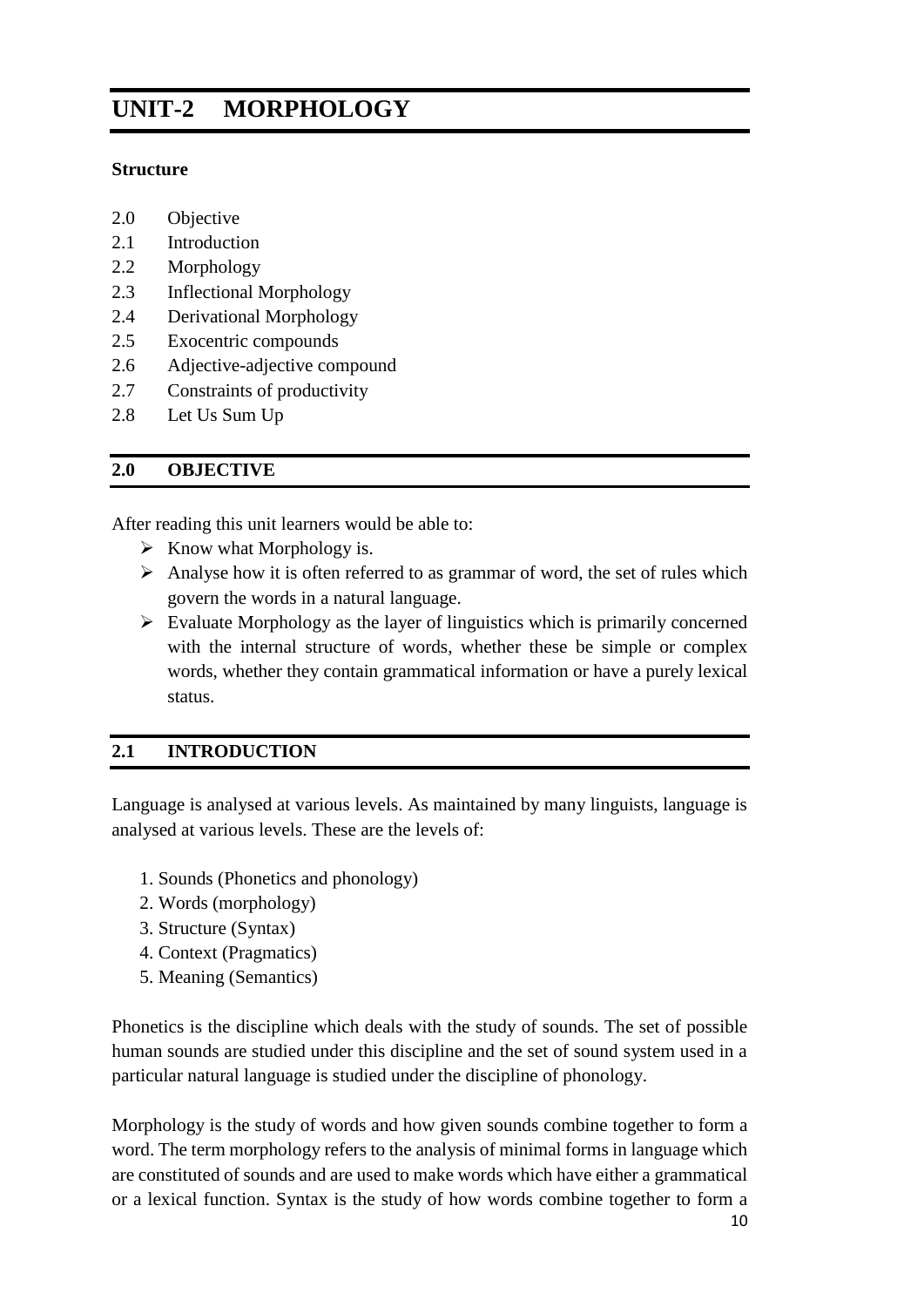bittersweet Semantically speaking compound words can be of four types. They are exocentric, endocentric, copulative and appositional.

#### **2.4.1 Endocentric compounds:**

An endocentric compound consists of a head whereby the meaning gets restricted to the head of the compound. For example: steamboat, blackboard, hairbrush, tablecloth etcetera.

#### **2.4.2 Exocentric compounds:**

In an exocentric compound, there is a formal head but the meaning is not restricted to the head of the compound. The meaning generated is totally independent of the word formed. For example, scarecrow, spoilsport, killjoy, pickpocket etcetera. Copulative compounds: In a copulative compound words, both the words are considered as head. In other words, they both contribute to the overall meaning of the compound word. For example, deaf-mute, bittersweet, poet-doctor etcetera. Appositional compounds: An appositional compound is formed when two contrary characteristics define the meaning of the resultant compound. For example, player-coach, maidservant. Almost all the natural languages exhibit the case of compound formation. Since we have already dealt with the semantic classification of the compounds, let us now explore the syntactic classification of the compounds. Syntactically speaking, compounds can be divided into four broad categories, but many more minor categories exist. Broad categories of compounding are: 1. Noun-noun compounding: When two or more nouns are combined together, the resulted compound word is also a noun. For example: keyboard, doghouse, sunflower, greenhouse etcetera. 2. Verb-noun compounding: these kinds of compound words are formed by the combination of a verb and its object. For example, spoilsport, rainfall, breakfast, pickpocket etcetera. 3. Verb-verb compounding: Verb-verb compounds are formed as a result of sequencing of two verbs. A compound verb may also include a prepositional verb, phrasal verb and an auxiliary with a verb. For example, oversee, backspace, wear away etcetera.

#### **2.5 ADJECTIVE-ADJECTIVE COMPOUND**

In the case of adjective-adjective compound, two attributes are joined together to form a single idea. For example, bittersweet, high speed, part-time. Affixation is another linguistic process in which prefixes, suffixes and circum-fixes are added to a word to derive a new form out of it. Affixation can be both inflectional and derivational. In the case of inflection, affixes do not change the grammatical category of the word. For example, boy, boys hop, hopping, hops, hopped In the case of derivation, the grammatical category of a word changes. The meaning of the derived form has a strong connection with the root. For example, happy, happiness develop, development Productivity One of the most vital aspect of derivational affixes is their productivity. Some affixes are more productive than the others. In other words, they can be used more freely than other affixes. Productivity is a relative phenomenon. Some affixes are more productive while some are less. Bauer (2001) makes a clear distinction between productivity and creativity. He posits that productivity is a rule governed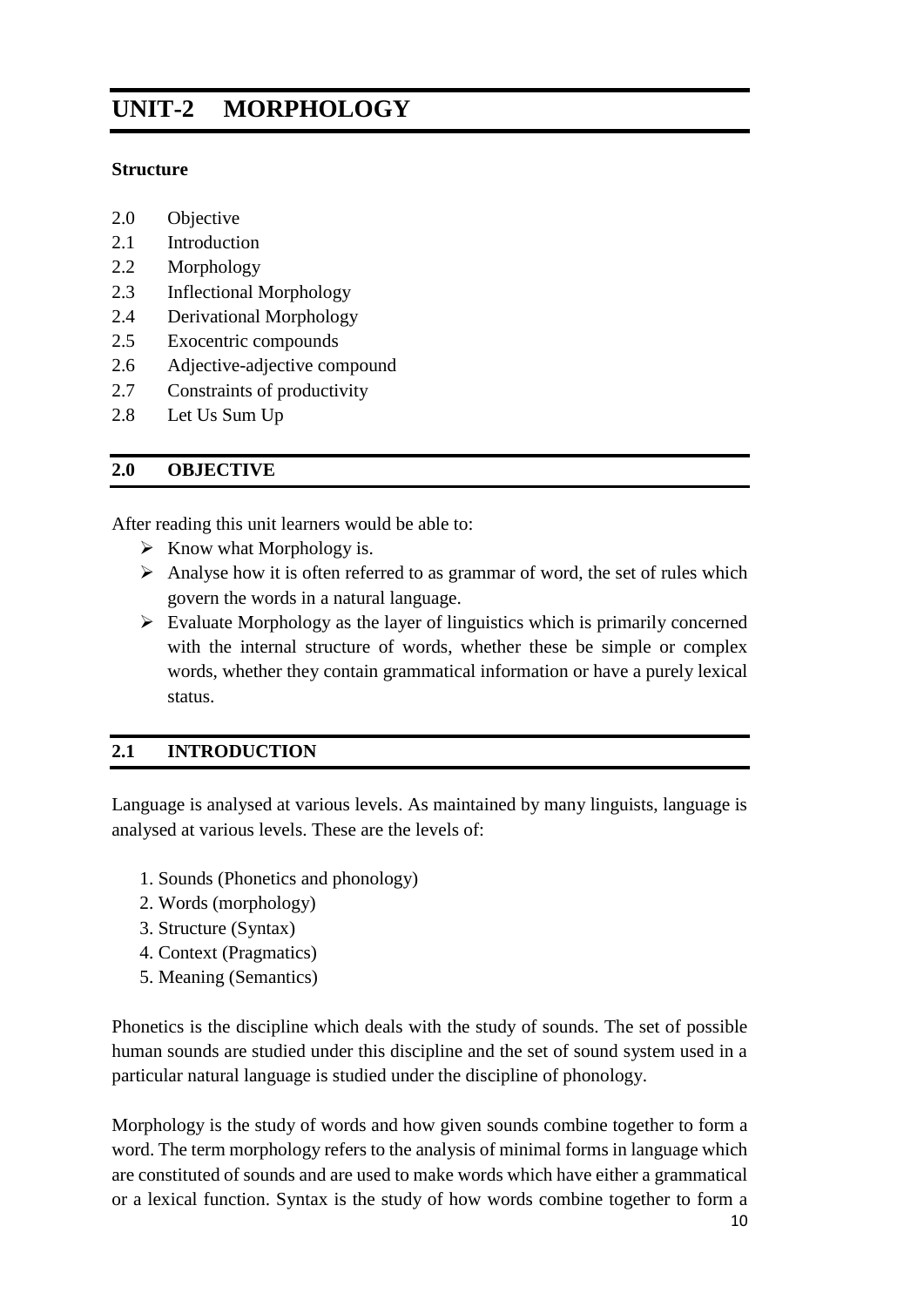linguistic process while creativity is not. Creativity, on the other hand is a language feature which has been often termed as 'productivity' by linguists like Hockett, chomsky and others. Creativity as recognised by them is language feature which enables human being to generate infinite number of words and utterances from a finite set of words and sentences. For example, when a prefix un- is added to adjectives and theirs derivatives and adverbs, then usually an antonym of that particular word is generated. In another context, it also shows the reversal of a particular action. For example, Meaning 'not' un+ fair= unfair un+ accept= unaccept un+ abridged= unabridged Meaning 'reversal of action' un+ fasten= unfasten un+ do= undo un+ cork= uncork As we saw in the above example, productivity is a rule governed process. We cannot add the prefix un- to any word and expect a new word to sprout. For example: un+ regularize= \*unregularize un+ possible= \*unpossible un+ replaceable= \*unreplaceable Now let us look at some of the suffixes: The latinate suffix -ist is added to a noun to form an adjective or a noun. -er on the other hand, is added to a verb to generate agentive nouns. -er is one of the most productive suffix of all because, it can be attached to almost all the verbs and thus create an agentive noun. For example, teach+ er = teacher garden + er= gardener learn + er= learner begin + er= beginner Many linguists like Matthews and Anderson recognise the notion of semiproductivity. This category consists of those idiosyncratic affixes which do not get attached to apparent eligible words. Not only this, when such affixes are used, then the resultant meaning of the word gets narrowed significantly.

| <b>Set A</b>                 | <b>Set B</b>    |
|------------------------------|-----------------|
| Depend + ant = dependent     | *barkant        |
| $Context+ant = context$      | *preachant      |
| Assist $+$ ant $=$ assistant | *accomplishment |

#### **2.6 CONSTRAINTS OF PRODUCTIVITY**

The most common phenomenon which provides a constraint for productivity is called as blocking. Blocking happens due to some specific semantic, phonological or morphological reasons. Let us look at some examples, there is separate nominal form for the verb to steal which is thief. Therefore, one cannot generate a term \*stealer to refer to someone who steals. In the case of phonological constraints, suffix -en can be added to a word which ends with an obstruent sound like black + en= blacken 13  $*$ fine  $+$  en  $=$  finen some other affixes are also sensitive to the morphological constraints. Words which take -ize suffix can be converted into a noun by adding another suffix ation. For example, generalize + ation= generalization capitalise + ation= capitalisation colonize+ ation= colonization this rule again prohibits the above mentioned bases to get attached to other suffixes like -age, -ment, -al. Similarly, certain words which take a prefix like un-, for example un+ well= unwell un + intentionally = unintentionally un + fair = unfair They cannot take any other prefix with them. For example, in+ well= \*inwell in+ intentionally= \*inintentionally in+ fair= \*infair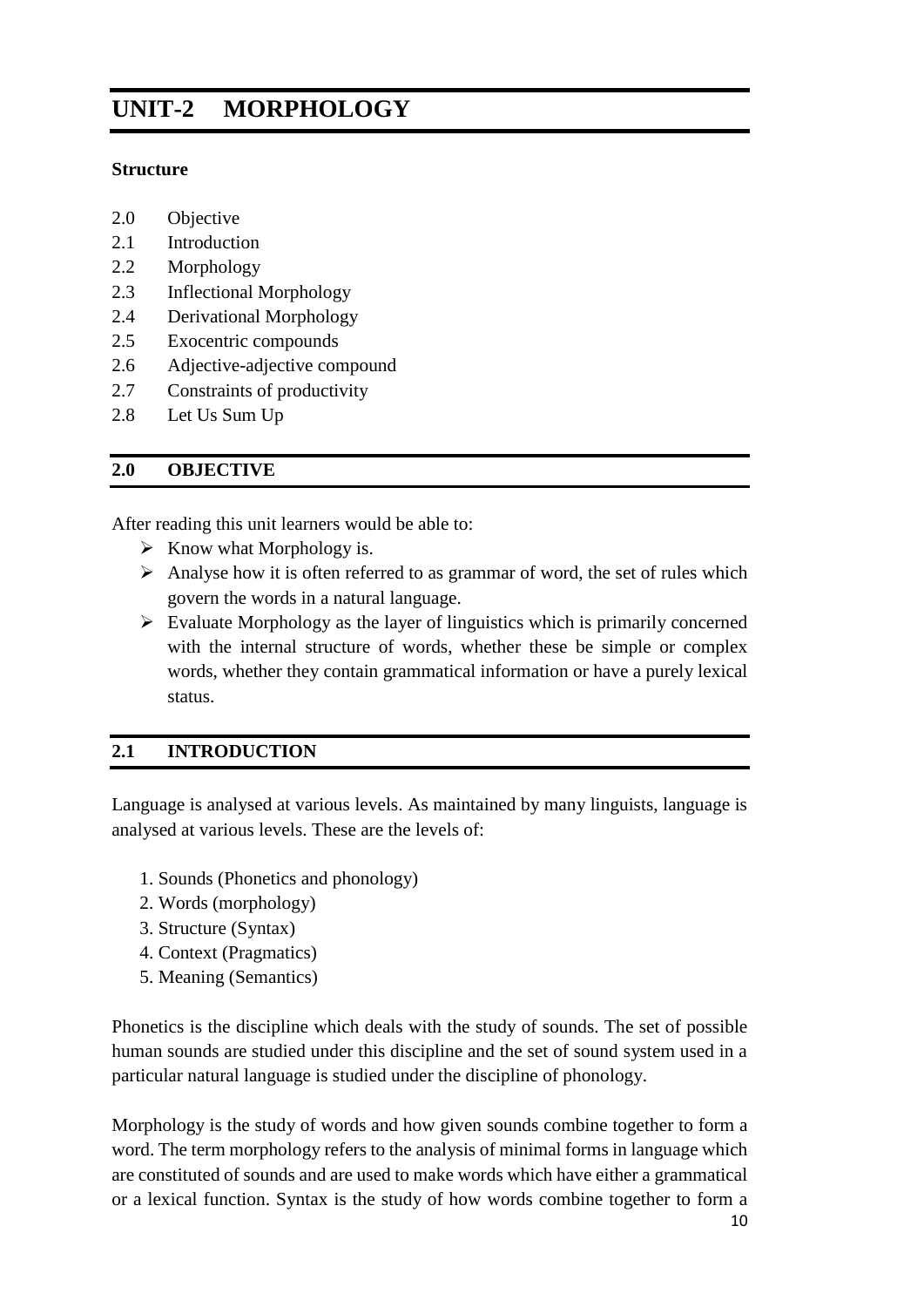#### **2.7 LET US SUM UP**

Inflection and Derivation are two extremely vital processes which have provided infinite words to all the natural languages. Let us now sum up the module by identifying the major differences between inflectional morphology and derivational morphology.

| <b>Inflectional Morphology</b>           | Derivational Morphology                   |
|------------------------------------------|-------------------------------------------|
| They do not change the grammatical       | In most of the instances derivation       |
| category of the word.                    | changes the grammatical category of       |
|                                          | the word                                  |
| They are often used to contribute to the | They eventually lose their meaning as     |
| meaning of the words, thus coining       | the new words have a distant              |
| new words.                               | resemblance to the meaning of the         |
|                                          | root.                                     |
| They tend to occur outside the           | They have major chances of getting        |
| derivational affixes                     | attached to the root.                     |
| They provide syntactic information       | Their contribution is lexical restricted. |
| about the word or even a sentence.       |                                           |

#### **2.8 CHECK YOUR PROGRESS**

1. What is the difference between Inflectional Morphology and Derivational morpheme?

………………………………………………………………………………………… …………………………………………………………………………………………  $\mathcal{L}^{\text{max}}_{\text{max}}$ ………………………………………………………………………………………… ………………………………………………………………………………………… ………………………………………………………………………………………… …………………………………………………………………………………………

2. What do you mean by Constraints of productivity? ………………………………………………………………………………………… ………………………………………………………………………………………… ………………………………………………………………………………………… …………………………………………………………………………………………  $\mathcal{L}^{\text{max}}_{\text{max}}$ 

…………………………………………………………………………………………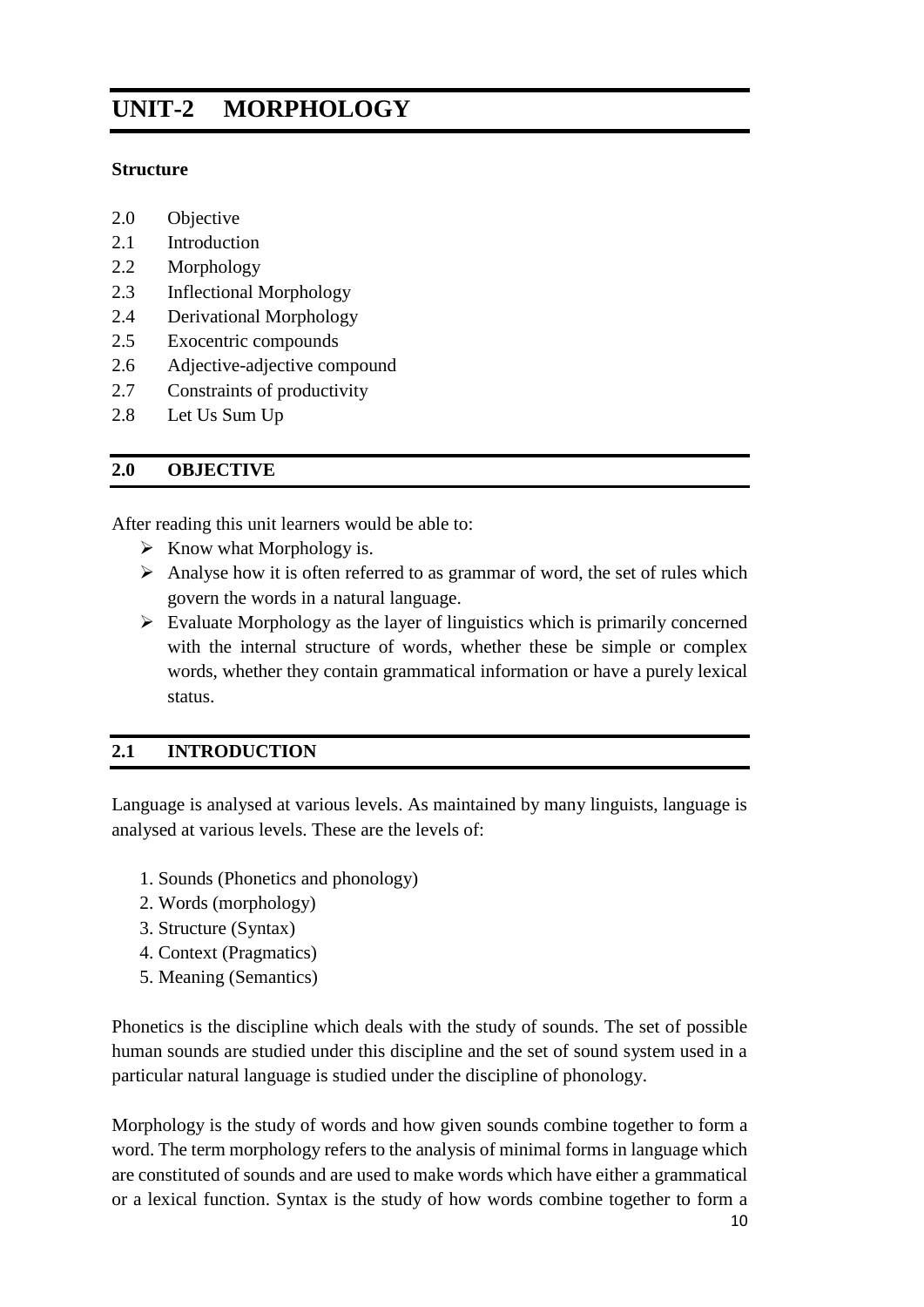3. What do you mean by endocentric compound?

## 4. What do you mean by Exocentric compound?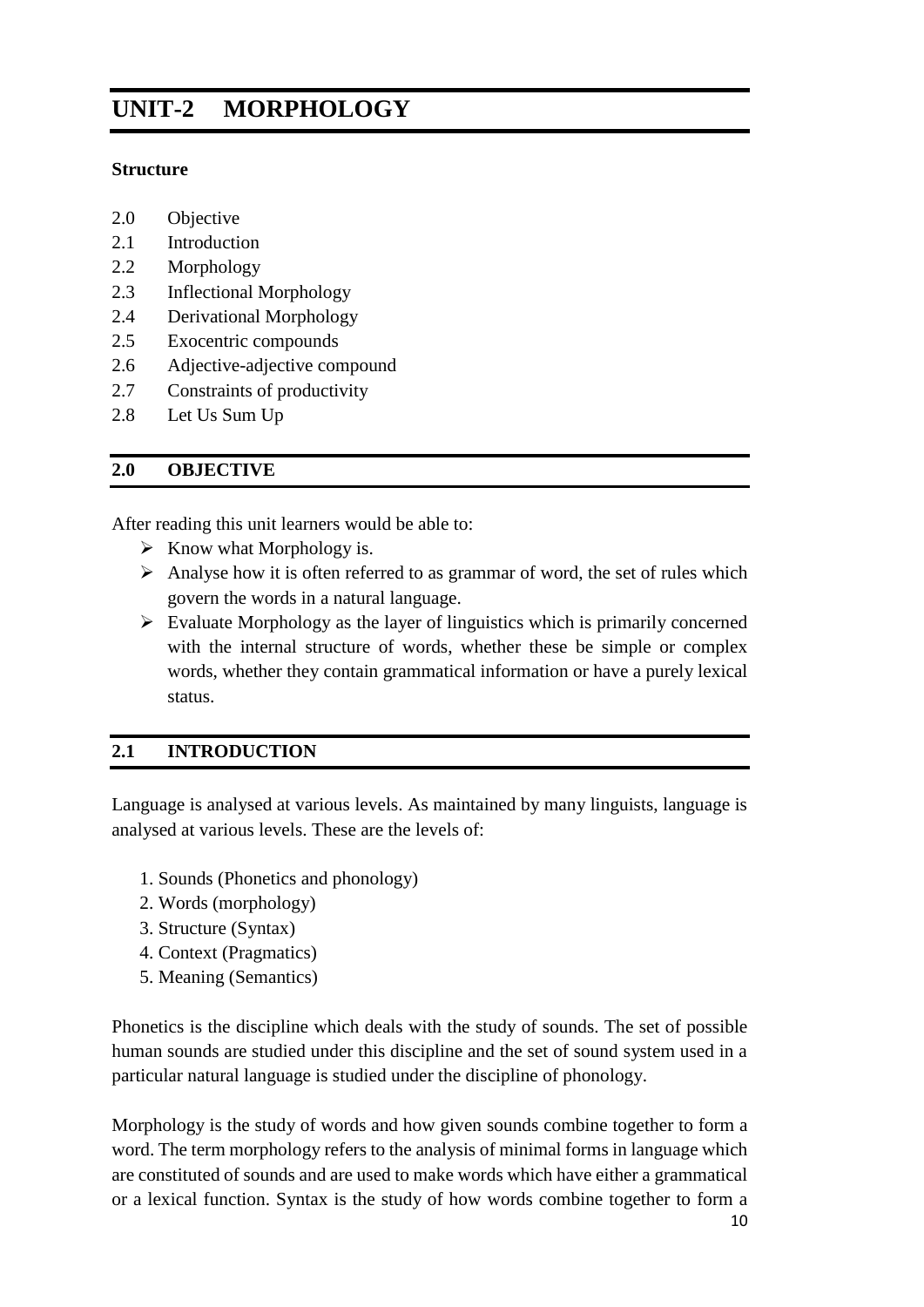## **UNIT-3 MORPHOPHONEMICS**

#### **Structure**

- 3.0 Objective
- 3.1 Introduction
- 3.2 Background
- 3.3 Morphophonemics
- 3.4 Essential Vocabulary
- 3.5 Steps involved in Morphophonemic Analysis
- 3.6 Pluralisation in English
- 3.7 Assimilation of Negative
	- 3.7.1 Grammatical Conditioning and Suppletion
- 3.8 Useful notations
- 3.9 Summary

### **3.0 OBJECTIVE**

After the completion of this unit, you will be able to:

- $\triangleright$  Gain an insight into the key concepts of English morphophonemics.
- $\triangleright$  Understand how morphological structure of a morpheme may affect pronunciation or phonological shape of following or preceding morphemes.

#### **3.1 INTRODUCTION**

This module presents an introduction to English morphophonemics. Sound structure (phonology) and word structure (morphology) are two of the main components of a language system. However, many a times, these systems interact and affect each other in some interesting ways and give rise to a phenomenon which is known as 'morphophonemics' Sometimes, due to this interaction, pronunciation of a morpheme may get modified or completely changed. These changes may be regular or irregular and usually are context sensitive in nature. In 'morphophonemics', we specifically study the changes which occur at the margins/boundaries of morphemes. There are many glossaries, lectures, notes and other reference materials available over the internet for further studies in this area. Some of the pioneer reference works are also listed in the reference section. Note: In this module, IPA transcriptions of morphemes/words have been throughout referred from Cambridge Online dictionary.

#### **3.2 BACKGROUND**

In his book titled 'A Manual Of Phonology' Charles F. Hockett, Professor of linguistics and anthropology, says that language is nothing but a complex system of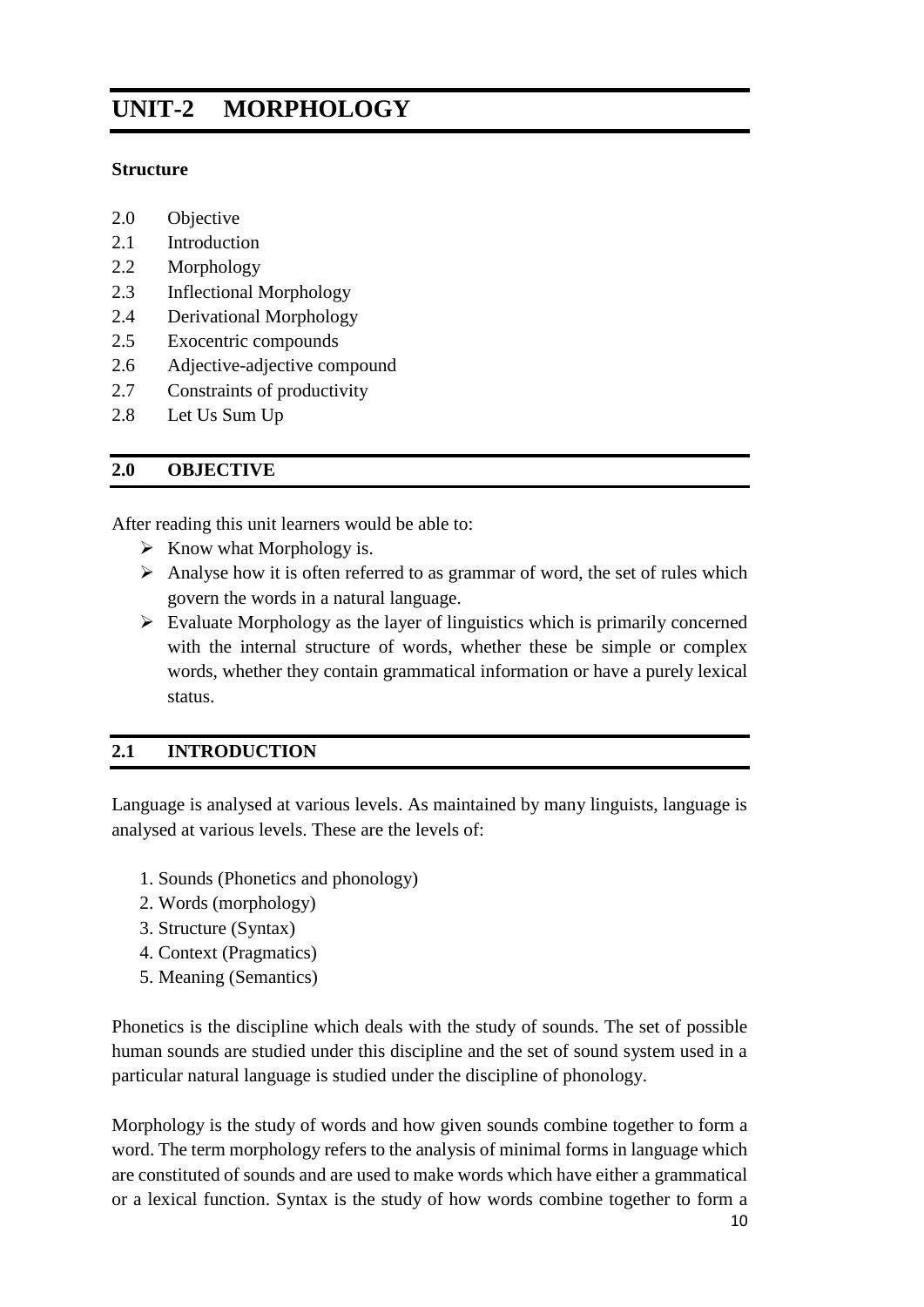habits and this system can be broken down and categorized into five principle subsystems:

- 1. The phonological system: refers to the stock of phonemes and the systematic arrangements in which these phonemes occur in a language;
- 2. The grammatical system: refers to the stock of morphemes, the systematic arrangements in which these morphemes occur in a language;
- 3. The morphophonemic system: refers to the relational code that ties phonological and grammatical system together.
- 4. The semantic system: refers to the association of morphemes, combinations of morphemes, and the systematic arrangements in which morphemes can be put, with things and situations, or kinds of things and situations.
- 5. The phonetic system: refers to the process in which phonemes, sequences of phonemes of are converted into sound waves/speech signals by a speaker, and these sound waves/speech are then decoded from by a hearer.

Of these five principle subsystems, 1 to 3 are central, while 4-5 seem to be peripheral in nature to the language as a system. In this chapter, our main focus will be on 3 'The morphophonemic system' and this focus will further be limited to scope in that examples and discussions will be revolve around morphophonemic system of English language.

#### **3.3 MORPHOPHONEMICS**

Morphophonemics may be defined as analysis and classification of the phonological factors which affect the pronunciation of morphemes or, correspondingly, the morphological factors which affect the appearance of phonemes. In morphophonemics, we basically study interaction between morphological and phonological processes and how they these factors affect each other. Morphophonemic change usually occurs at morpheme boundaries and it involves sounds that are associated with separate phonemes. One very obvious example to morphophonemics would be the use of indefinite in English language. Indefinite article in English has two manifestations: a and an. If a word begins with a consonantal sound then indefinite article is manifested as 'a' (a mango or a cat), while it is manifested as 'an' (an apple or an idiot) if following word starts with a vowel sound. Note: The term 'sound' refers to the way a phone (consonant or vowel) is pronounced, not necessarily written, in English. Therefore, an hour is a correct phrase not \*a hour and a university is the correct phrase not \*an university.

#### **3.4 ESSENTIAL VOCABULARY**

To understand these kind of sound changes, i.e., morphophonemics, it's important to give a quick look to following concepts: the smallest unit of sound (both underlying and surface forms - phoneme and phone, respectively) minimal unit of meaning (both underlying and surface forms – morpheme and morph, respectively), and how these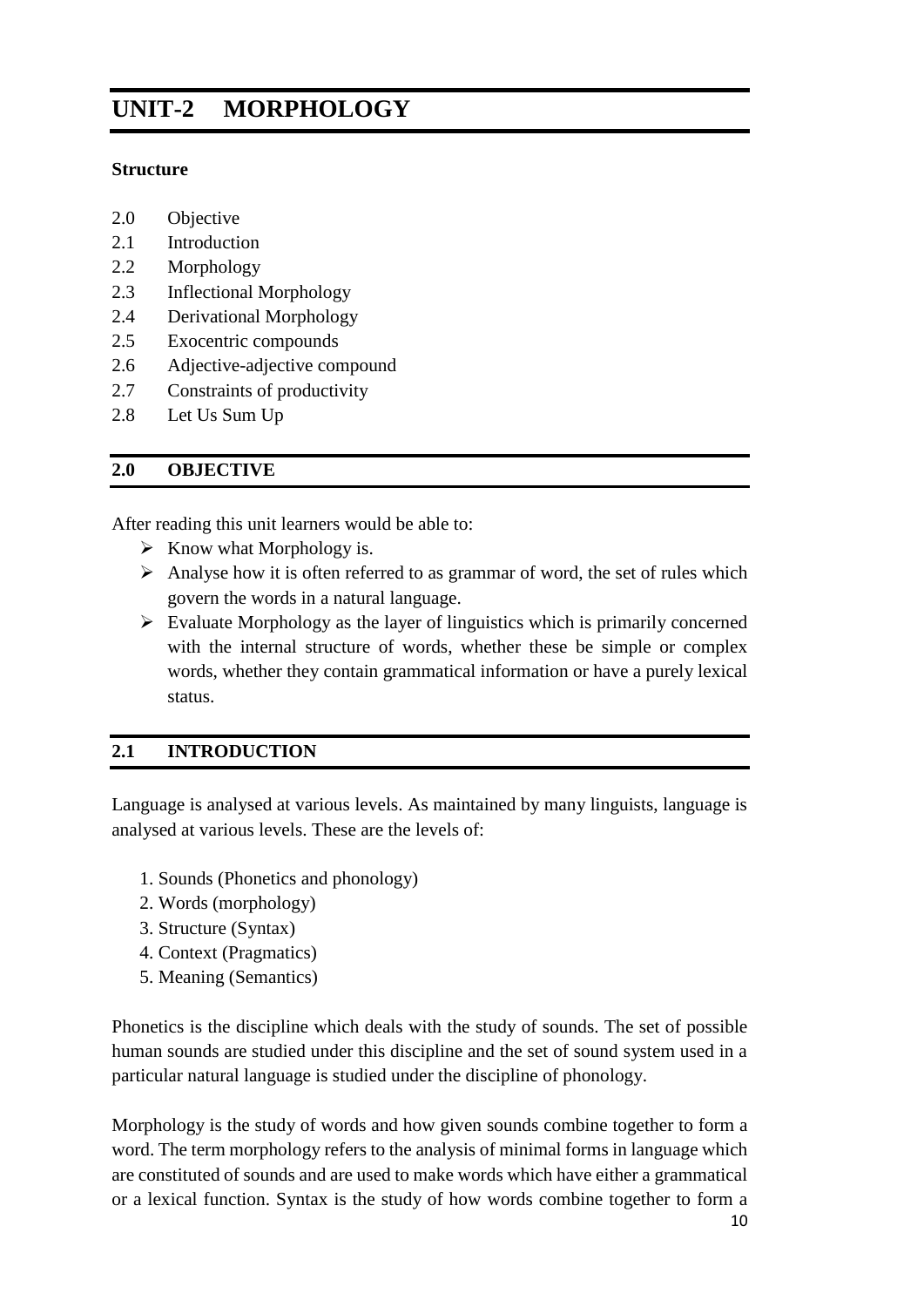phonemes and morphemes may show variation in their shape given different contexts – known allophony and allomorphy, respectively). Allomorphs are derived from a single morpheme known as underlying representation with the help of morphophonemic rules.

**A. Phoneme:** a phoneme is considered as a smallest unit of human speech sound that distinguishes meaning. Phonemes are usually written within slanted brackets //. There are 26 letters in English alphabet. But these 26 letters represent 44 phonemes. For example, phoneme /k/ occurs in words such as cut, kite, school and skin.

**B. Phone:** a phone is a surface manifestation/form of a phoneme given a phonological environment. Phones are usually written within square brackets []. In English, phoneme /p/ is manifested (pronounced) as [p] in words like spat and spoon but as [ph ] in words like pin, pick and poll.

**C. Morpheme**: a morpheme is a minimal, i.e. indivisible, unit of meaning. Morphemes are of various types given their structure (free and bound), content (zero and null) and functions (derivational and inflexional).

**D. Morph:** a morph is a surface manifestation/form of morpheme given a phonological environment. For example, plural morpheme is realized as [s] (cats and bats), [z] (dogs and calls) and [əz] (judges and churches) given different phonological environment.

**E. Allophone**: an allophone is a phonetic variant of a phoneme in a particular language.

**F. Allomorph:** an allomorph is one of two or more complementary morphs which manifest a morph in its different phonological or morphological environments.

**G. Underlying Representation:** an underlying representation is the most basic form of a morpheme/word before any phonological, morphological or morphophonological rule has been applied to it. Underlying representation shows native speaker's knowledge about the abstract underlying phonology of the language.

**H. Surface Representation:** A surface representation (actual occurrence) is the form of a word that is spoken and heard.

**I. Morphophonemic rules:** A morphophonemic rule is written in form of a phonological rule but it is restricted to a particular morphological environment. Unlike phonological rules, morphophonemic rules are sensitive to their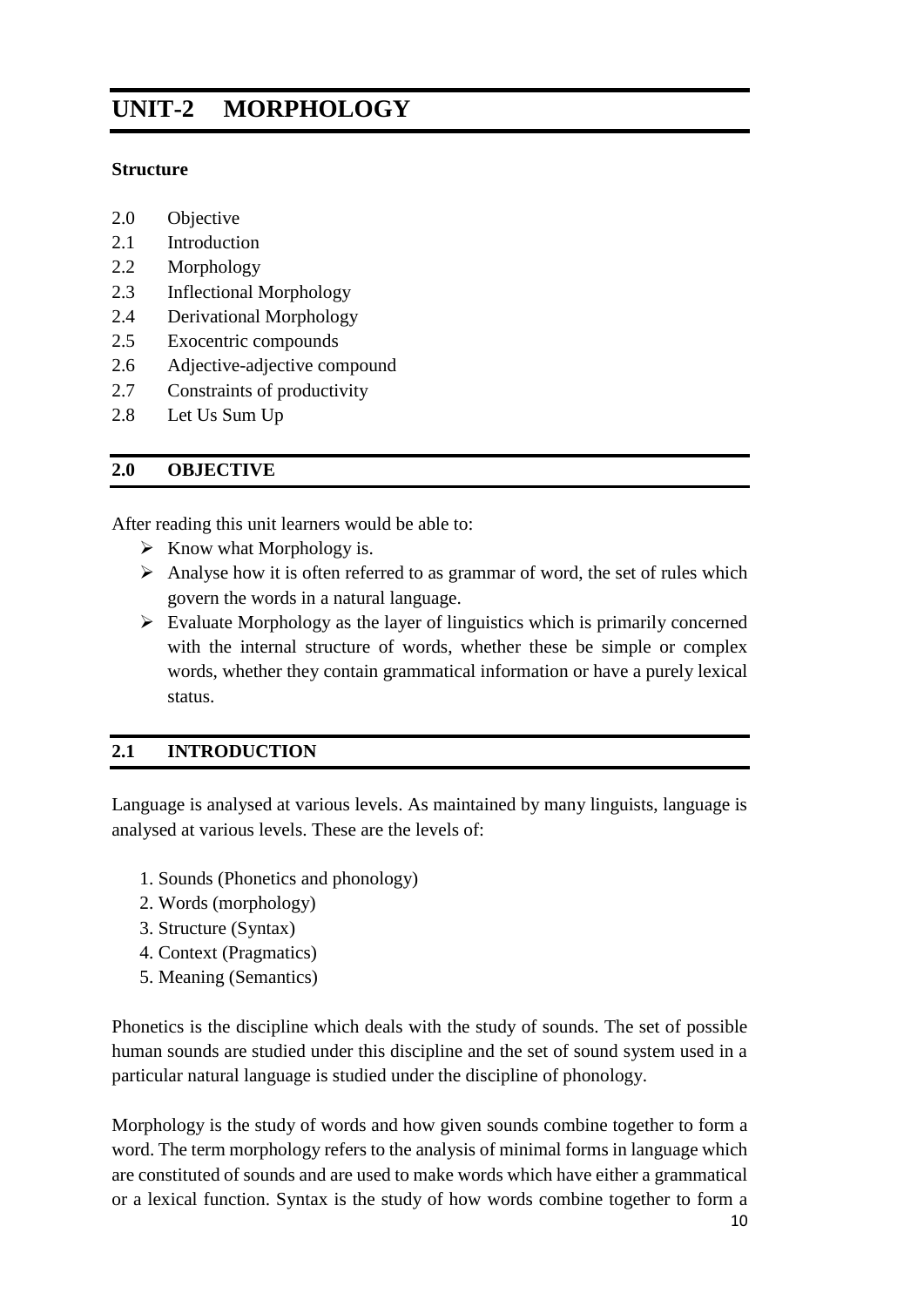environment. Whenever morphological information is required to specify the environment for an phonological rule, the rule is morphophonemic.

**J. Phonological conditioning:** phonological conditioning refers to the phenomenon wherein phonological environment of a morpheme determines selection and shape of its allomorph(s).

**K. Morphological conditioning:** morphological conditioning is a conditioning wherein morphological environment of a morpheme determines selection and shape its allomorph(s).

#### **3.5 STEPS INVOLVED IN MORPHOPHONEMIC ANALYSIS**

Morphemes are stored in lexicon. They are strung together by morphological and syntactic rules. These morphemes are then converted to their surface forms by a sequence of ordered phonological rules. In doing morphophonemic analysis, our aim is to establish a transparent connection – as far as it is possible – between data and theory. The main purpose of morphophonemic analysis is to discover a set of underlying forms and the ordered rules which are consistent with the given data. Main steps involved in the process of morphophonemic analysis are as following:

- I. **Phonemicization:** It is easier to perform morphophonemic analysis with data that are already expressed as phonemes. Therefore, it is recommended first to reduce the data into phonemes. This step is also referred as pre-processing of data in the process morphophonemic analysis.
- II. **Morpheme division:** The second step is to divide the words forms into their component morphemes. However, phonological alternations tend to obscure this division.
- III. **Finding the allomorphs**: Keeping visible and possible phonological alternation in mind, it's necessary to find the allomorph of each alternating morpheme. After allomorphs have been indentified, find the segment(s) which tend to alternate.
- IV. **Active rules:** After division of words into morphemes and identification of allomorphs, it is possible to state rules and their order of application.
- V. **Setting up underlying representations:** Taking into account the logical possibilities, underlying representations are to be set up so that all the possible allomorphs of each morpheme can be derived from a single underlying representation using general phonological rules. However, choosing underlying representations often involves considering more than one hypothesis. The following steps are usually helpful in determining correct underlying form:- Segments exhibiting X∼Y alternation are underlying /X/, which is converted to  $[Y]$  in certain contexts by one or more phonological rules.  $\big|$  Segments exhibiting X∼Y alternation are underlying /Y/, which is converted to [X] in certain contexts by one or more phonological rules. Surface segments that do not alternate are assumed to be the same at the underlying level.  $\vert$  For segments that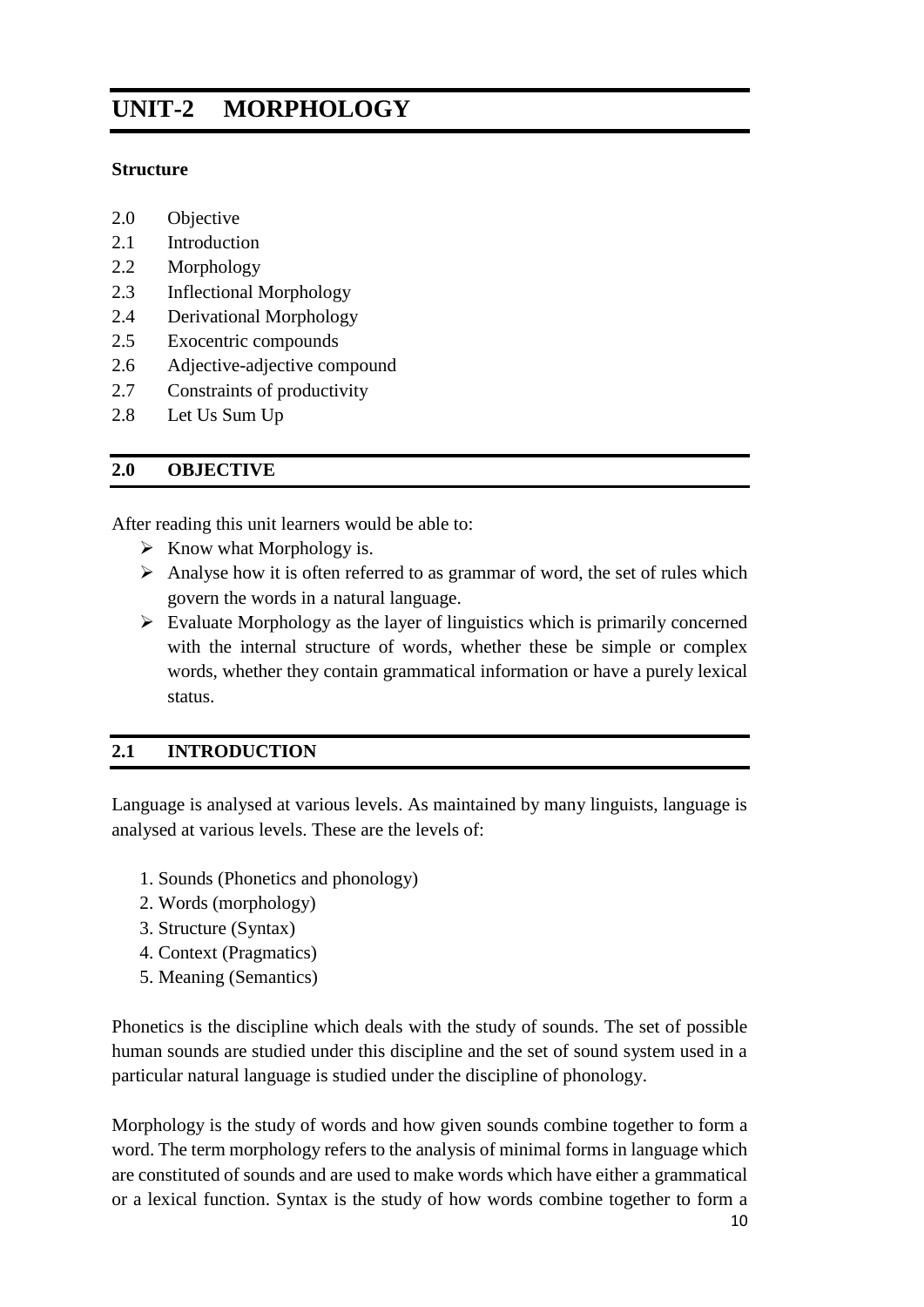alternate, consistently use the underlying segment. So, if there was a X∼Y alternation and you determined that underlying the segment was /X/, then consistently write  $/X/$  as the underlying representation in all lexical items with the X∼Y alternation. Each morpheme has only one underlying representation form. Note: An underlying form does not always necessarily correspond to the pronunciation of some pronounced word.

#### **3.6 PLURALISATION IN ENGLISH**

To understand the morphophonemics, it's very important to understand concepts A to K not only in isolation but also as to how they appear in a morphophonemic process. Here, we will present regular pluralisation process of English language. Below are given four set of single morpheme words and their plural counterparts in English. Both singular and plural forms have been presented with their respective IPA transcriptions. Table 1 Word (Singular) IPA Transcription Word (Plural) IPA Transcription cut /kʌt/ cuts /kʌts/ kick /kɪk/ kicks /kɪks/ top /tɒp/ tops /tɒps/ dog /dɒɡ/ dog /dɒɡz/ rib /rɪb/ rib /rɪbz/ kid /kɪd/ kid /kɪdz/ judge /dʒʌdʒ/ judges /dʒʌdʒəz/ wish /wɪʃ/ wishes /wɪʃəz/ church /tʃɜːtʃ/ churches /tʃɜːtʃəz/ shoe /ʃuː/ shoes /ʃuːz/ day /deɪ/ days /deɪz/ pea /piː/ peas /piːz/ Upon careful observation of the data, it is noticed that plural morpheme in English is realized as /-s/, /-z/ and /-əz/ given different phonological environment of the stem to which plural morpheme gets attached to. When one morpheme takes more than one form (morph) in different phonological or morphological environment, these morphs are referred as allomorph to one another. In this kind of situation, we need to set up a single underlying representation from which other morphs are derived for their pronunciation in any particular context. This underlying representation is achieved with the help of some rules, usually referred as morphophonemic rules. To see how it works in English, we will consider the phonological environment of all three sets. Since in English language, plural morpheme gets attached to the right boundary (word + plural morpheme) of a morpheme, phonological environment of the right boundary will be taken into account for the consideration.

- First set consisting of 'cut, kick and top' morphemes have their right boundary ending in voiceless consonant which is non-strident. These morphemes take / s/ allomorph.
- Second set consisting of 'dog, rib and kid' morphemes have their right boundary ending in voiced consonant which is non-strident. These morphemes take /-z/ allomorph.
- Third set consisting of 'judge, wish and church' morphemes have their right boundary ending in a consonant that strident in nature. These morphemes take /-əz/ allomorph.
- Fourth set consisting 'shoe, day and pea' morphemes have their right boundary ending in vowel. These morphemes also take /-z/ allomorph. Therefore, it is evident allocation of plural allomorph in English is not random in nature but is conditioned by phonological environment occurring at right boundary of the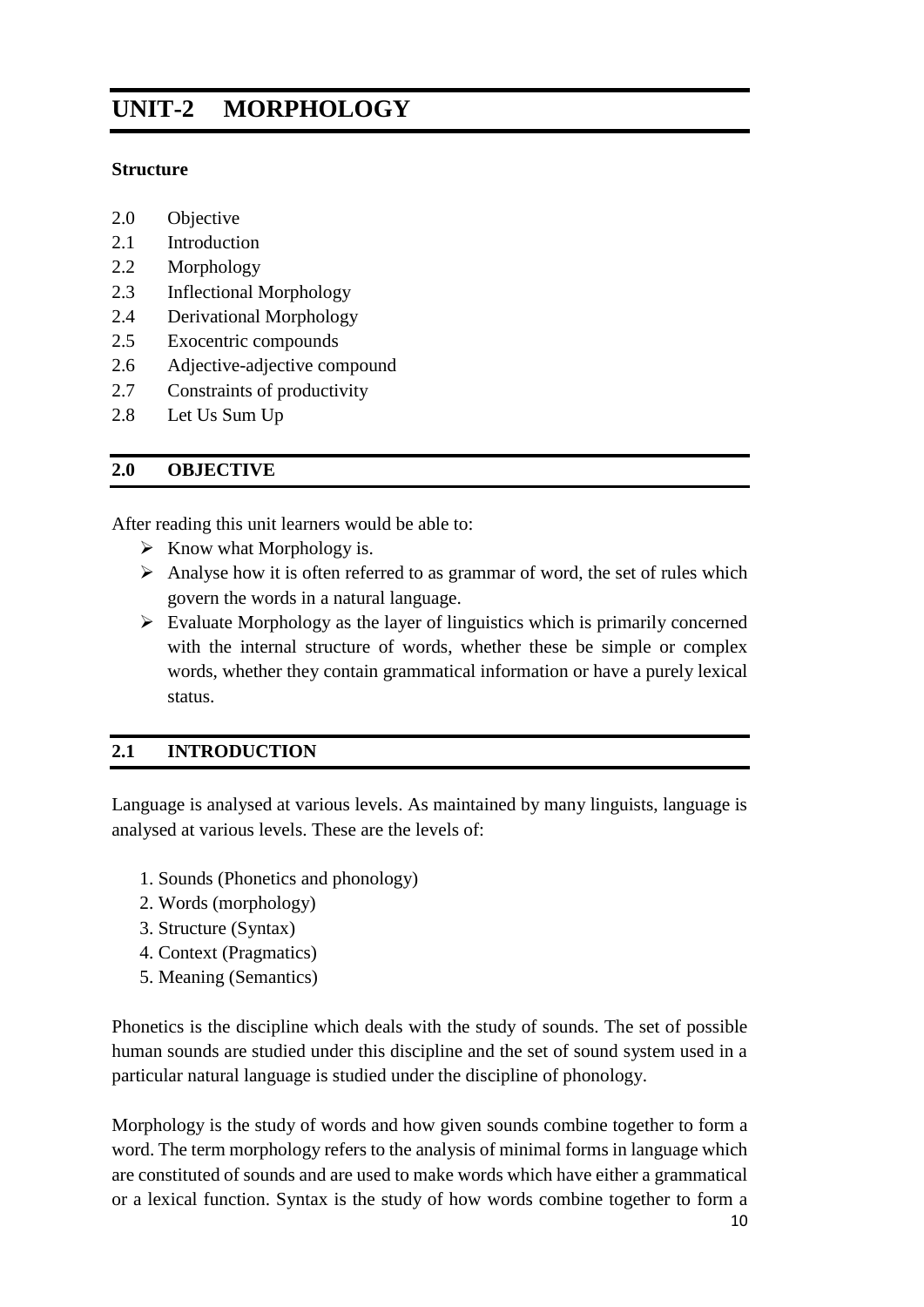morpheme. Usually, the allomorph with the wisest distribution qualifies as a suitable candidate for underlying representation. In this case, /-z/ qualifies to become underlying allomorph as it occurs after most voiced consonants and after all vowels. And from allomorph /-z/, other allomorphs /-s/ and /-əz/ and //have been derived. This whole process can be explained by (a set of) rules known as morphophonemic rules. Underlying form /-z/ [-s] [-əz] [-z] surface form In deriving the correct final surface form from underlying form in the regular pluralisation process of English, two morphophonemic rules are in effect: 1) coda epenthesis and 2) devoicing. The first rule, coda epenthesis, inserts a schwa whenever the /-z/ appears after a morpheme has its right boundary ending in a strident consonant. Insertion of schwa helps break up the illegal consonant cluster in English. I  $\varnothing \rightarrow \varnothing /$  +strident  $\Box$  -z The second rule ensures the devoicing of underlying form /-z/ when it occurs after a voiceless consonant in the same coda. II  $-z \rightarrow$  [-voice] / [-voice]  $\sigma$ (Devoicing helps ensure that English plurals comply with the phonotactics of English as no word in English contains a coda in which a voiceless consonant is followed by a voiced consonant). Therefore, pluralisation process for English language may be summarized in following way:

#### Table - 2 word + plural morpheme

cut-s dog-s judge-s order of rule application underlying representation /kʌt-z/ /dɒɡ-z/ /dʒʌdʒ-z/ coda epenthesis - - /dʒʌdʒəz/ devoicing /kʌts/ - - surface form [kʌts] [dɒɡz] [dʒʌdʒəz] It is to be noticed that it is not the correct morphophonemic rules but also the correct ordering of these rules is equally crucial. In absence of correct ordering, produced surface forms may well be incorrect. For example, if we change the ordering of coda epenthesis and devoicing rules in the above example, /dʒʌdʒs/\* will get produced as a surface form for judges.

Table -3 word + plural morpheme cut-s dog-s judge-s order of rule application underlying representation /kʌt-z/ /dɒɡ-z/ /dʒʌdʒ-z/ devoicing /kʌts/ - dʒʌdʒ-s/ coda epenthesis - - - surface form [kʌts] [dɒɡz] [dʒʌdʒs]\* It is clear that pronunciation, i.e., surface appearance, of plural allomorph in English depends on the phonological environment occurring at the right boundary of the morpheme. This phenomenon is also known as phonological conditioning and allomorphs /-s/, /-z/ and /- əz/ are also referred as phonologically conditioned allomorphs. However, the regularity of phonological conditioning is restricted in its scope, that is, several morphemes despite of having suitable phonological environment for undergoing change may exhibit no or some different kind of phonological change, i.e. the proximity of a sound(s) does not affect these forms. For example, -en as a plural making morpheme is a peculiar case to only certain words such as children, oxen, brethren, etc. These kinds of changes are to due to what is called morphological conditioning. Occurrence of a morph/form is determined by the morpheme it gets attached to rather than its phonological environment. To further support the concept, we will present another subclass of plurals in English, which defies the present phonological environment and does not let the morpheme undergo any change whereas another set having same phonological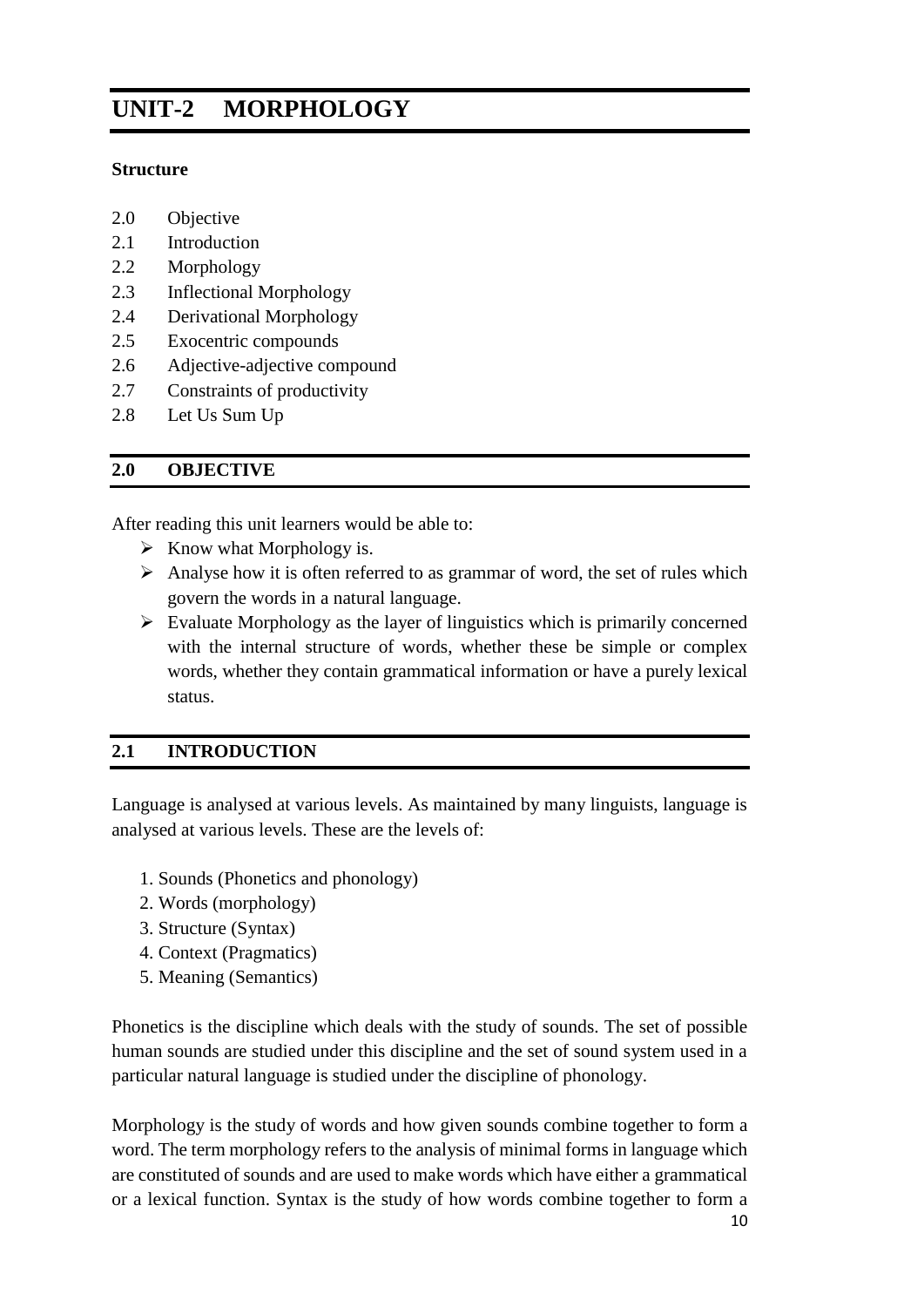environment undergoes predictable changes. English has a restricted class of words in which sound /f/ at the right margin of the stem/base alternates with /v/ when there is a plural suffix gets attached to them. However, the alternating class (first two columns) is unproductive. Any newly coined word(s) with final /f/ entering in English does not exhibit the f-v alternation.

Table - 4 Alternating class Non-alternating class Singular Plural Singular Plural thief thieves chief chiefs wolf wolves laugh laughs knife knives fife fifes leaf leaves whiff whiffs The process responsible for this f-v alternation and their respective derivations from underlying form  $|z|$  is given as follows (Table 5): /f/ Voicing  $f \rightarrow v$  /  $\qquad$  ]-Plural Table - 5 Word (alternating class) Plural form Word (non-alternating class) Plural form order of rule application plural forms knife knives laughs laughs underlying /naɪf/ /naɪf-z/ /lɑːf/ /lɑːf - z/ representation  $f \rightarrow v$  rule /naɪvz/ devoicing /lɑːfs/ Surface form [naɪvz] [lɑːfs] As it is clear from the Table-3, order of rule application is equally important in this case too. Else, we will end up deriving incorrect plural form /naɪvs/\*.

Table - 5 Word (alternating class) Plural form Word (non-alternating class) Plural form order of rule application plural forms knife knives laughs laughs underlying representation /naɪf/ /naɪf-z/ /lɑːf/ /lɑːf - z/ devoicing /naɪfs/ /lɑːfs/ f  $\rightarrow$  v rule /naɪvs/\* Surface form [naɪvs]\* [lɑːfs] After discussing pluralization process, we can move to some other morphophonemic changes which are commonly found in English and other languages of the world.

#### **3.7 ASSIMILATION OF NEGATIVE**

Prefix 'in-' in English Assimilation is a sound change in which one sound becomes more like a following sound. This may occur either within words/morphemes (phonological change) or between words/morphemes (morphophonemic change). In the prefixation process, final sound (marginal sound) of a prefix becomes more like the first sound of a base/root to which it attaches to. However, it usually happens when the articulation of the two sounds – last sound of the prefix and first sound of the base - carries some degree of feature similarity. The assimilation, however, does not always necessarily occur between two sequential sounds. Sometimes, sounds which are in distance, i.e., having some other sounds in-between, also tend to assimilate. To understand how assimilation affects pronunciation in English, we will examine the below given data: Table - 6 Word Negative prefix + word IPA Transcription possible in+possible /ɪmposɪbəl/ balance in+balance /ɪmbæləns/ tolerable in+tolerable /ɪntɒlrəbl/ decent in+decent /ɪndiːsənt/ active in+active /ɪnæktɪv/ alienable in+ alienable /ɪnelɪənəbl/ complete in+ complete /inkAmpliːt/ qratitude in+qratitude /ɪŋɡrætɪtjuːd/ Now that it is clear that negative morpheme 'in-' manifests itself as [im- ], [in] and [ɪŋ] allomorph. The occurrence of the appropriate allomorph is subject to following consonant, here, initial consonant of the following base/root. We can make following observations based on the above given data: a) Allomorph [im-] occurs only before when following consonant is labial in nature  $-$  [e.g. p, b, f, m]. b) Occurrence of Allomorph [ $\eta$ ] only before the velar consonants – [k, g] c) Elsewhere, allomorph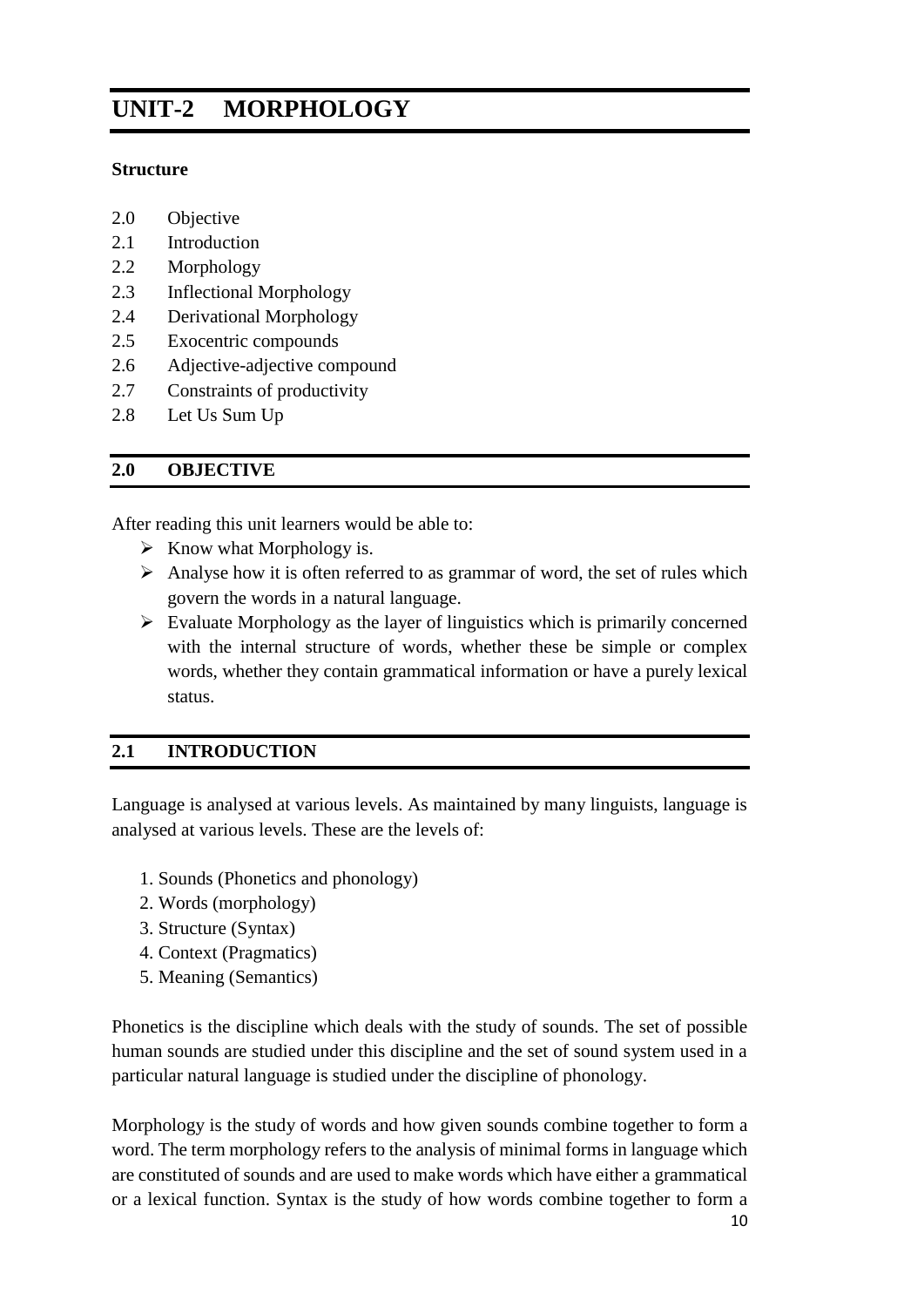[in] is found to be appearing, that is to say, before alveolar consonants such as [t, d, s, z, n] and before vowels sounds such as  $[\varphi, \varphi, \varphi, \varphi, \varphi]$  if is evident that pronunciation of the nasal consonant of the prefix 'in-' is adjusted to match the place of articulation of the first consonant representing the following base/morpheme. Of the three occurring allomorphs [im-], [in-] and [ɪŋ], the most frequently distributed morpheme is [in-]. Therefore, [in-] may be selected as underlying form of the 'in-' morpheme. These allomorphs are in complementary distribution, i.e., no two of them can occur in identical environment. This again is a clear and plain example of what is called phonological conditioning. However, we can also notice that the prepositional prefix 'in-' having same phonological environment does not always assimilate to the first sound of the following root/base/morpheme if the roots are of native origin. For examples, words such as inboard, inborn, inbound, inbreed, inlay, inland, inlet, inmate, input, inroad, etc., don't show any kind of assimilation. While negative prefix in-' shows a tendency for assimilating with the place of articulation of the following sound, the other negative prefixes such as 'un-' and 'non-' do not show any regular characteristics of assimilating behaviour. See some examples below: un- + polluted  $\rightarrow$  unpolluted (\*umpolluted) non- + personal  $\rightarrow$  non-personal (\*nom-personal) un- + balanced  $\rightarrow$  unbalanced (\*umbalanced) non- + business  $\rightarrow$  non-business (\*nombusiness) ( un- + marked  $\rightarrow$  unmarked (\*ummarked) non- +medical  $\rightarrow$  non-medical (\*nom-medical) (un- + lawful  $\rightarrow$  unlawful (\*ullawful) non- + legal  $\rightarrow$  non-legal (\*nollegal) un- + reasonable  $\rightarrow$  unreasonable (\*urreasonable) non- + restrictive  $\rightarrow$  nonrestrictive (\*nor-restrictive) [see Okada, 2013] If in- could be attached to all the words above instead of un- and non-, assimilation would be expected to take place. 15.6.3 Stress Shift in English: Of the several active morphophonemic processes in English, one is shifting of stress from one syllable to another whenever a new morpheme gets attached to it. English is stress timed language and primary stress falls normally on the first syllable of the word. However, it may appear on any syllable. Usually, deriving words via affixation may lead to shift of stress and thereby may lead to modification or change in one or more vowels. This is also addressed as vowel gradation or vowel alternation process. Let us have a quick look to the following data given Table 7. Syllable carrying primary stress have been marked in bold case. Table -7 word 1 st derivation 2 nd derivation 3 rd Derivation photo photograph photography photographic /ˈfəʊ.təʊ/ /ˈfəʊ.tə.ɡrɑːf/ /fəˈtɒɡ.rə.fi/ /ˌfəʊ.təˈɡræf.ɪk/ drama dramatic dramatically /ˈdrɑː.mə/ /drəˈmæt.ɪk/ /drəˈmæt.ɪ.kl.i/ As it is clear from the Table-7 that affixation process may lead to the shift of stress or gradation of vowels, however, this kind of change may be regular with one set of affixes and completely sporadic with other ones. Hence, rules describing stress patterns in English are not exhaustive in nature. Some rules may, anyway, be stated for the common understanding:-

1. Primary stress falls on 1st syllable: a) Monosyllabic words b) Most of the disyllabic nouns (label, bible, treaty, purchase, etc.) c) Compound nouns: (sidewalk, streetlight, headset, etc) d) Most of the disyllabic adjectives (lucky, clever, active, skittish, etc.)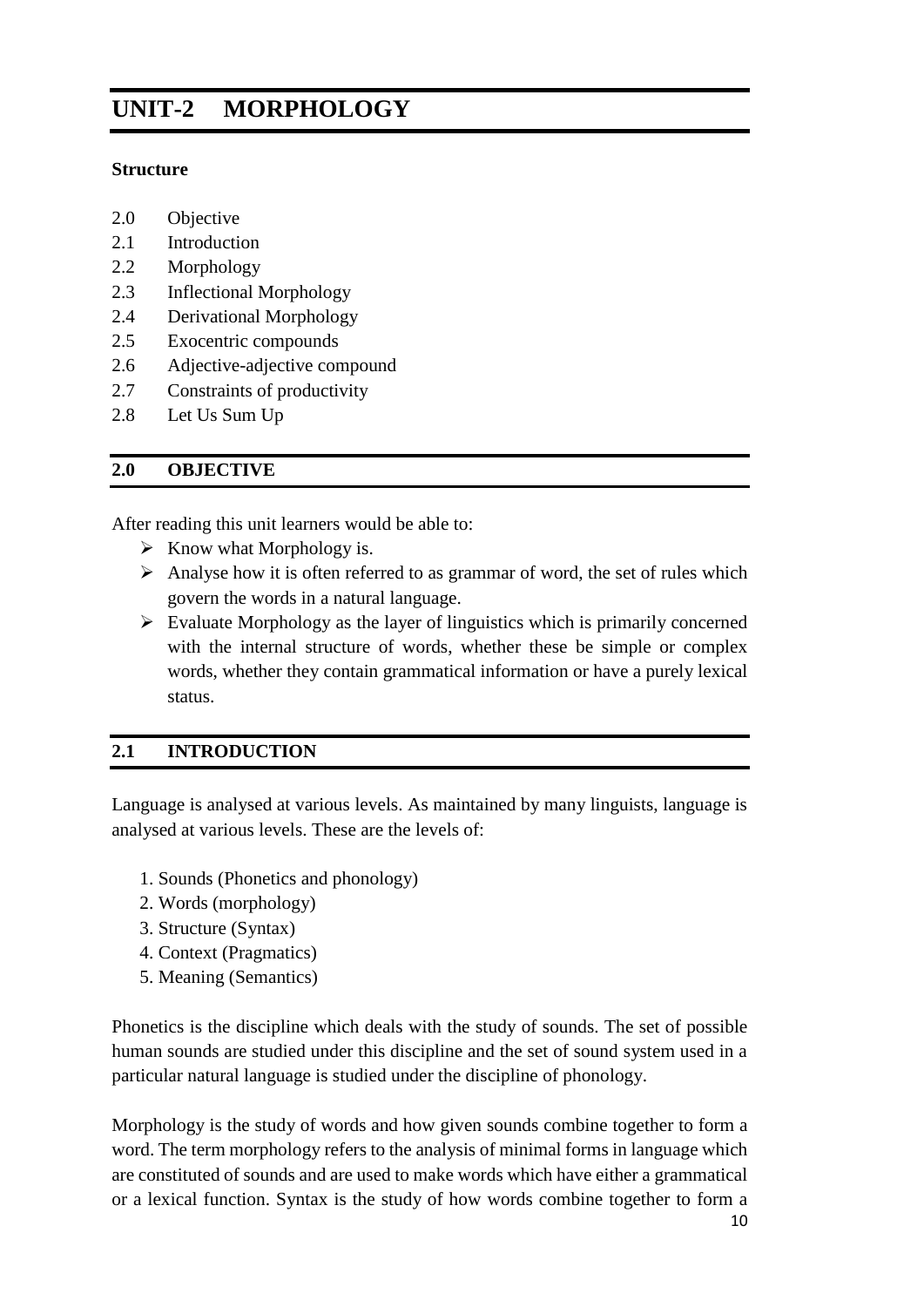- 2. Primary stress falls on 2nd syllable: a) Most of the disyllabic verbs (invent, divulge, implore, etc.) b) Compound and two-word (phrasal) (undo, pass out, give up, etc.)
- 3. Primary stress falls on penultimate syllable: a) Adjectives ending in –ic suffix (syllabic, autocratic, historic, etc.) b) Nouns ending in –sion or –tion suffix (decision, intuition, prevention, etc.)
- 4. Primary stress falls on ante-penultimate syllable: a) Nouns ending in -cy, -ty, -phy, -gy, suffixes (democracy, photography, energy, etc.) b) Adjectives ending in –cal, (medical, practical, etc.)

#### **3.7.1 Grammatical Conditioning and Suppletion**

Unlike what we majorly discussed in the previous sections (Pluralisation in English and assimilation of negative prefix in-), sometimes phonological factors play no role in the selection of a particular allomorph. It is rather determined by a certain grammatical class. Its choice may be dependent on a certain grammatical class. A special allomorph may be required in a given grammatical context; there may not be any good phonological reason for its selection, however. For example, in irregular verbs such as see in English. see, saw, seen determined by the present tense, past tense, and the non-progressive participle (these are grammatical features). There also exist a few morphemes whose allomorphs show no phonetic similarity. For example, comparative adjective form of good, i.e. better, contains lexeme good but there is not a single common sound found between both of them. These kinds of cases, wherein two morphemes are phonetically unrelated, are referred as cases of suppletion.

#### **3.8 USEFUL NOTATIONS**

Since morphemes are made of phonemes, they are expressed between slashes '// '.  $\vert$ The boundary between two morphemes is often represented either with plus sign '+'. Sometimes linguists also use a hyphen '-' for expressing morpheme boundary. Word boundaries are usually indicated with hash sign '#'.  $\vert$  A rule A B / C  $\vert$  D, will be read as A changes into B in the environment when C precedes the sound A and D follows the sound A. The forward arrow ( ) translates into 'changes into' and forward slash (/) translates into 'in the environment of'. A sometimes is also addressed as target, B as change and C & D are trigger.  $\vert$  Notation '' is often referred as focus bar and this is where the change takes place.  $\vert$  Symbol ' $\varnothing$ ' for expressing process of deletion and epenthesis.  $\sigma$  - labelled parenthesis is used to indicate the syllable boundary. Asterisk (\*) refers to ungrammatical or unacceptable string of words.

#### **3.9 LET US USM UP**

Phonology is regarded as the foundation for other branches of linguistics. Morpheme, a minimal distinctive unit of meaning, constitutes of nothing but a set of phoneme(s), a minimal unit of sound. The phonemes tend to behave interestingly when they get combined to produce a morpheme or other longer units such as syllables, words,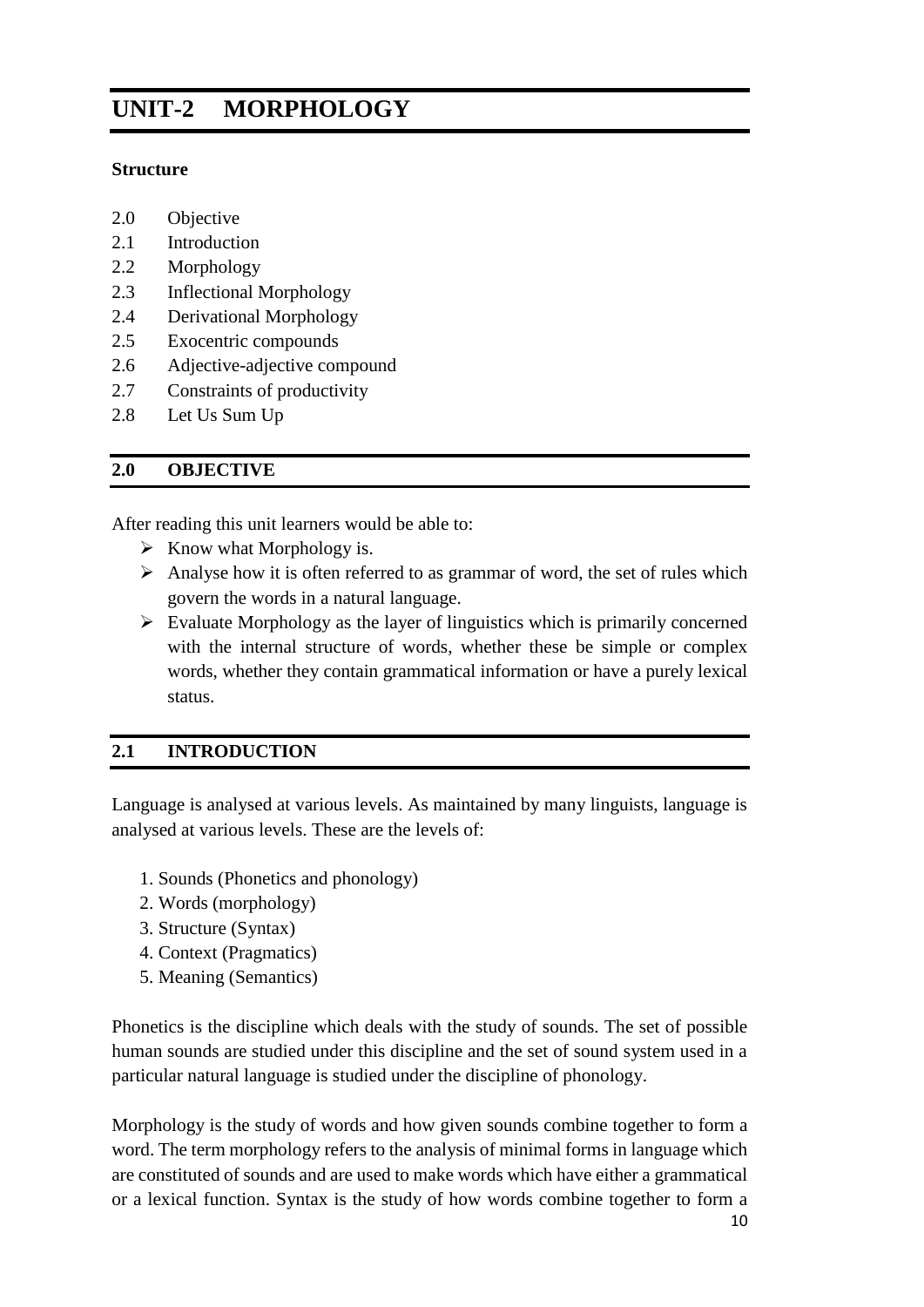phrases and sentences. Their combine (phonological) effect often crosses over so called boundaries in several subtle and visible ways. Sometimes the effect could be synchronic and sometimes it may be diachronic in nature. These effects may be regular or completely sporadic in their occurrences. In the discipline of morphophonemics, we study as to how morphological and phonological factors affect each other usually at morpheme boundaries involving separate phonemes. Morphophonemic properties of English or any other language for that matter are of great importance in order to analyse other linguistic properties of that language.

#### **3.10 CHECK YOUR PROGRESS**

| 1. | What do you mean by Morpheme?                                |
|----|--------------------------------------------------------------|
|    |                                                              |
|    |                                                              |
|    |                                                              |
|    |                                                              |
|    |                                                              |
| 2. | .<br>What do you mean by Allophone?                          |
|    |                                                              |
|    |                                                              |
|    |                                                              |
|    |                                                              |
|    |                                                              |
|    |                                                              |
| 3. | What do you mean by Phonemicization?                         |
|    |                                                              |
|    |                                                              |
|    |                                                              |
|    |                                                              |
|    |                                                              |
|    |                                                              |
| 4. | What do you mean by Grammatical Conditioning and Suppletion? |
|    |                                                              |
|    |                                                              |
|    |                                                              |
|    |                                                              |
|    |                                                              |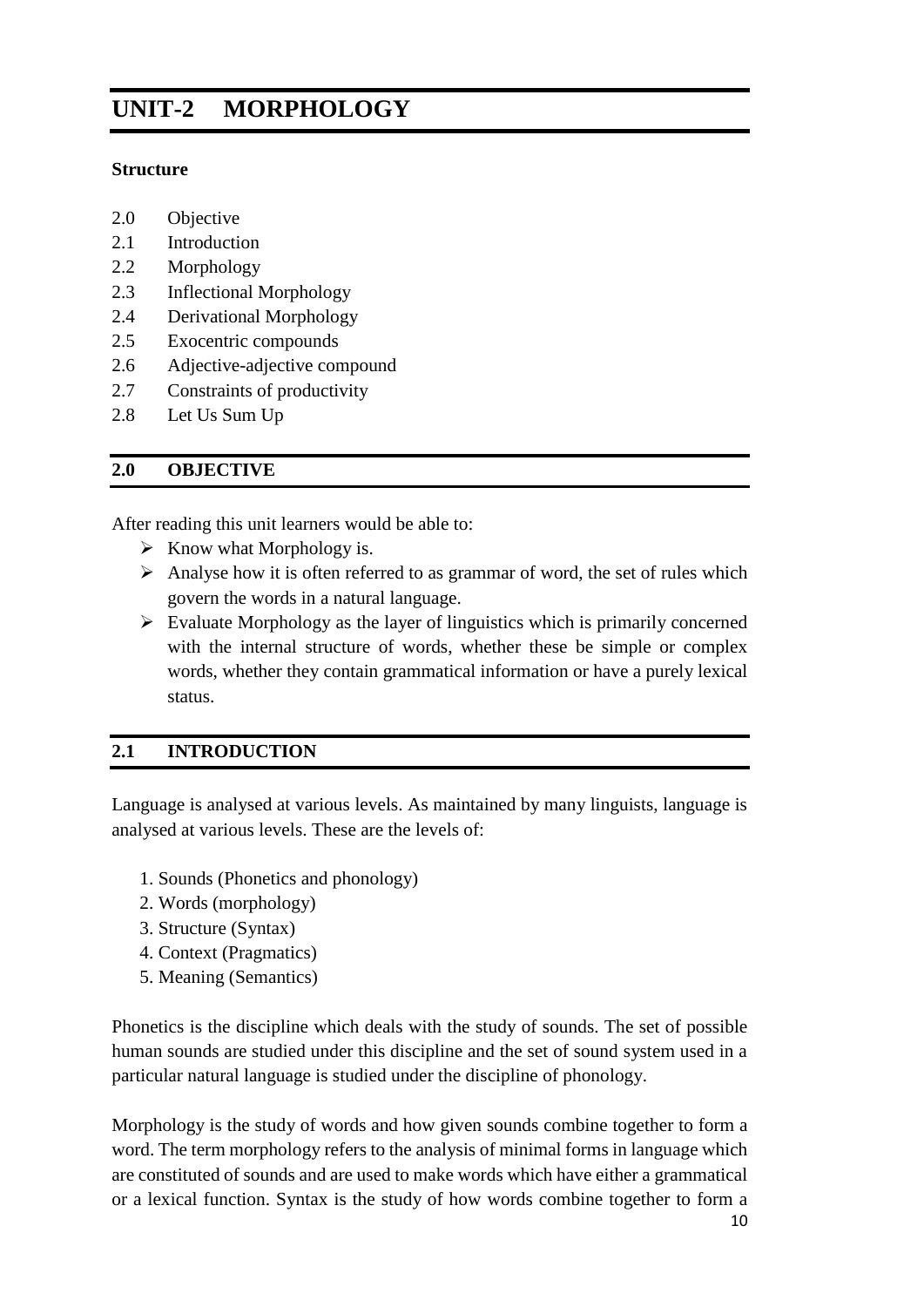## **UNIT-4 MORPHOLOGY CLASSIFICATION**

#### **Structure**

- 4.0 Objective
- 4.1 Introduction
- 4.2 Why Morphology is necessary?
- 4.3 Morpheme
- 4.4 Classification of Morphemes:
- 4.5 Classification of bound morpheme:
	- 4.5.1 Derivational morpheme
	- 4.5.2 Inflectional morpheme
	- 4.5.3 Zero morphemes:
	- 4.5.4 Clitics
	- 4.5.5 Word
	- 4.5.6 Lexeme
	- 4.5.7 Morph
	- 4.5.8 Discontinuous morpheme:
	- 4.5.9 Nida's principles for the identification of morphemes
	- 4.5.10 Morphophonemic processes
	- 4.5.11 Word Formation processes
	- 4.5.12 Reduplication
	- 4.5.13 Lexical Morphology
- 4.6 Let Us Sum Up
- 4.7 Check Your Progress

#### **4.0 OBJECTIVE**

This unit deals with the basic concepts in morphology. The primary intension of this module is to enable the students to develop an insight into the word structure and word formation. The module is both theoretical and practical in nature. It is theoretical as it provides the students with considerable knowledge of morphological terms and processes. It is practical as it helps the students to develop their skills in morphological analyses. The essential reading and the additional reading list will help the students to have an in-depth understanding of the topic. The multiple choice questions and other exercise questions will help them to assess their knowledge and better understanding of the module.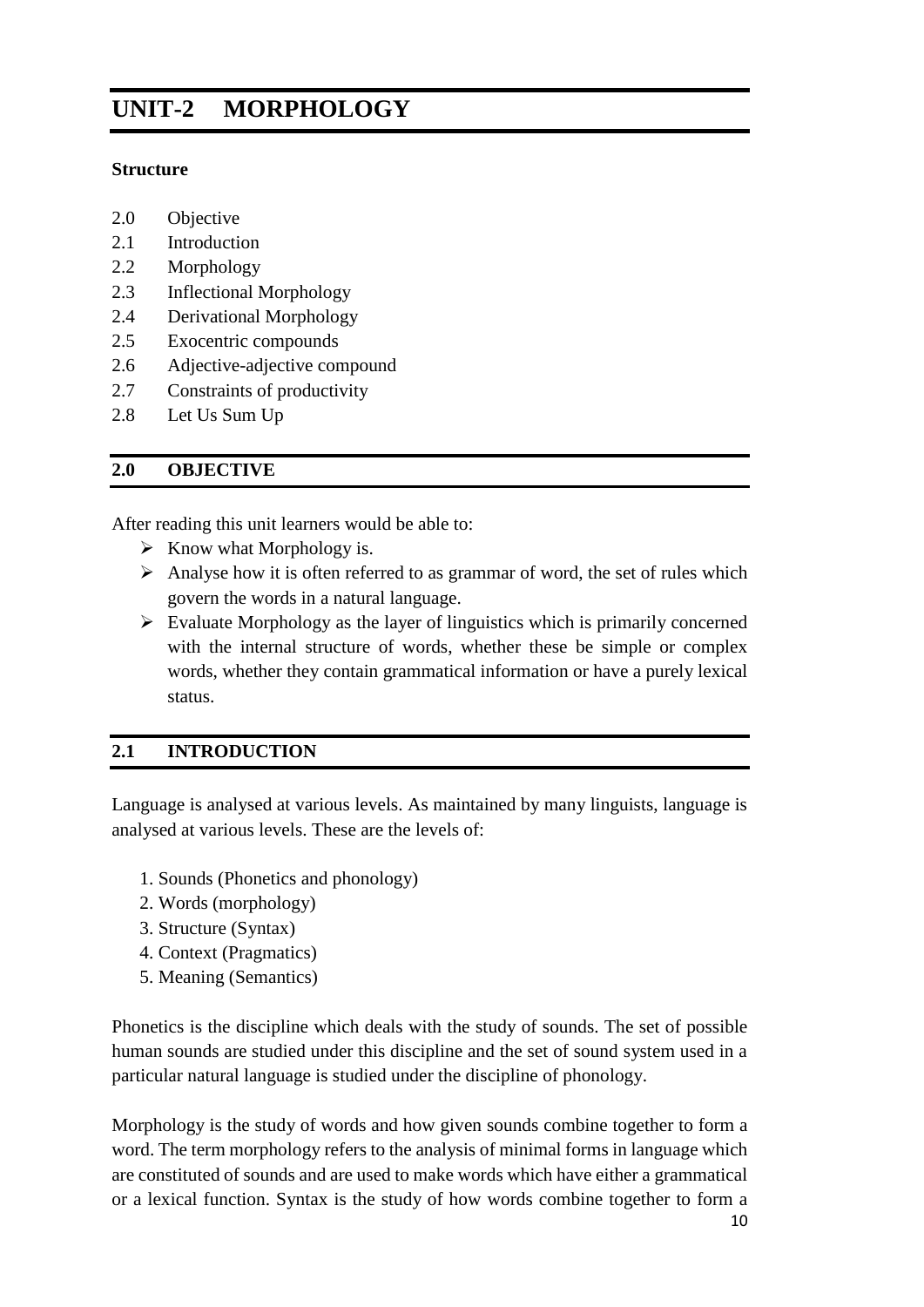#### **4.1 INTRODUCTION**

Basic concepts in morphology. Morphology is the branch of linguistics that deals with words their internal structure and how they are formed. The German poet, novelist, playwright and philosopher Johann Wolfgang von Goethe (1749-1832) coined the term morphology in the nineteenth century in a biological context. This word is of Greek origin. The term 'morph' means shape or form and morphology means the study of forms. Thus Morphology attempts to explain and account for the following:

- How words are created in a particular language
- What is the appropriate form of a word given its location in a particular sentence
- What governs the use of the correct form in a particular sentence

#### **4.2 WHY MORPHOLOGY IS NECESSARY?**

To get an accurate description of individual languages in a detailed manner as much as possible.

- We can search for patterns in human languages at the word level.
- Theorize and conceptualize how morphemes can be organized.
- We can understand the processes involved in word formation.
- Other than Linguistics morphological knowledge can be used in other fields like language documentation, anthropology, and second language acquisition teachers: ESL, cognitive scientists, language art teachers, writers.

#### **4.3 MORPHEME**

Morphemes are the smallest indivisible unit of meaningful content and grammatical function. A morpheme is not identical to a word. A morpheme may or may not stand alone whereas a word can stand alone. Morpheme can be defined as a word or part of a word that has a semantic content and that contains no smaller part with a semantic content. For example, the word unforgivable has 3 morphemes {un}is a prefix meaning "not" + {forgive} is the root morpheme + {able} is an adjective forming suffix. Every word will comprise of one or more morphemes. For example the word dog has one morpheme and when we add a plural marker -s to the word dog it becomes dogs with two morphemes where the suffix -s plays a grammatical function.

#### **4.4 CLASSIFICATION OF MORPHEMES**

Morphemes can be classifies into two types: Free morpheme and bound morpheme. (i) Free morpheme: Free morphemes are the words that can stand alone and work independently like for example: cat, dog, car, tree. (ii) Bound morpheme: Bound morphemes are those which cannot stand alone and work independently. It occurs only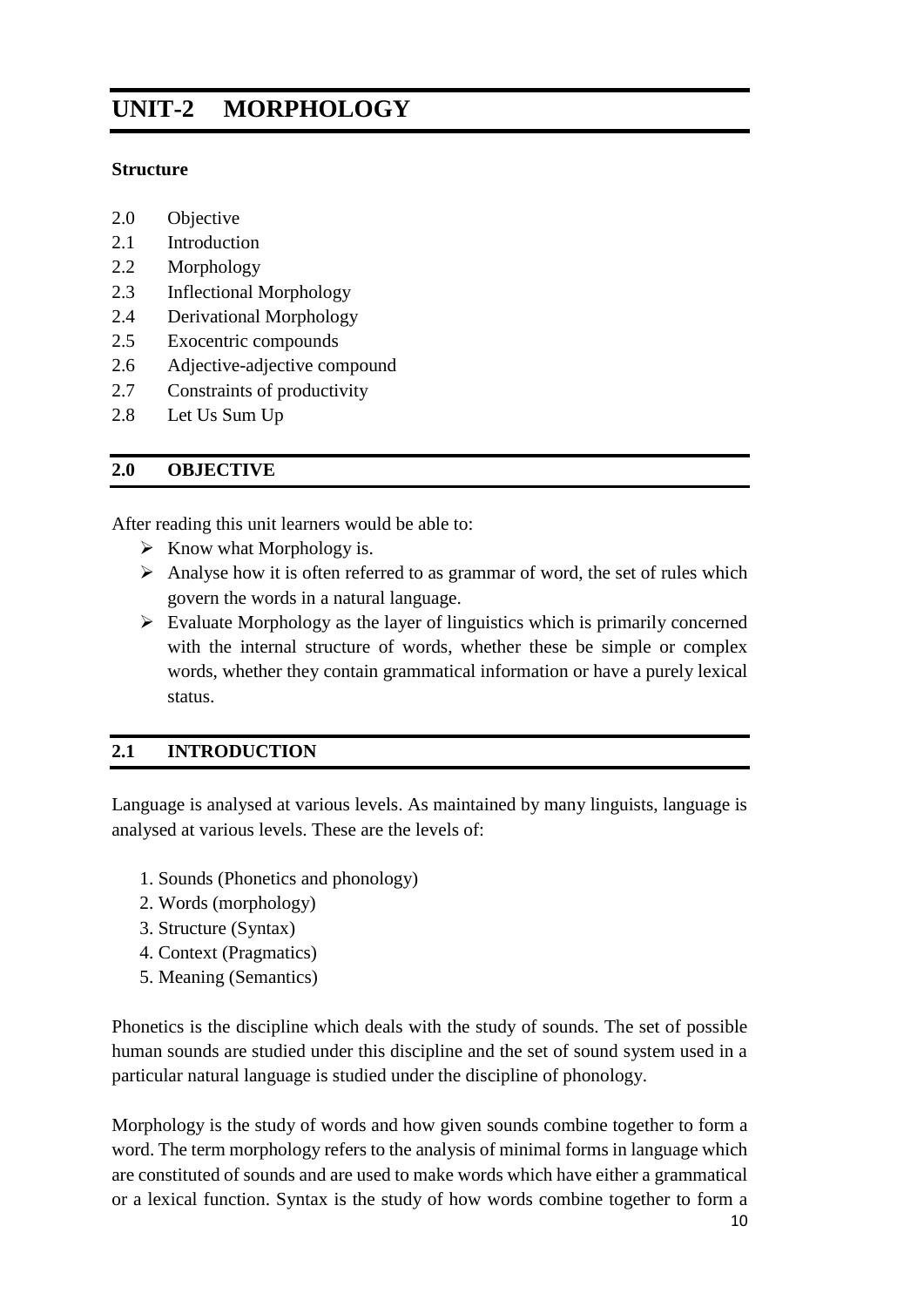in combination with other morphemes or root. For example: -un, -s, -er, -ing, -tion, ly.

### **4.5 CLASSIFICATION OF BOUND MORPHEME:**

**Affixes:** Affixes are always bound morphemes that are attached to a word. Affixes in a word are assigned for the grammatical function. Affixes are added to a word or root of a word to change the meaning. Affixes can be further classified onto various types based on the position they occur in a word. Prefix: It is the letter or group of letters that is always placed at the beginning of a word. It precedes the base. For example: un-necessary, illogical, re-start, ir-regular.

**Suffix:** It follows the base. Suffixes are placed at the end of a word. For example: cleanli-ness, regular-ly, play-ing, play-er. Circumfix: They occur on both sides of the base. One part appears before the base and the other part appears after the base. For example: un-mind-ful, in the Malay root word -adil ''fair'' both the prefix ''ke'' and suffix "an" can be added to form the circumfix ke-adil-an "fairness". Infix: It is placed within the base itself. For example: d-um-ater which means wiser is an example from the Tagalog language. Further classifications of affixes are: Derivational morphemes, and Inflectional morphemes.

**4.5.1 Derivational Morpheme**: Derivational morphemes are those which change the part of speech or meaning when combined with a root. Generally the affixes used with the root word are bound morphemes. For example: Verb to Noun: sing – singer Noun to adjective: length - long Adjective to Adverb: happy - happily Adjective to Verb: creative – create

**4.5.2 Inflectional morpheme:** Inflectional morphemes are those morphemes that do not change part of speech or meaning. It indicates the syntactic or semantic relation between different words in a sentence. For example: wait to wait-ed, dog to dog-s, play to play-ing.

- **a.) Portmanteau morpheme:** Portmanteau morphemes are those morphemes which contain more than one meaning but cannot be further broken into separate morphemes. E.g. she (3rd person+singular+feminine+subject)
- **b.) Empty morphemes:** Empty morphemes are those morphemes that have structure or form but have no semantic content. For example: cran in the word cran-berry, berry has meaning of its own but cran doesn't have any semantic content.

**4.5.3 Zero morphemes:** Zero morphemes are those morphemes that are physically not present in the word, yet fulfil the grammatical requirement of the language. In the zero morphemes the null morpheme is added to the root, therefore it has a function but no form. For example: the verb put has same form in both past and present. Similarly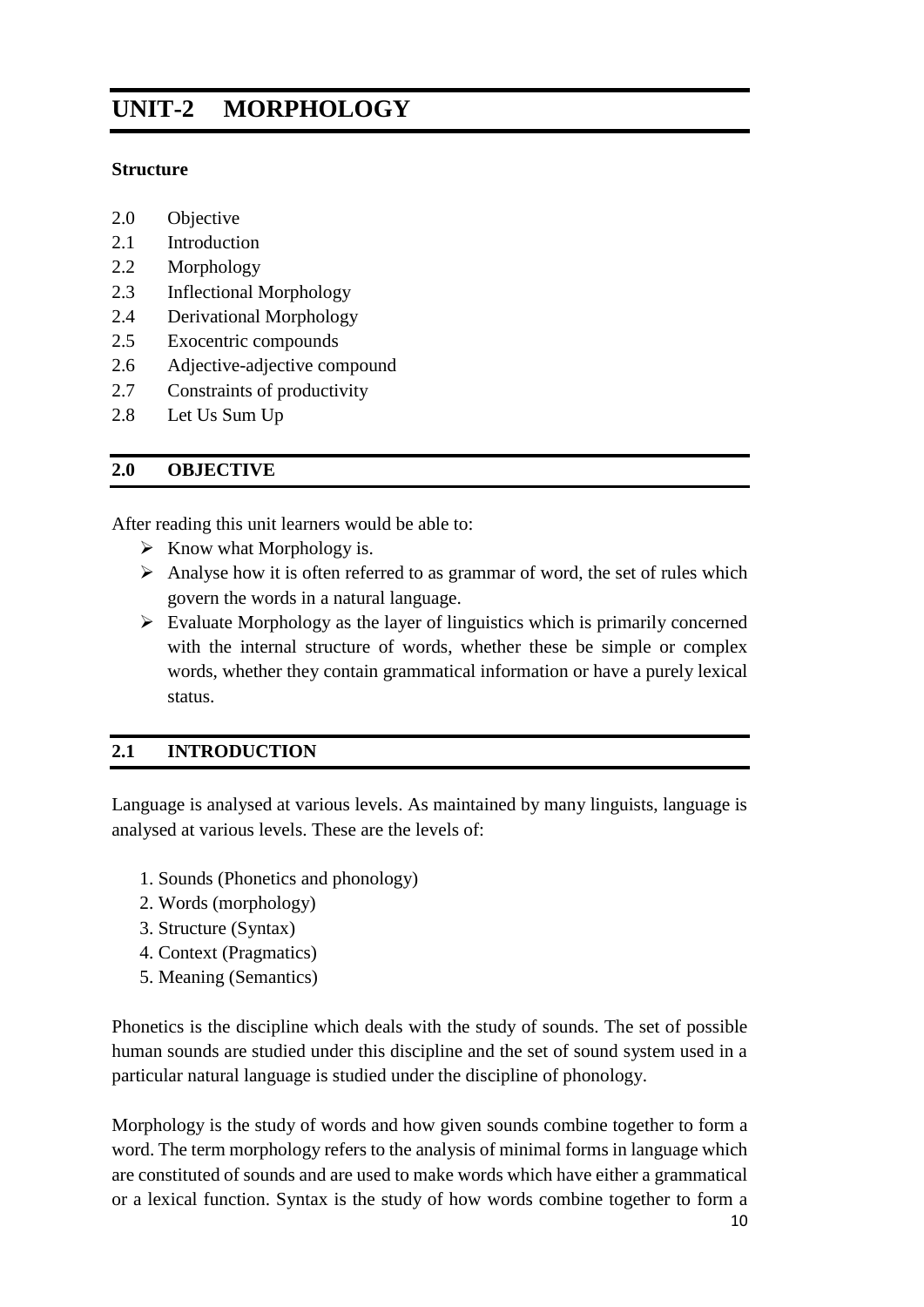the word cut has same form in both past and present. In the word sheep, the plural form is also sheep. The word sheep gets attached to a null plural morpheme, which changes the meaning but doesn't change the form.

**4.5.4 Clitics:** Clitics are morphemes that have phonological dependency on a neighbouring word but whose syntax is word like. They are syntactically independent but phonologically dependent and always bound on some other form. Clitics often have grammatical rather than lexical meaning. They belong to closed classes like pronouns, prepositions, determiners and conjunctions. They are usually appearing at the edge of a word, outside derivational and inflectional affixes. For example: the contraction of the morpheme is, as in 'what's happening?' or the contracted forms of the auxiliary verbs in I'm and we've are Clitics. Clitics can be of two types: proclitics and enclitics. Proclitics occur at the beginning of the morpheme that is before the host and enclitics occur at the end of a morpheme that is after its host.

**4.5.5 Word:** A word is the minimal free unit. A word may consist of a single morpheme as in red, white, boy, run or more than one as in redness, boys, running, quickly, Word can be used in different senses: as a physical unit and as a semantic entity. The physical entities, the written or spoken forms of a word are called word forms. In other words, word forms are the physical realization of lexemes. For example: 'talk', 'talked', 'talking' are different word forms of the word 'talk'. Words can be combined together to form phrases, clauses and sentences. Spoken words are made up of units of sound called phonemes, and written words of symbols are called graphemes.

**4.5.6 Lexeme:** Lexeme is a term used to refer to the idea that inflected forms which are also words themselves are still variants of a single word. It is the basic unit of meaning. The headwords or the vocabulary that are given in a dictionary are the lexemes. It includes all the inflected forms of a word. For example: Play- 'plays', 'playing', 'player', 'play'

**4.5.7 Morph:** A morph is the physical form representation of some morpheme in a language. It is the recurrent distinctive sound (phoneme) or sequence of sounds (phonemes). For example: the word infamous is made up of three morphs -in-fameous which represents one single morpheme. Langendoen defines it ''as a specific pronunciation associated with a specific meaning such that the pronunciation cannot be broken down into meaningful parts whose meanings combine to form the meaning of the whole." For example: the word 'no', there is no distinction between the morpheme and the morph as there is only one meaning associated with the pronunciation.

**4.5.8 Discontinuous morpheme:** Discontinuous morphemes are those morphemes that are interrupted by the insertion of another morphological unit. For example: Circumfixes.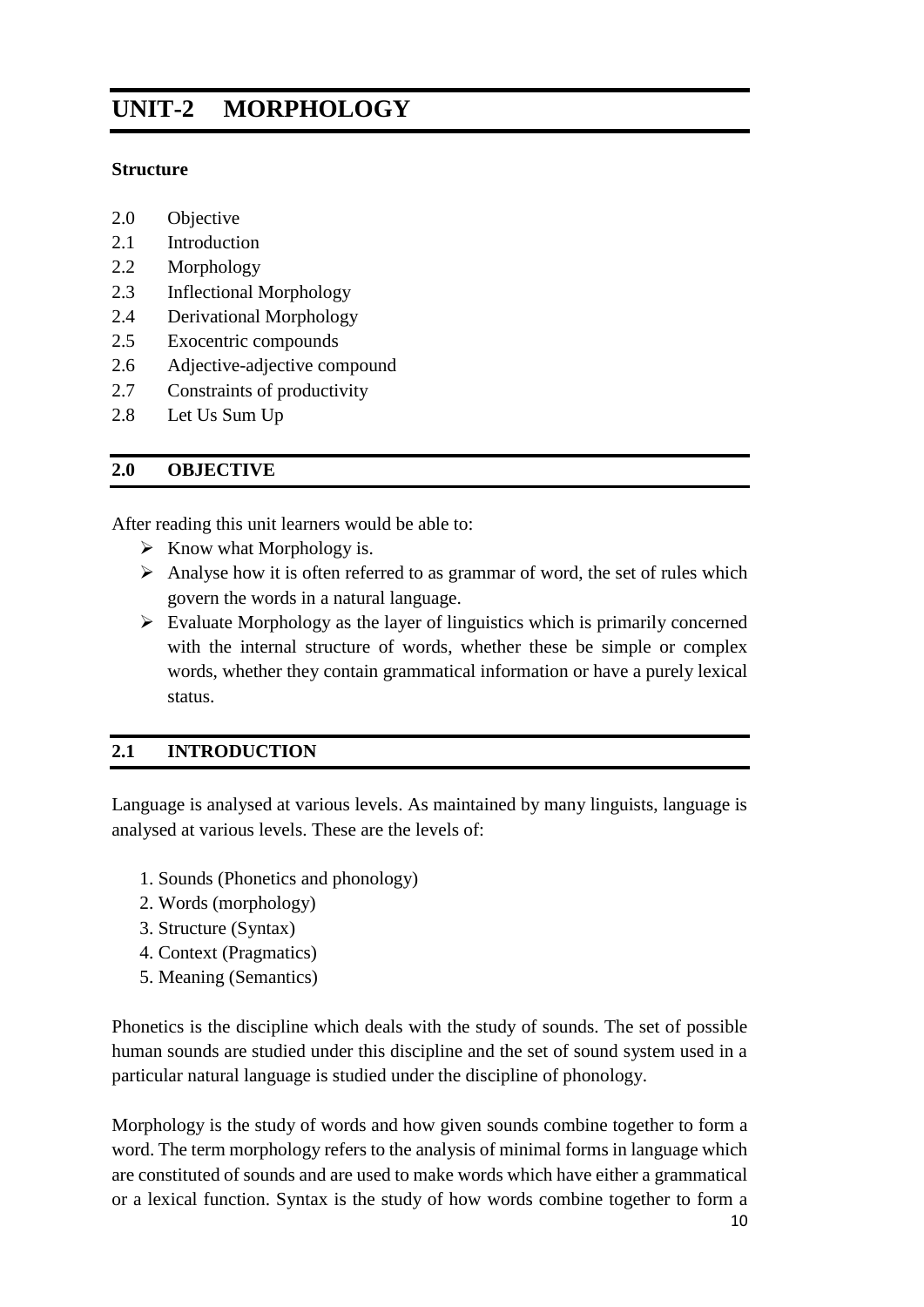- **a.) Allomorph:** They are the group of morphs that are the realization of the same morpheme. Just as an allophone is the variation of a single phoneme, an allomorph is a variety of a single morpheme. For example: the English noun plural morpheme has the following allomorphs: -z as in dogs, -s as in cats, -Iz as in buses.
- **b.) Suppletion:** In suppletion the allomorphs of a morpheme are phonologically unrelated. For example: go-went, is-was, bad-worse-worst, one-first, good/better.
- **c.) Root:** A root is the basic lexical unit of a word, which contains the most significant aspects of semantic content. A root cannot be further reduced into smaller parts. Roots are the lexical morphemes and the base to which grammatical derivational morphemes are added to form a complex word. A root is that part of a word that is remaining after all the affixes are removed. It is the basic part that is remaining in a lexeme. For example: in the word 'untouchables' the root is 'touch' , the suffix -able, prefix -un and another suffix -s are added to the root . 'Play' is the root form of 'plays', 'playing', 'played', 'player.' Some lexemes have more than one root. A root can also be a stem. As it is said "All roots can be base but not all bases are roots."
- **d.) Stem:** Stem is a part of word that occurs before any inflectional affix. It is related to only inflection. For example: 'touch' is the stem in the word 'touched.' Bases can be called stems in inflectional morphology.
- **e.) Base:** A base is any form of a word to which affixes of any kind can be added. It yields a more complex form of a word. The affixes attached to a base can be inflectional affixes selected for syntactic reasons or derivational affixes which alter the meaning or the grammatical category of the base. For example: a root like 'girl' can be a base since it can be attached to various other affixes like '-s' as in girls '-ish' as in girlish.

#### **4.5.9 Nida's principles for the identification of morphemes**

**Nida's Principle 1:** Forms, which have a common semantic distinctiveness and an identical phonemic form in all their occurrences constitute a single morpheme. Example: '-er' in singer, player, writer, teacher.

**Nida's Principle 2:** Forms, which have common semantic distinctiveness, but which differ in phonetic form may constitute a morpheme provided the distribution of formal differences is phonologically defined. For example: -z as in dogs, -s as in cats, -Iz as in buses respectively constitute a morpheme but their occurrences are phonologically conditioned.

**Nida's Principle 3:** Forms which have a common semantic distinctiveness, but which differ in phonetic form in such a way that their distribution cannot be phonologically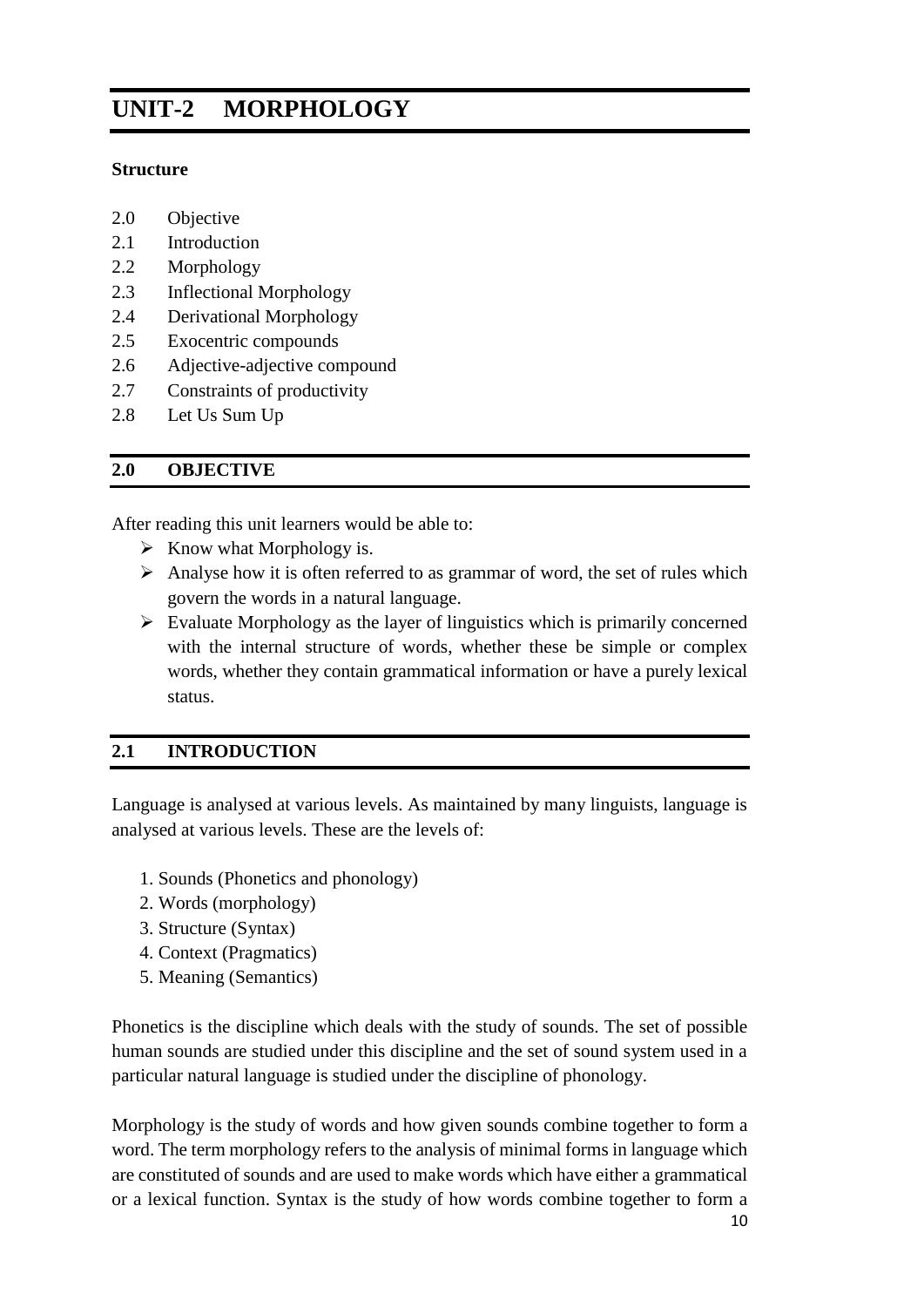defined constitute a single morpheme, if the forms are in a complementary distribution.

**Nida's Principle 4:** An overt formal difference in a structural series constitutes a morpheme, if in any number of such series the overt formal difference and a zero structural difference are the only significant features for distinguishing a minimal unit of phonetic semantic distinctiveness. For example: both 'books' and 'deer' are plurals, but one has the plural marker '-s' and the other has a null morpheme 'Ø' as the plural marker. According to Nida's 4th principle the plural marker '-s' and the other plural marker 'Ø' constitute the same morpheme.

**Nida's Principle 5:** Homophonous forms are identifiable as the same or different morphemes based on the following conditions: • Homophonous forms with distinctively different meanings constitute different morphemes. For example: pair, pare and pear constitute different morphemes. • Homophonous forms with related meanings constitute a single morpheme if the meaning classes are paralleled by distributional differences. For example: 'run' in the expression 'they run' and 'their run'.

**Nida's Principle 6:** A morpheme is isolable if it occurs under the following conditions:  $\bullet$  In isolation  $\bullet$  In multiple combinations, in atleast one of which the unit with which it is combined occurs in isolation or in other combination.  $\bullet$  In a single combination, provided the element with which it is combined occur in isolation or in other combinations with non-unique constituents. For example: Morphemes like 'cran', 'rasp' etc. which occurs only in single combinations like cranberry, raspberry.

#### **4.5.10 Morphophonemic processes**

**Assimilation:** Assimilation is the process in which one sound becomes more similar to another neighbouring sound under the influence of that neighbouring sound. The changes are classified as total-partial assimilation, progressive-regressive and contactdistant. Total Assimilation- If a sound becomes completely identical to another by taking all the phonetic features that change is a total assimilation. For example: Latin septem 'seven' > Italian sette. Partial Assimilation- Partial assimilation occurs when the assimilating sound acquires some of the features and doesn't become identical. For example: Old English efn 'even' > West-Saxon emn. Progressive Assimilation-Forward spread of the feature in assimilation is known as progressive assimilation. A sound becomes more like the preceding sound. In progressive assimilation which is also known as perseverative assimilation the source of assimilation is the first sound in the sequence. For example: The English plural is either /z/ or /s/ when it occurs after a non-sibilant sound. The voicing feature is taken from the final consonant of the base. For example: "tape" pronounced as "tate" Regressive Assimilation- Backward spread of feature in assimilation is termed as regressive assimilation. A sound becomes more like a following sound. In regressive assimilation also known as anticipatory assimilation the source of the assimilation is the second sound in the sequence. For example: "tape" pronounced as "pape" in  $+$  logical  $\Diamond$  illogical Contact Assimilation- If the sound undergoing change and conditioning sound are immediately adjacent to each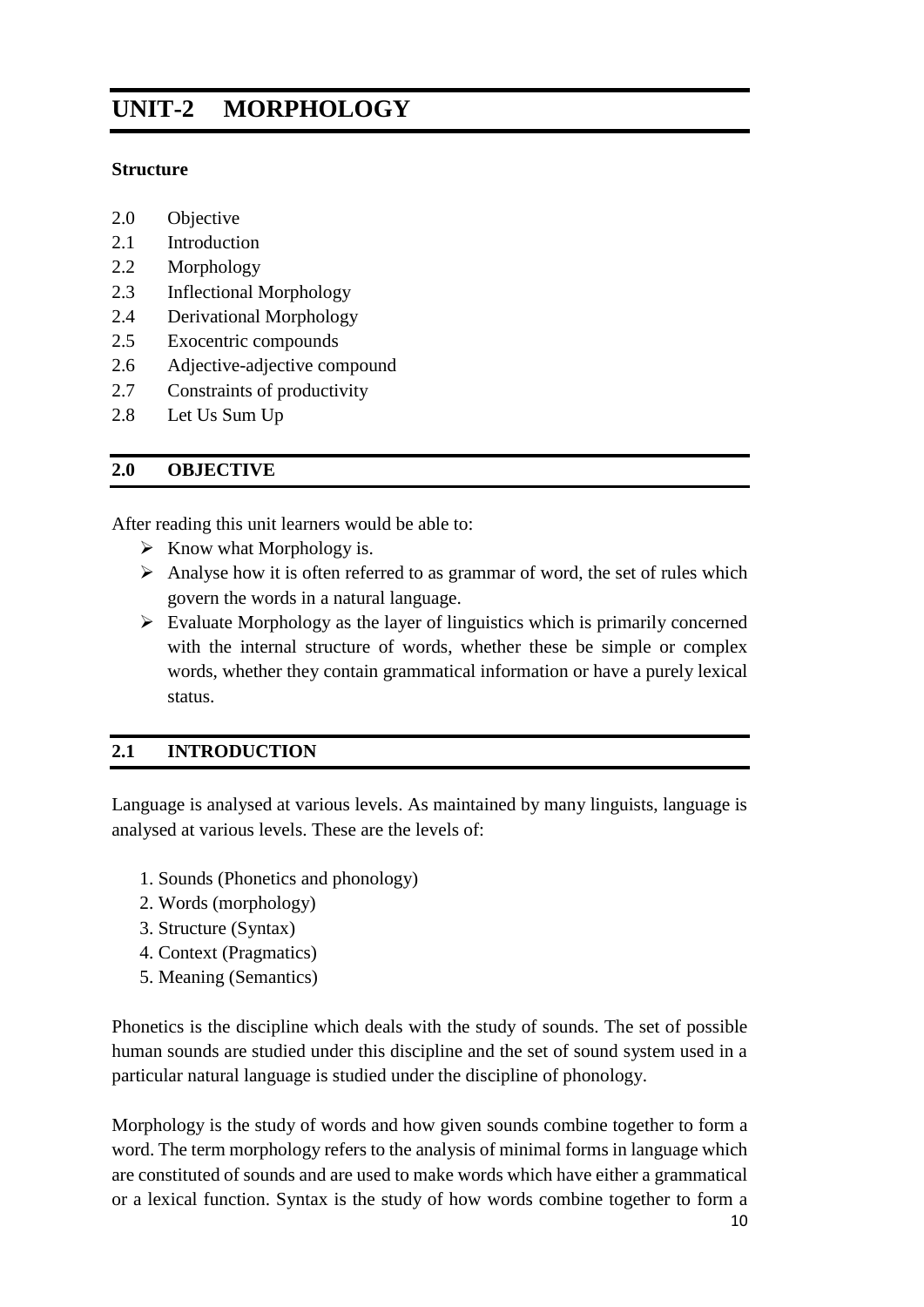other then it is called contact assimilation. For example: the English word sixth [sIksT] [s] becomes dental under the influence of the adjoining [T]. E.g., in + possible  $\Diamond$ impossible Distant Assimilation- If the sounds undergoing the changes are not adjacent to each other, it is called distant assimilation. E.g., penk ve  $\Diamond$  kwink ve Reciprocal assimilation- If there is a mutual influence between the two phonemes it is known as reciprocal assimilation. When such a change results in a single segment with some features of both components, it is known as coalescence or fusion. 11.18 Dissimilation- If the sounds undergoing the changes become less similar to each other it is known as dissimilation. This can apply to sounds that were originally identical, or sounds that we re originally similar. In general, dissimilation refers to a process of two things becoming increasingly dissimilar. One popular example for describing this process is where various words in English, such as 'marble', take on an 'l' sound, where for instance, the original French word was 'marbre'. Gemination- It refers to the change which produces a sequence of two identical consonants from a single starting consonant. For example: osaa "he/she knows" becomes ossaa "he/she knows" (Finish). De-Gemination- when a sequence of two identical consonants is reduced to a single occurrence. As in 'immature' the double /m/ in the spelling is pronounced as a single /m/. Lengthening – It refers to the change in which some sounds usually vowels are lengthened in some context. For example: balk 'brother-in-law' becomes ba:lk 'brother-in-law' (Q'eqchi) Shortening- It refers to the change in which some sounds usually vowels are shortened in some context. Ablaut/Apophony- It refers to the alteration of sounds within a word that indicates grammatical information. For example: drink, drank, drunk.

#### **4.5.11 Word Formation processes**

- **a.) Compounding:** It is the process of word formation that involves the combination of two complete already existing word forms into a single compound. The category of the entire compound is determined by its head. Endocentric and exocentric are the terms used to describe semantically headed and semantically non-headed compounds respectively.
- **b.) Endocentric compounds**: If AB is a compound of A and B, in endocentric compounds, AB is an instance of B. In this type of compounds the final element serves as the head of the compound and the reaming elements provide additional information. The head determines the basic syntactic or semantic category of the compound. The non-head stem, in endocentric compounds specifies a subcategory of the referents denoted be the head of the compound. For example: Chess table (a types of table), sky blue (a shade of blue). Exocentric compounds: In this type of compounds AB is neither A nor B but a C somehow that is associated with A and B. Exocentric compounds do not have an overt semantic head. For example: Pickpocket (It is not related to pocket in any sense but it is a thief who steals from others pocket).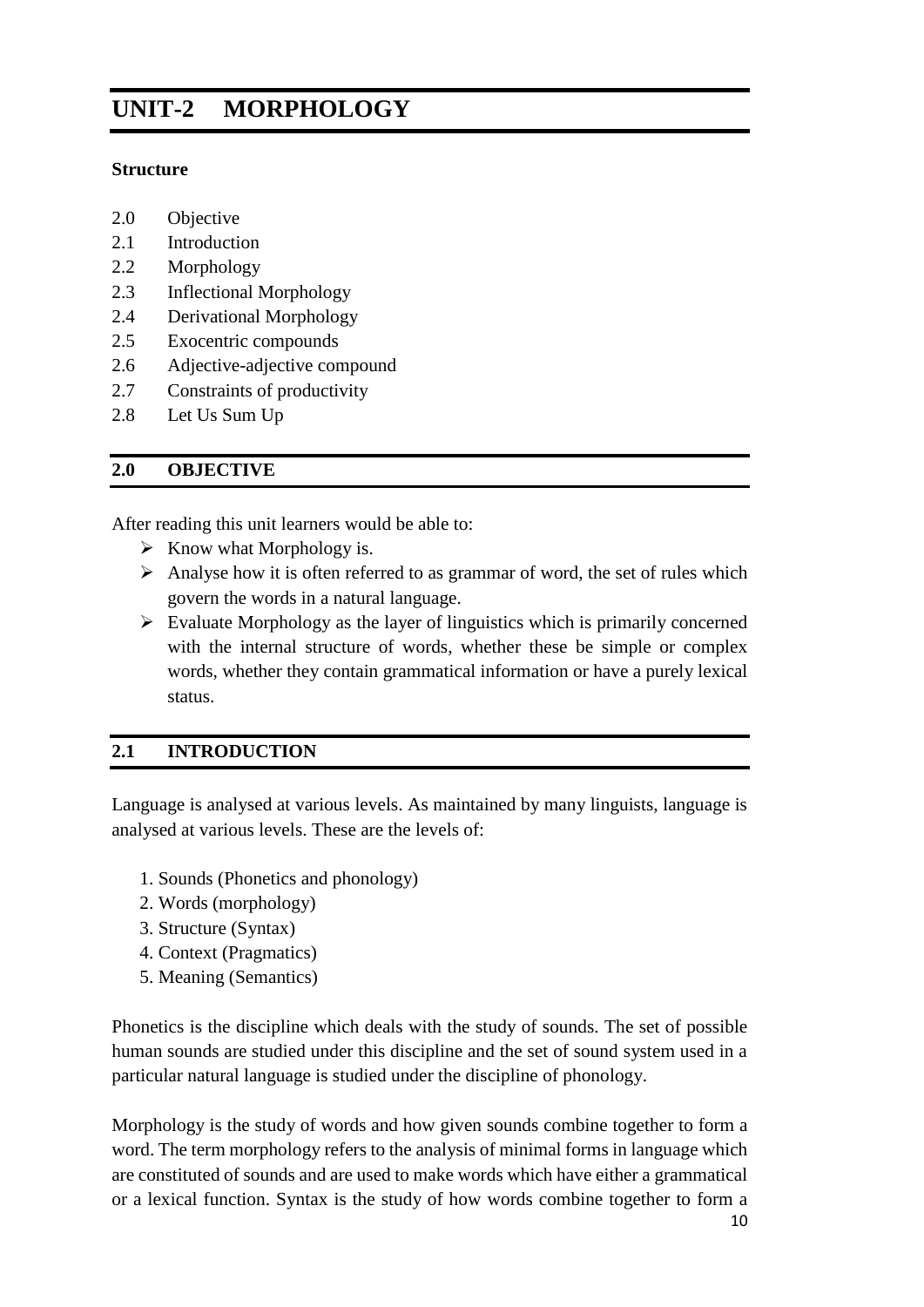- **c.) Copulative Compounds:** In this type of compounds AB is A and B. Both A and B share the same status. They are written with a hyphen. Copulative compounds are also known as coordinative (dvandva) compounds. For example: producerdirector.
- **d.) Clipping:** It is the word formation process which refers to the reduction of a word to one of its parts. For example: gas (gasoline). Clipping can be of four types.
- **e.) Back clipping/Apocopation:** here the initial part of the word is retained and the final part of the word is deleted. For example: exam (examination).
- **f.) Fore clipping:** It refers to the phenomenon in which the initial part of the word is deleted and the final part is retained. For example: phone (telephone).
- **g.) Middle clipping:** here the middle part of the word is retained. For example: flu (influenza).
- **h.) Complex clipping:** here one part of the original compound remains intact. For example: cablegram (cable telegram).
- **i.) Blending:** It is a word formation process in which a new word is formed by combining parts of two other words where the meaning of the new word is a combination of the meaning of the two words. For example: 'smog' derived from 'smoke' and 'fog' and contains meaning of both the words, 'brunch' (breakfast+ lunch), 'motel' (motor+ hotel), 'newscast' (news+ broadcast).
- **j.) Backformation**: It is a process in which new words are formed by the removal of what looks like a typical affix in the language. For example: edit from editor, donate-donation, babysitter-babysit.
- **k.) Coining:** It is the invention of new words. For example: Xerox, Nylon.
- **l.) Acronyms:** These are the words created from the initial letters of several words or word parts in a phrase or name. The pronunciation of the words differs from the full forms for which they stand. For example: radar, UNO, TOEFL, NASA, AIDS.
- **m.)Borrowing:** It is the process in which new words are taken from some other language. The terms that are borrowed is known as loan words. For example: 'piano' is a borrowed term from Italian language.
- **n.) Derivation:** It is the process of forming new words from already existing ones by the addition of affixes. The derived word may not be in the same category of the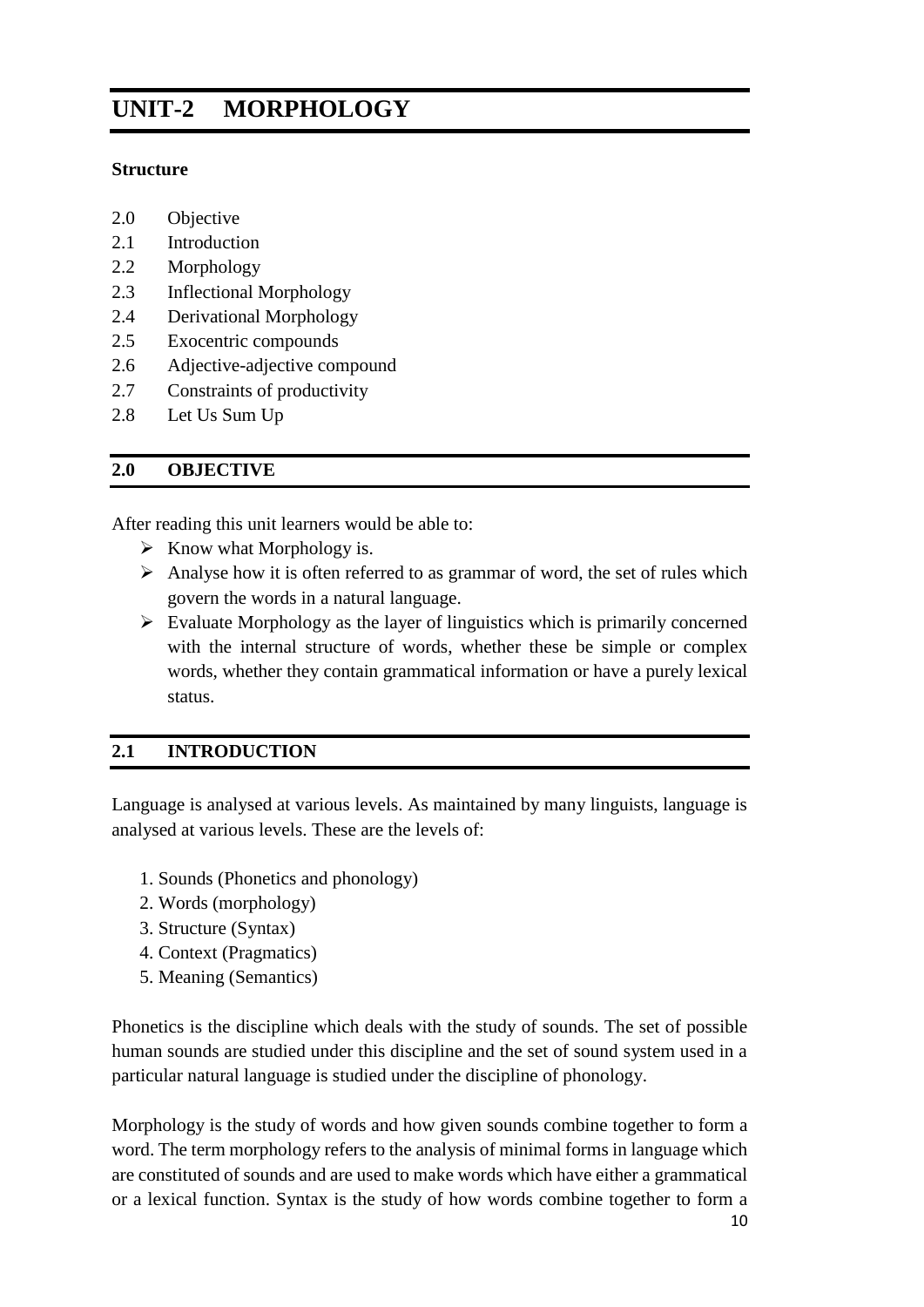root and it will be semantically distinct from the root. For example: establishment from establish.

- **o.) Conversion:** It is the process of word formation in which a new word is created from an already existing word without any change in the form. The category of the word is changed keeping the form same. For example: the adjective clean is converted to the verb clean, (verb) to hit – (noun) a hit, (noun) a sign – (verb) to sign.
- **p.) Incorporation:** It is the phenomenon in which a word usually a verb or preposition is compounded with another element typically a noun, pronoun or adverb. For example: babysit.
- **q.) Eponyms:** A person after whom a discovery, invention, place, etc., is named for example: Cook Islands (James Cook).

#### **4.5.12 Reduplication**

It is the process of formation of new words either by doubling the entire word or only a part of the word. Full reduplication happens when the exact repetition of a sound or word takes place whereas partial reduplication involves constant ablaut or vowel alteration. For example: gin 'ourselves' – gingin 'we to us', so-so, bye-bye, hotch-potch, zig-zag.

#### **4.5.13 Lexical Morphology**

The lexical Morphology and Phonology model was introduced by Paul Kiparsky and K.P Mohanan. It involves the treatment of language with a symbiotic relationship between morphological and phonological rules. The central principle of lexical morphology is that the morphological component of the grammar is organized in a series of hierarchical strata. The English affixes are classified into two broad classes on the basis of their phonological behaviour. Affixes that do not result in any phonological variation on the base to which they are attached are called neutral affix. For example: -less, -ness. The affixes that cause an effect on the segmental and suprasegmental structure of the base to which they are attached are called the non-neutral affix. For example: -ec, -ee. The basic principle of lexical morphological model is the level-ordering hypothesis. It is assumed that the affixes are added to the base at different strata or levels and each stratum has associated with it a set of morphological rules that do the word building.

**Auxilation**: It is the process of development of lexical items into auxiliaries.

#### **4.6 LET US SUM UP**

This module introduces several concepts that are basic to morphology. The different notions of word: the lexeme ('abstract, dictionary word'), the word-form ('concrete word') and the various word formation processes. It discusses about the various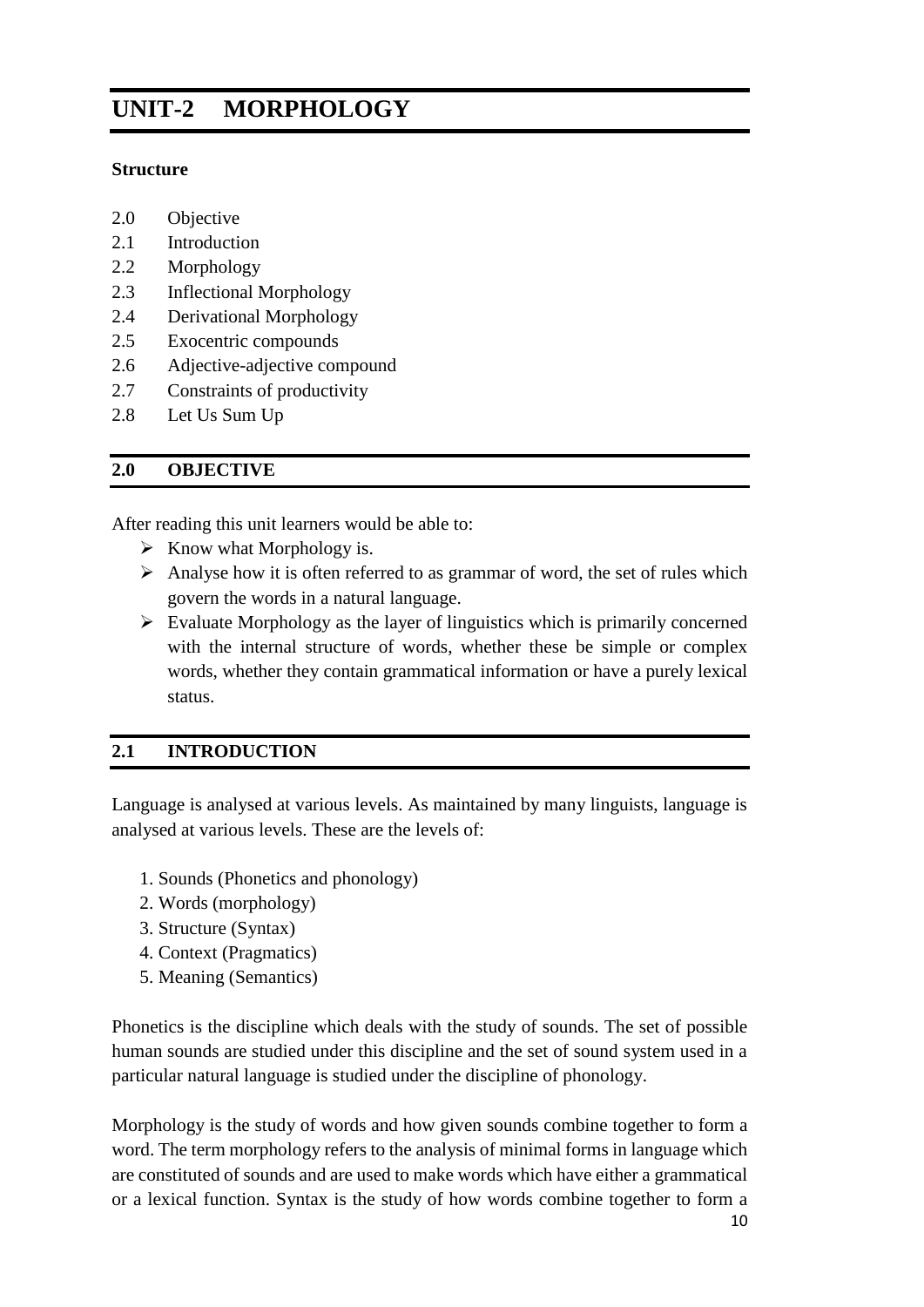morphophonemic processes that take place when a morpheme is attached to a word and it alters the phonetic environment of other morphemes in that. Inflectional morphology describes the relationship between the word-forms in a lexeme's paradigm, and derivational morphology describes the relation between lexemes. Complex words can often be segmented into morphemes, which are called affixes when they are short and affixes can be further divided based on their position in a word. They have an abstract meaning, and cannot stand alone, and roots when they are longer and have a more concrete meaning. When two or more morphemes express the same meaning and occur in complementary distribution, they are often considered allomorphs.

#### **4.7 CHECK YOUR PROGRESS**

| 1. | What are the Classification of Morphemes?  |
|----|--------------------------------------------|
|    |                                            |
|    |                                            |
|    |                                            |
|    |                                            |
|    |                                            |
|    |                                            |
|    |                                            |
|    |                                            |
|    |                                            |
|    | 2. What do you mean by bound morpheme?     |
|    |                                            |
|    |                                            |
|    |                                            |
|    |                                            |
|    |                                            |
|    |                                            |
|    |                                            |
|    |                                            |
|    |                                            |
|    |                                            |
| 3. | What do you mean by Derivational morpheme? |
|    |                                            |
|    |                                            |
|    |                                            |
|    |                                            |
|    |                                            |
|    |                                            |
|    |                                            |
|    |                                            |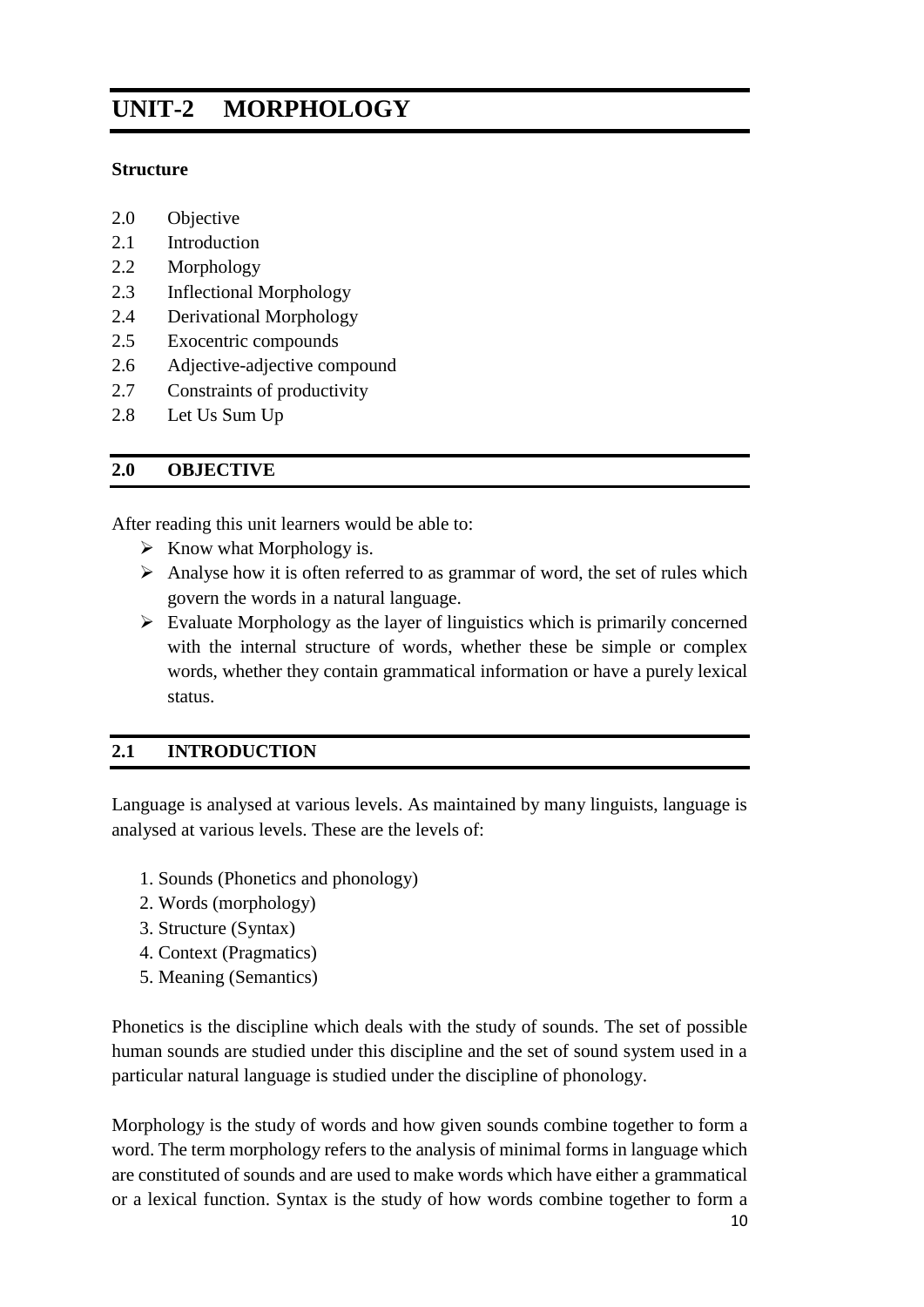### 4. What do you mean by Portmanteau morpheme? 5. What do you mean by Clitics?

#### 4.8 **SUGGESTED READINGS**

Matthews, Peter. 1991. Morphology. (2nd ED.) Cambridge: Cambridge University Press. Nida, Eugene, A. 1949. Morphology: A Descriptive Analysis of Words. (2nd ED.), Ann Arbor: UMP. Spencer. Andrew.1991. Morphological Theory: An Introduction to word structure in a Generative Grammar. Oxford: Blackwell.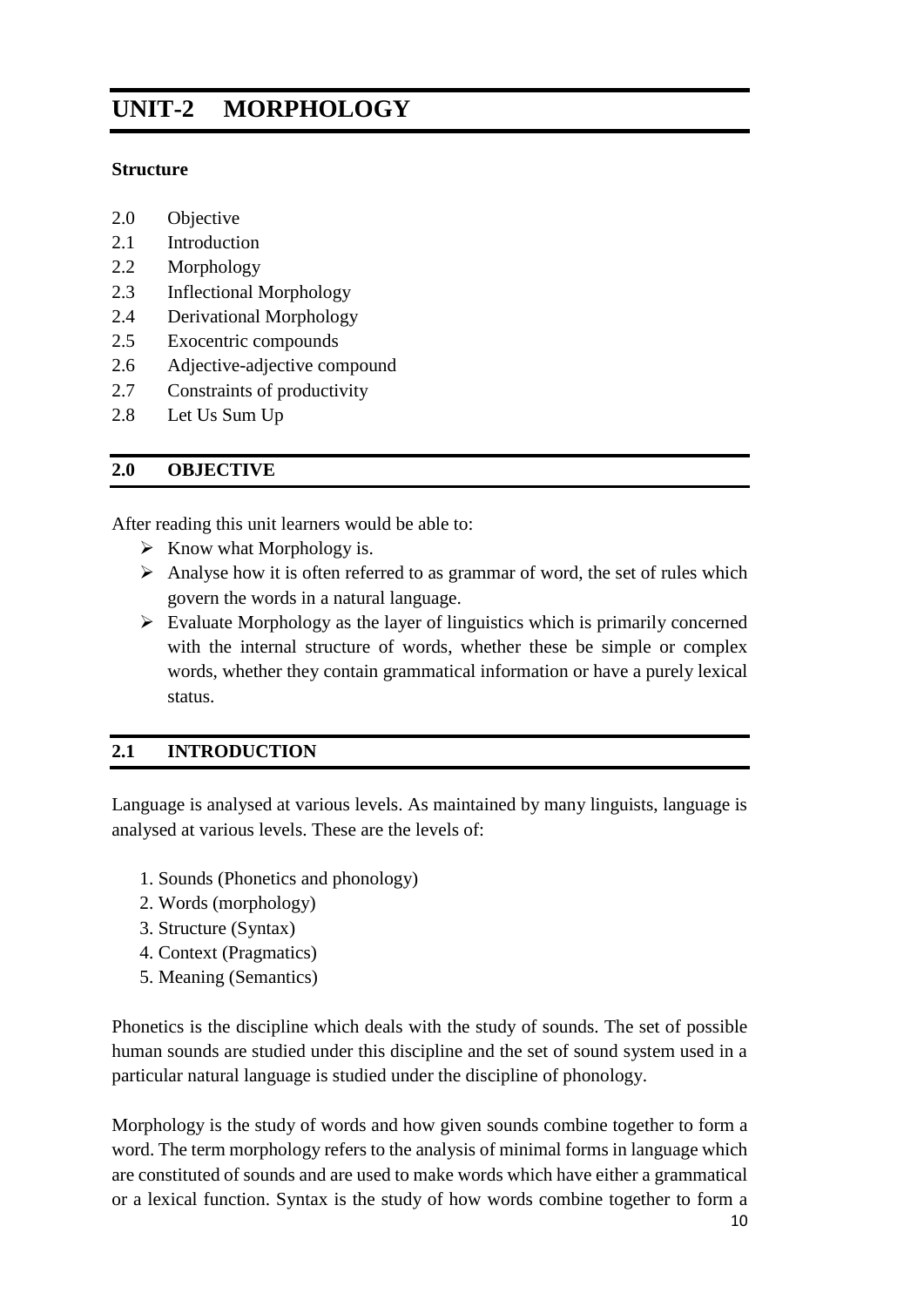## **UNIT-5 WORD FORMATION IN ENGLISH**

#### **Structure**

- 5.0 Objective
- 5.1 Introduction
- 5.2 Definition
- 5.3 History Of Word Formation
	- 5.3.1 Birth And Death Rates Of Words
	- 5.3.2 Processes Of Word-Formation
- 5.4 Bound Morpheme, Free Morpheme And Bound Roots
- 5.5 Acronyms
- 5.6 Complex Words
- 5.7 Productive And Unproductive Affixes
- 5.8 Productivity And Formation Of Words
- 5.9 Active And Passive Words
- 5.10 Complex Words
- 5.11 Theoretical Issues: Modeling Word-Formation
- 5.12 Let Us Sum Up
- 5.13 Check Your Progress

#### **5.0 OBJECTIVE**

After reading this unit learners would be able to know about the existence of words is usually taken for granted by the speakers of a language. To speak and understand a language means - among many other things - knowing the words of that language. The average speaker knows thousands of words, and new words enter our minds and our language on a daily basis.

This unit is about words. More specifically,

- $\triangleright$  It deals with the internal structure of complex words, i.e. words that are composed of more than one meaningful element. Take, for example, the very word meaningful, which could be argued to consist of two elements, meaning and -ful, or even three, mean, -ing, and - ful.
- $\triangleright$  We will address the question of how such words are related to other words and how the language allows speakers to create new words. For example, meaningful seems to be clearly related to colorful, but perhaps less so to awful or plentiful.
- $\triangleright$  And, given that meaningful may be paraphrased as 'having (a definite) meaning', and colorful as 'having (bright or many different) colors', we could ask whether it is also possible to create the word coffeeful, meaning 'having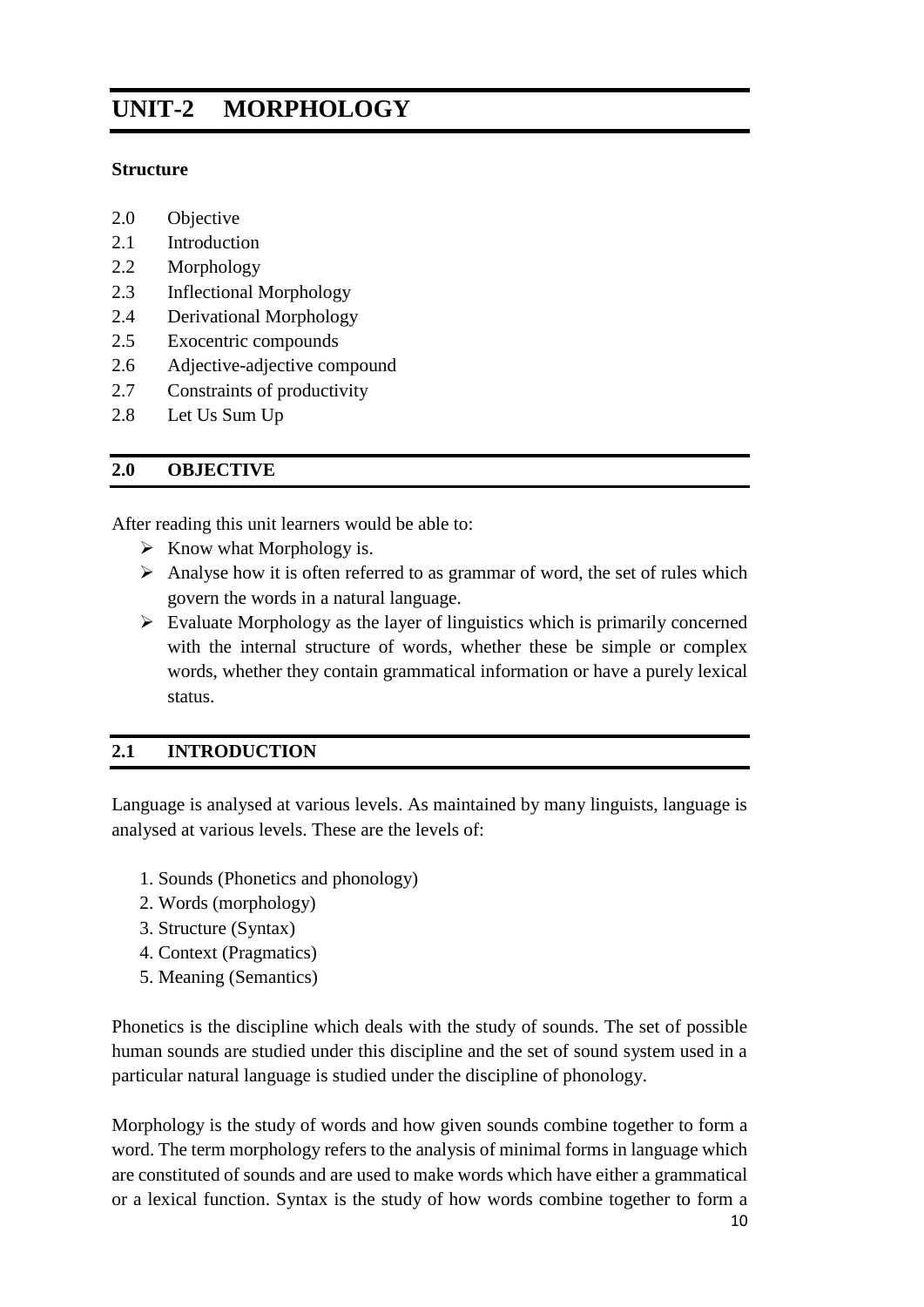coffee'. Under the assumption that language is a rule-governed system, it should be possible to find meaningful answers to such questions

#### **5.1 INTRODUCTION**

It has been estimated that average speakers of a language know from 45,000 to 60,000 words. This means that we as speakers must have stored these words somewhere in our heads, our so-called mental lexicon. But what exactly is it that we have stored? What do we mean when we speak of 'words'? In non-technical every-day talk, we speak about 'words' without ever thinking that this could be a problematic notion. In this section we will see that, perhaps contra our first intuitive feeling, the 'word' as a linguistic unit deserves some attention, because it is not as straightforward as one might expect. If you had to define what a word is, you might first think of the word as a unit in the writing system, the so-called orthographic word. You could say, for example, that a word is an uninterrupted string of letters which is preceded by a blank space and followed either by a blank space or a punctuation mark. In traditional grammar, words are the basic units of analysis. Grammarians classify words according to their parts of speech and identify and list the forms that words can show up in. Words are the main units used for entries in dictionaries. In fact Words are potentially complex units, composed of even more basic units, called morphemes. A morpheme is the smallest part of a word that has grammatical function or meaning.

#### **5.2 DEFINITION**

'In linguistics (particularly morphology and lexicology), word formation refers to the ways in which new words are made on the basis of other words or morphemes. Also called derivational morphology. Word-formation can denote either a state or a process, and it can be viewed either diachronically (through different periods in history) or synchronically (at one particular period in time) Most English vocabulary arises by making new lexemes out of old ones—either by adding an affix to previously existing forms, altering their word class, or combining them to produce compounds. These processes of construction are of interest to grammarians as well as lexicologists . . .. But the importance of word-formation to the development of the lexicon is second to none . . .. After all, almost any lexeme, whether Anglo-Saxon or foreign, can be given an affix, change its word class, or help make a compound. Alongside the Anglo-Saxon root in kingly, for example, we have the French root in royally and the Latin root in regally. There is no elitism here. The processes of affixation, conversion, and compounding are all great levellers."(David Crystal, The Cambridge Encyclopedia of the English Language, 2nd ed. Cambridge University Press, 2003)

#### **5.3 HISTORY OF WORD FORMATION**

Following years of complete or partial neglect of issues concerning word formation (by which we mean primarily derivation, compounding, and conversion), the year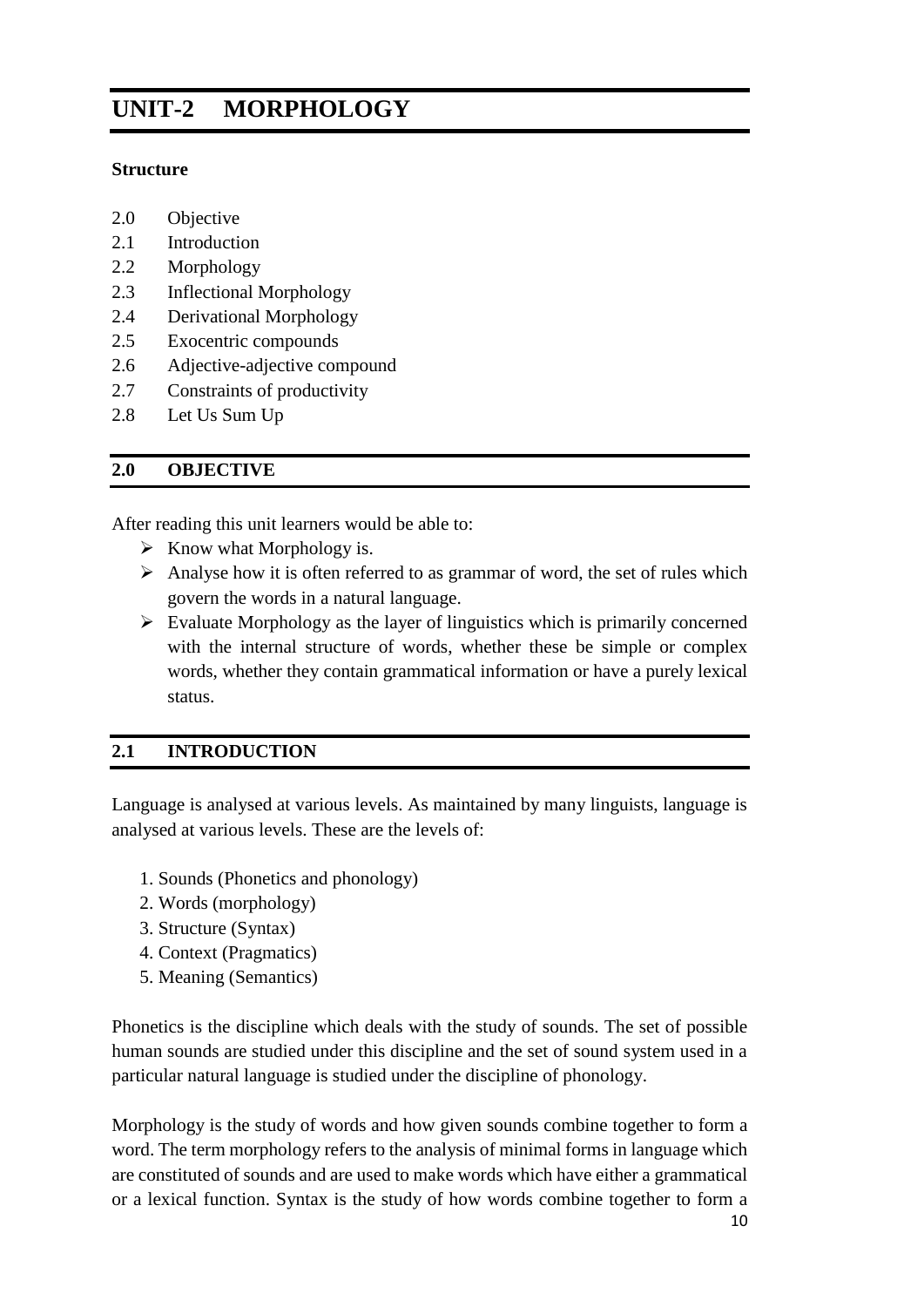1960 marked a revival—some might even say a resurrection—of this important field of linguistic study. As a result, a large number of seminal works emerged over the next decades, making the scope of wordformation research broader and deeper, thus contributing to better understanding of this exciting area of human language."

#### **5.3.1 Birth and Death Rates of Words**

"Just as a new species can be born into an environment, a word can emerge in a language. Evolutionary selection laws can apply pressure on the sustainability of new words since there are limited resources (topics, books, etc.) for the use of words. Along the same lines, old words can be driven to extinction when cultural and technological factors limit the use of a word, in analogy to the environmental factors that can change the survival capacity of a living species by altering its ability to survive and reproduce." (Alexander M. Petersen, Joel Tenenbaum, Shlomo Havlin, and H. Eugene Stanley, "Statistical Laws Governing Fluctuations in Word Use from Word Birth to Word Death." Scientific Reports, March 15.

#### **5.3.2 Processes of Word-Formation**

As the term 'word-formation' suggests, we are dealing with the formation of words, but what does that mean? Let us look at a number of words that fall into the domain of word-formation and a number of words that do not. "Apart from the processes that attach something to a base (affixation) and processes that do not alter the base (conversion), there are processes involving the deletion of material . . .. English Christian names, for example, can be shortened by deleting parts of the base word. This type of word formation is called truncation, with the term clipping also being used. Sometimes truncation and affixation can occur together, as with formations expressing intimacy or smallness, so-called diminutives. We also find so-called blends, which are amalgamations of parts of different words, such as smog ( smoke/fog) or modem (modulator/demodulator).

#### **5.4 BOUND MORPHEME, FREE MORPHEME AND BOUND ROOTS**

As we can see from the complex words some morphemes can occur only if attached to some other morpheme(s). Such morphemes are called bound morphemes, in contrast to free morphemes, which do occur on their own. Some bound morphemes, for example un-, must always be attached before the central meaningful element of the word, the socalled root, stem or base, whereas other bound morphemes, such as -ity, ness, or - less, must follow the root. Using Latin-influenced terminology, un- is called a prefix, -ity a suffix, with affix being the cover term for all bound morphemes that attach to roots. Note that there are also bound roots, i.e. roots that only occur in combination with some other bound morpheme. Examples of bound roots are often of Latin origin, e.g. later- (as in combination with the adjectival suffix -al), circul- (as in circulate, circulation, circulatory, circular), approb- (as in approbate, approbation, approbatory, approbator), simul- (as in simulant, simulate, simulation), but occasional native bound roots can also be found (e.g. hap-, as in hapless).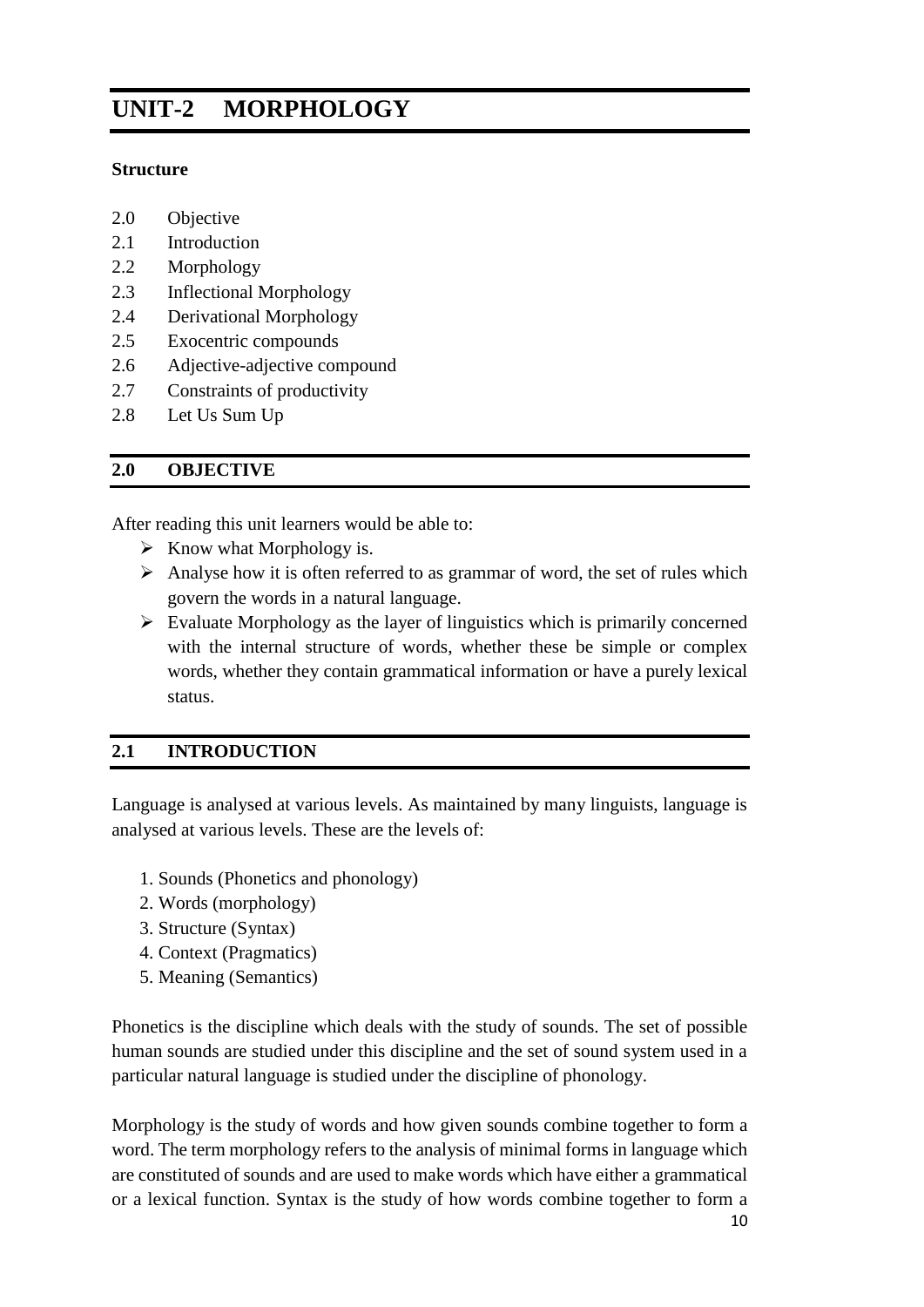#### **5.5 ACRONYMS**

''Blends based on orthography are called acronyms, which are coined by combining the initial letters of compounds or phrases into a pronounceable new word (NATO, UNESCO, etc.). Simple abbreviations like UK or USA are also quite common." (Ingo Plag, Word-Formation in English. Cambridge University Press,

#### **5.6 COMPLEX WORDS**

Sometimes new complex words are derived without an existing word formation rule, but formed on the basis of a single (or very few) model words. For example, ear witness 'someone who has heard a crime being committed' was coined on the basis of eyewitness, cheeseburger on the basis of hamburger, and air-sick on the basis of seasick. The process by which these words came into being is called analogy, which can be modelled as proportional relation between words employee VS neighbour In columns we find words that are obviously composed by putting together smaller elements to form larger words with more complex meanings. We can say that we are dealing with morphologically complex words. For example, employee can be analysed as being composed of the verb employ and the ending –ee. We can thus decompose complex words into their smallest meaningful units. These units are called morphemes. On the other hand the words like neighbour cannot be decomposed into smaller meaningful units, they consist of only one morpheme, and they are monomorphemic. Neighbour, for example, is not composed of neighb- and -or, although the word looks rather similar to a word such as inventor. Inventor ('someone who invents (something)') is decomposable into two morphemes, because both inventand -or are meaningful elements, whereas neither neighb- nor -or carry any meaning in neighbor (a neighbor is not someone who neighbs, whatever that may be.

#### **5.7 PRODUCTIVE AND UNPRODUCTIVE AFFIXES**

Some affixes are often used to create new words, whereas others are less often used, or not used at all for this purpose. The property of an affix to be used to coin new complex words is referred to as the productivity of that affix. Not all affixes possess this property to the same degree, some affixes do not possess it at all. For example, we KNOW that nominal -th (as in length) can only attach to a small number of specified words, but cannot attach to any other words beyond that set. This suffix can therefore be considered unproductive. Even among affixes that can in principle be used to coin new words, there seem to be some that are more productive than others. For example, the suffix -ness (as cuteness) gives rise to many more new words than, for example, the suffix -ish (as in apish). The obvious question now is which mechanisms.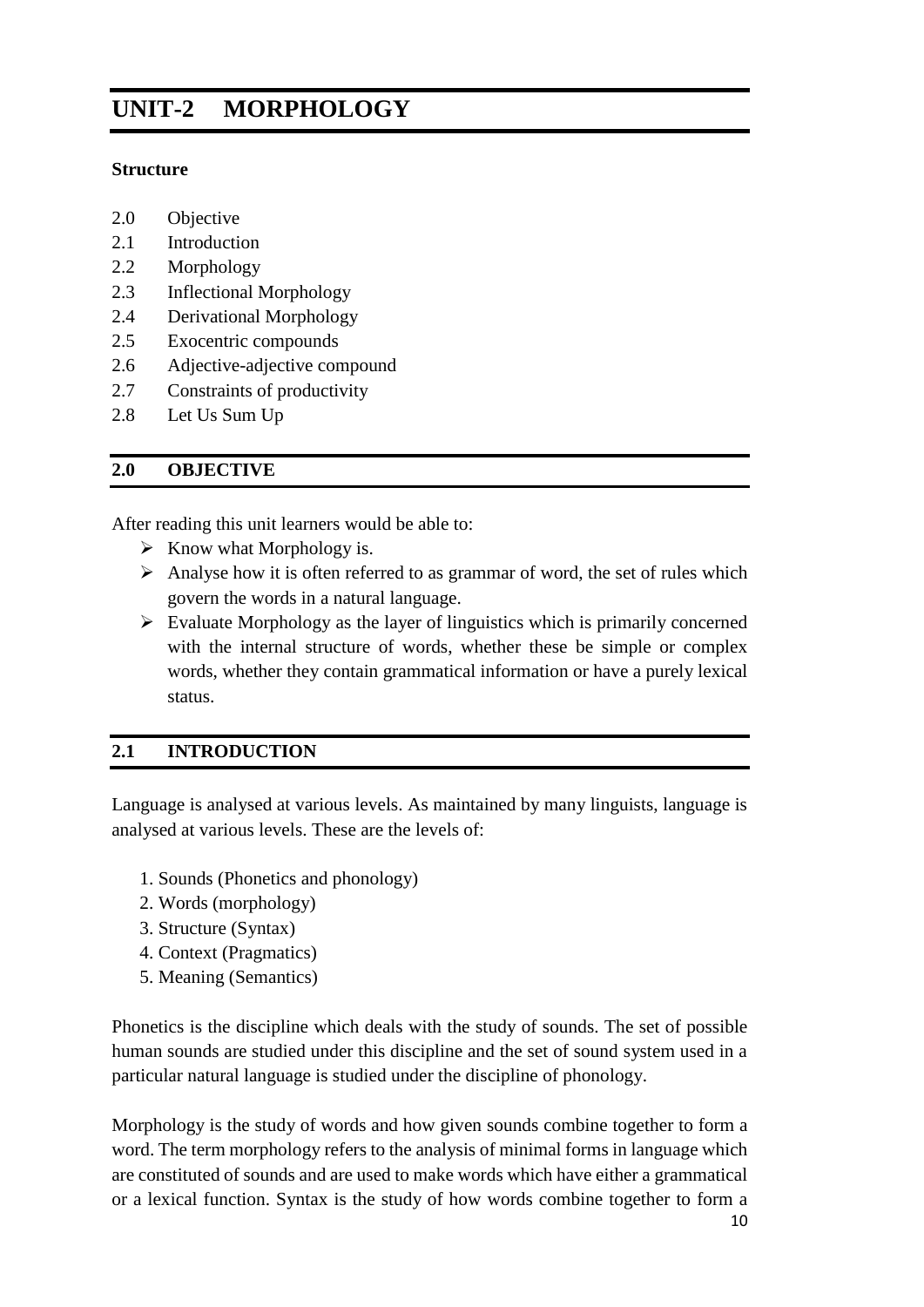#### **5.8 PRODUCTIVITY AND FORMATION OF WORDS**

Possible, or potential word Intuitively, the notion of productivity must make reference to the speaker's ability to form new words and to the conditions the language system imposes on new words. This brings us to a central distinction in morphology, the one between 'possible' (or 'potential') and 'actual' words. A possible, or potential, word can be defined as a word whose semantic, morphological or phonological structure is in accordance with the rules and regularities of the language. It is obvious that before one can assign the status of 'possible word' to a given form, these rules and regularities need to be stated as clearly as possible. It is equally clear that very often, the status of a word as possible is uncontroversial. For example, it seems that all transitive verbs can be turned into adjectives by the attachment of -able. Thus, affordable, readable, manageable are all possible words. Notably, these forms are also semantically transparent, i.e. their meaning is predictable on the basis of the word-formation rule according to which they have been formed. Predictability of meaning is therefore another property of potential words. In the case of the potential words affordable, readable, manageable, these words are also actual words, because they have already been coined and used by speakers. But not all possible words are existing words, because, to use again the example of -able, the speakers of English have not coined able derivatives on the basis of each and every transitive verb of English. For instance, take the word CANNIBALIZABLE that is not an existing word, in the sense that it is used by the speakers of English. However, it is a possible word of English because it is in accordance with the rules of English word-formation, and if speakers had a practical application for it they could happily use it. Having clarified the notion of possible word, we can turn to the question of what an actual (or existing) word is. A loose definition would simply say that actual words are those words that are in use. However, when can we consider a word as being 'in use'? Does it mean that some speaker has observed it being used somewhere or that the majority of the speech community is familiar with it? Or that it is listed in dictionaries?

#### **5.9 ACTIVE AND PASSIVE WORDS**

ALL speakers know the same words is not a possibility, i.e. the mental lexicon of one speaker is never completely identical to any other speaker's mental lexicon. Furthermore, it is even not completely clear when we can say that a given word is 'known' by a speaker, or 'listed' in her mental lexicon. For example, we know that the more frequent a word is the more easily we can memorize it and retrieve it later from our lexicon. This entails, however, that 'knowledge of a word' is a gradual notion, and that we know some words better than others. Note that this is also the underlying assumption in foreign language learning where there is often a distinction made between the so-called 'active' and 'passive' vocabulary. The active vocabulary obviously consists of words that we know 'better' than those that constitute our passive vocabulary. The same distinction holds for native speakers, who also actively use only a subset of the words that they are familiar with. Another instance of graded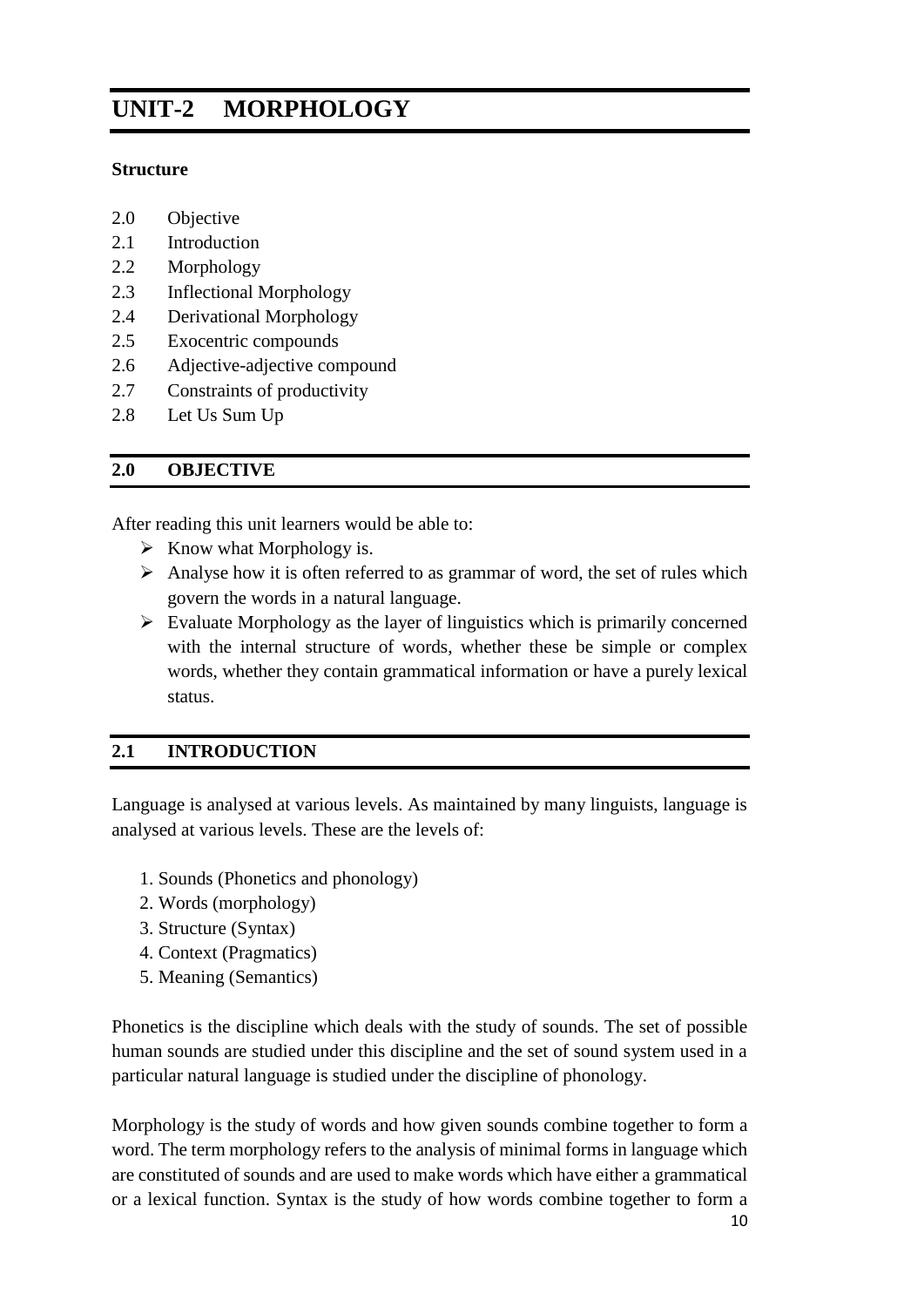knowledge of words is the fact that, even as native speakers, we often only know that we have heard or read a certain word before, but do not know what it means.

#### **5.10 COMPLEX WORDS**

In the lexicon Idiosyncratic complex words must be stored in the mental lexicon, because they cannot be derived on the basis of rules. But what about complex words that are completely regular, i.e. words that are in complete accordance with the word formation rule on the basis of which they are formed? There are different models of the mental lexicon conceivable. In some approaches to morphology the lexicon is seen "like a prison – it contains only the lawless" (Di Sciullo and Williams 1987:3). In this view the lexicon would contain only information which is not predictable, which means that in this type of lexicon only simplex words, roots, and affixes would have a place, but no regular complex words. This is also the principle that is applied to regular dictionaries, which, for example, do not list regular past tense forms of verbs, because these can be generated by rule and need not be listed. The question is, however, whether our brain really follows the organizational principles established by dictionary makers. There is growing psycholinguistic evidence that it does not and that both simplex and complex words, regular and idiosyncratic, can be listed in the lexicon (in addition to the word formation rules and redundancy rules that relate words to one another).

#### **5.11 THEORETICAL ISSUES: MODELING WORD-FORMATION**

Why theory? Haven't we so far rather successfully dealt? The answer is clearly 'no'. Whenever we had to solve an empirical problem, *i.e.* to explain an observation with regard to complex words, we had to make recourse to theoretical notions such as 'word', 'affix', 'rule', 'alternation', 'prosody', 'head' etc. In other words, during our journey through the realm of complex words, we tacitly developed a theory of word formation without ever addressing explicitly the question of how our theoretical bits and pieces may fit together to form an overall theory of word-formation. But what is a theory? In a more restricted sense a certain theory is a "hypothetical entity or structure explaining or relating an observed set of facts" (Webster's Third, s. v. theory). Thus, a morphological theory would help us not only to understand observed (and yet unobserved) facts concerning complex words, but would also help us to develop hypotheses in order to arrive at general principles of word-formation. In very general terms a theory can help us to understand the world (better). This is also the idea behind the saying that there is nothing as practical as a good theory. The first of these problems is the interaction of phonology and morphology, the second the form and nature of word-formation rules. Let us examine the theory of 'lexical phonology', which tries to explain the relationship between phonology and morphology in a principled fashion. Alternative theories: We have frequently seen that any given affix or morphological process comes with its particular phonological, morphological, semantic and syntactic properties. Plag (1996, 1999) shows that these diverse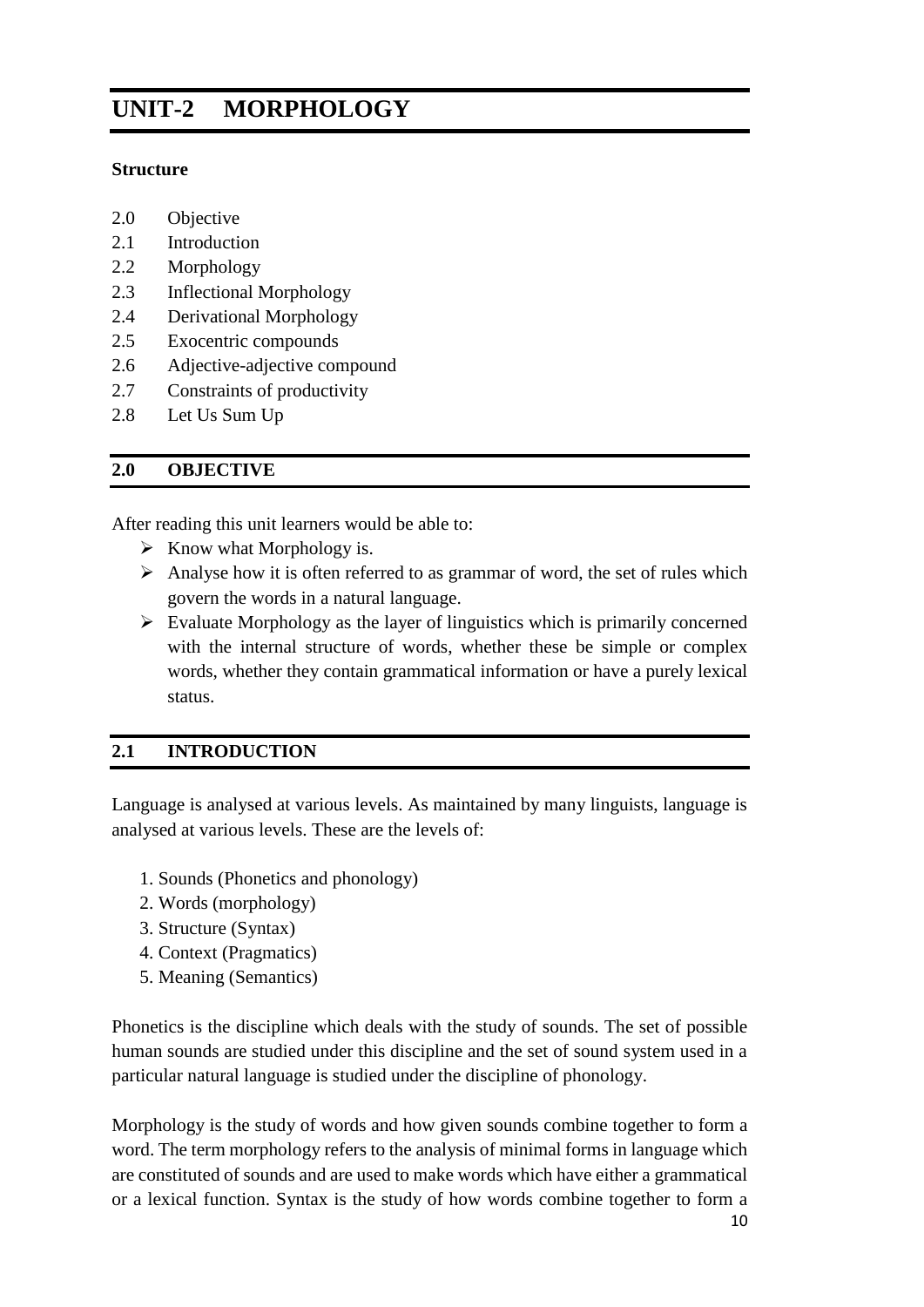properties together are responsible for the possible and impossible combinations of a given affix both with roots and with other affixes. What has been analyzed as wouldbe stratal behavior automatically falls out from the phonological, morphological and semantic properties of the affix. Since these properties must be stated anyway to account for the particular behavior of a given affix, no further stratal apparatus is necessary. Plag (1996, 1999) also incorporates the idea of base-driven suffixation to explain apparent idiosyncrasies in suffix combinations. The idea of base-driven restrictions in suffixation is that it is not only a given suffix that requires, or 'selects', a certain kind of base, but that bases, in particular bases that contain certain suffixes, may select a certain kind of affix. For illustration of this idea, consider the deverbal suffixes in (4), which, according to Fabb (1988), do not to attach to any suffixed word (this would be an affix-driven restriction): (4) deverbal nominal suffixes not attaching to an already suffixed word -age (as in steerage) -al (as in betrayal) -ance (as in annoyance) -ment (as in containment) -y (as in assembly) Why should these suffixes behave in this way? And is this a property that has to be stated in the lexical entry of each of the nominal suffixes? In an approach that only looks at the question of which kinds of base a given affix selects this would be essential. Let us call such an approach 'affix-driven'. It is, however, possible to look at the problem from a different angle, i.e. from the perspective of the base Theory of Word-based morphology: The theory of word-based morphology in generative grammar originated in Aronoff (1976). In this theory, affixes do not have an independent existence and do not have entries in the lexicon, only words do. And what is analyzed as a constituent morpheme in morpheme-based morphology is conceptualized as a particular phonological and semantic similarity between sets of words in word-based morphology. Thus, wordbased morphology expresses the relationship between morphologically related words not by splitting up words into their components but by formalizing the common features of sets of words. .

#### **5.12 LET US SUM UP**

We can summarize this module in the words of Alexander Onysko and Sascha Michel - "[R]ecent voices stressing the importance of investigating word formation in the light of cognitive processes can be interpreted from two general perspectives. First of all, they indicate that a structural approach to the architecture of words and a cognitive view are not incompatible. On the contrary, both perspectives try to work out regularities in language. What sets them apart is the basic vision of how language is encapsulated in the mind and the ensuing choice of terminology in the description of the processes. . . . [C]ognitive linguistics concedes closely to the self-organizing nature of humans and their language, whereas generative-structuralist perspectives represent external boundaries as given in the institutionalized order of human interaction."

#### **5.13 CHECK YOUR PROGRESS**

1. What do you mean by Bound Morpheme?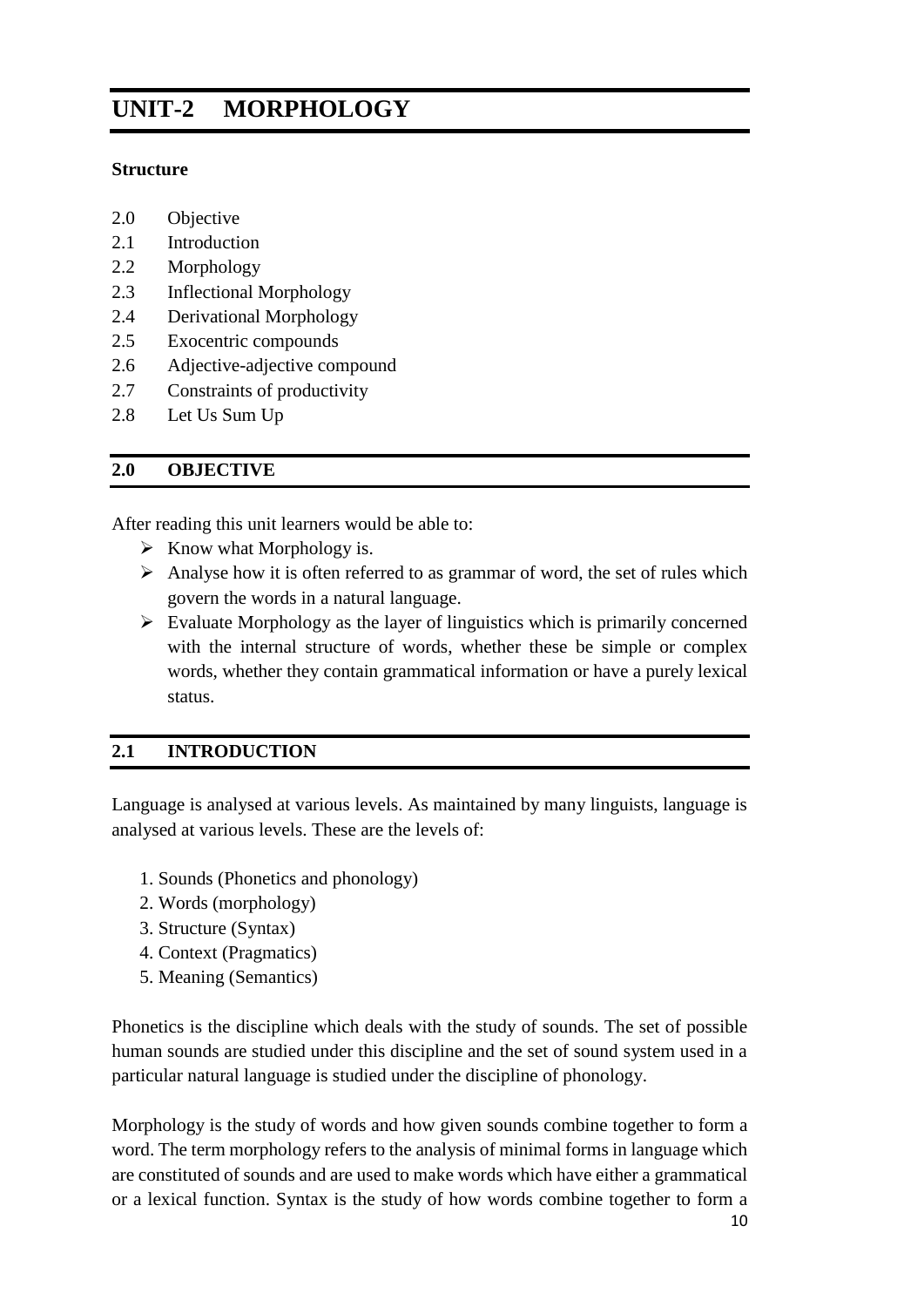| What do you mean by Free Morpheme?<br>2. |
|------------------------------------------|
|                                          |
|                                          |
|                                          |
|                                          |
|                                          |
|                                          |
|                                          |
|                                          |
|                                          |
|                                          |
|                                          |
| What do you mean by Bound Roots?<br>3.   |
|                                          |
|                                          |
|                                          |

#### $\overline{4}$ . What is the Processes of Word-Formation?